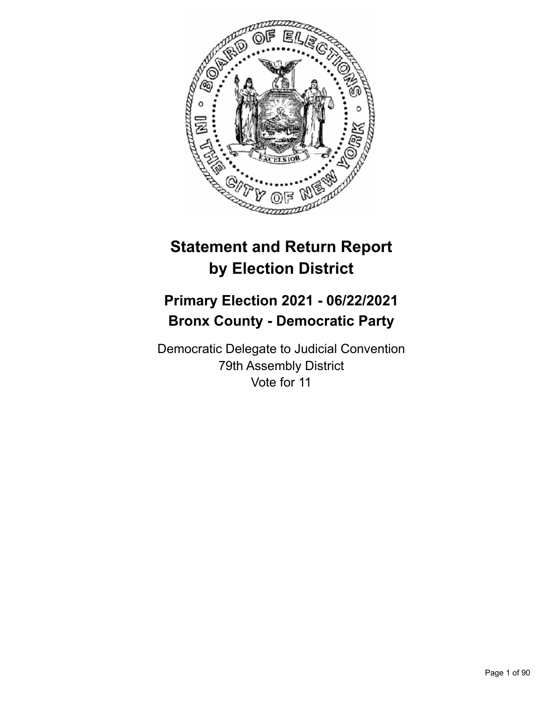

# **Statement and Return Report by Election District**

## **Primary Election 2021 - 06/22/2021 Bronx County - Democratic Party**

Democratic Delegate to Judicial Convention 79th Assembly District Vote for 11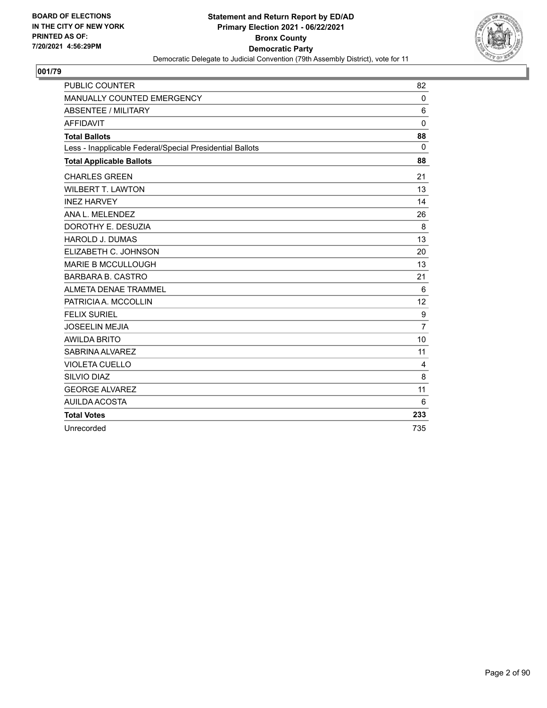

| <b>PUBLIC COUNTER</b>                                    | 82             |
|----------------------------------------------------------|----------------|
| MANUALLY COUNTED EMERGENCY                               | $\Omega$       |
| <b>ABSENTEE / MILITARY</b>                               | 6              |
| <b>AFFIDAVIT</b>                                         | 0              |
| <b>Total Ballots</b>                                     | 88             |
| Less - Inapplicable Federal/Special Presidential Ballots | $\mathbf{0}$   |
| <b>Total Applicable Ballots</b>                          | 88             |
| <b>CHARLES GREEN</b>                                     | 21             |
| <b>WILBERT T. LAWTON</b>                                 | 13             |
| <b>INEZ HARVEY</b>                                       | 14             |
| ANA L. MELENDEZ                                          | 26             |
| DOROTHY E. DESUZIA                                       | 8              |
| <b>HAROLD J. DUMAS</b>                                   | 13             |
| ELIZABETH C. JOHNSON                                     | 20             |
| <b>MARIE B MCCULLOUGH</b>                                | 13             |
| <b>BARBARA B. CASTRO</b>                                 | 21             |
| <b>ALMETA DENAE TRAMMEL</b>                              | 6              |
| PATRICIA A. MCCOLLIN                                     | 12             |
| <b>FELIX SURIEL</b>                                      | 9              |
| <b>JOSEELIN MEJIA</b>                                    | $\overline{7}$ |
| <b>AWILDA BRITO</b>                                      | 10             |
| SABRINA ALVAREZ                                          | 11             |
| <b>VIOLETA CUELLO</b>                                    | $\overline{4}$ |
| SILVIO DIAZ                                              | 8              |
| <b>GEORGE ALVAREZ</b>                                    | 11             |
| AUILDA ACOSTA                                            | 6              |
| <b>Total Votes</b>                                       | 233            |
| Unrecorded                                               | 735            |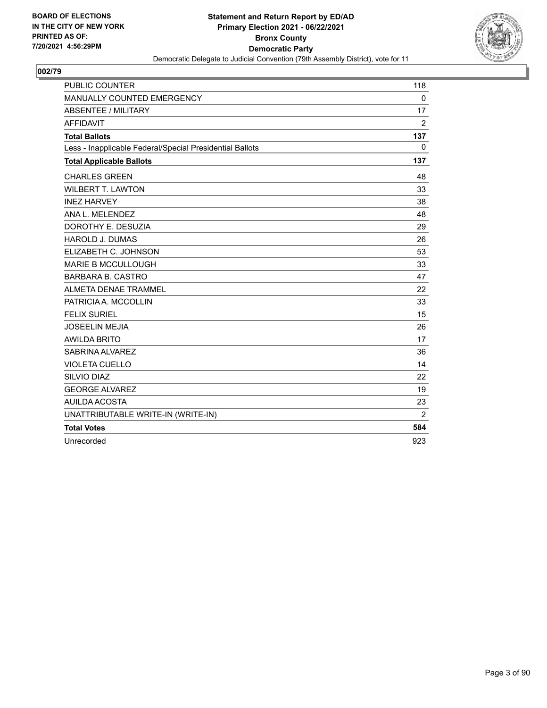

| <b>PUBLIC COUNTER</b>                                    | 118            |
|----------------------------------------------------------|----------------|
| MANUALLY COUNTED EMERGENCY                               | $\mathbf 0$    |
| ABSENTEE / MILITARY                                      | 17             |
| <b>AFFIDAVIT</b>                                         | $\overline{2}$ |
| <b>Total Ballots</b>                                     | 137            |
| Less - Inapplicable Federal/Special Presidential Ballots | $\Omega$       |
| <b>Total Applicable Ballots</b>                          | 137            |
| <b>CHARLES GREEN</b>                                     | 48             |
| <b>WILBERT T. LAWTON</b>                                 | 33             |
| <b>INEZ HARVEY</b>                                       | 38             |
| ANA L. MELENDEZ                                          | 48             |
| DOROTHY E. DESUZIA                                       | 29             |
| <b>HAROLD J. DUMAS</b>                                   | 26             |
| ELIZABETH C. JOHNSON                                     | 53             |
| <b>MARIE B MCCULLOUGH</b>                                | 33             |
| <b>BARBARA B. CASTRO</b>                                 | 47             |
| ALMETA DENAE TRAMMEL                                     | 22             |
| PATRICIA A. MCCOLLIN                                     | 33             |
| <b>FELIX SURIEL</b>                                      | 15             |
| <b>JOSEELIN MEJIA</b>                                    | 26             |
| <b>AWILDA BRITO</b>                                      | 17             |
| SABRINA ALVAREZ                                          | 36             |
| <b>VIOLETA CUELLO</b>                                    | 14             |
| SILVIO DIAZ                                              | 22             |
| <b>GEORGE ALVAREZ</b>                                    | 19             |
| <b>AUILDA ACOSTA</b>                                     | 23             |
| UNATTRIBUTABLE WRITE-IN (WRITE-IN)                       | $\overline{2}$ |
| <b>Total Votes</b>                                       | 584            |
| Unrecorded                                               | 923            |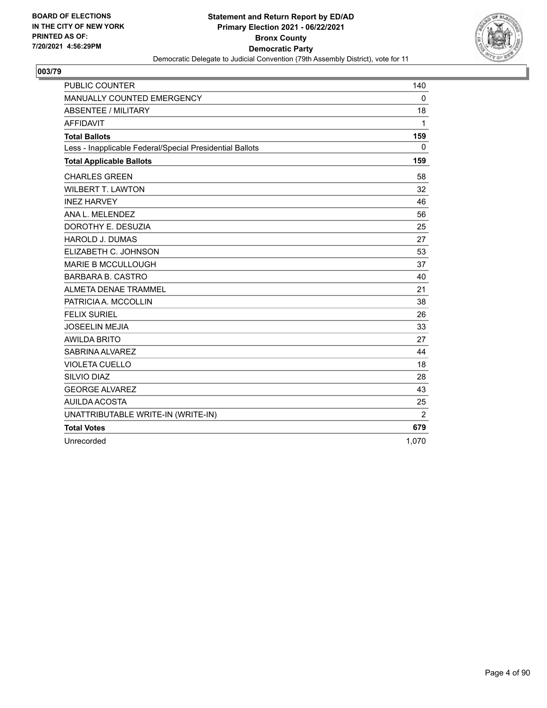

| <b>PUBLIC COUNTER</b>                                    | 140            |
|----------------------------------------------------------|----------------|
| MANUALLY COUNTED EMERGENCY                               | $\Omega$       |
| ABSENTEE / MILITARY                                      | 18             |
| <b>AFFIDAVIT</b>                                         | $\mathbf{1}$   |
| <b>Total Ballots</b>                                     | 159            |
| Less - Inapplicable Federal/Special Presidential Ballots | $\Omega$       |
| <b>Total Applicable Ballots</b>                          | 159            |
| <b>CHARLES GREEN</b>                                     | 58             |
| <b>WILBERT T. LAWTON</b>                                 | 32             |
| <b>INEZ HARVEY</b>                                       | 46             |
| ANA L. MELENDEZ                                          | 56             |
| DOROTHY E. DESUZIA                                       | 25             |
| <b>HAROLD J. DUMAS</b>                                   | 27             |
| ELIZABETH C. JOHNSON                                     | 53             |
| <b>MARIE B MCCULLOUGH</b>                                | 37             |
| <b>BARBARA B. CASTRO</b>                                 | 40             |
| ALMETA DENAE TRAMMEL                                     | 21             |
| PATRICIA A. MCCOLLIN                                     | 38             |
| <b>FELIX SURIEL</b>                                      | 26             |
| <b>JOSEELIN MEJIA</b>                                    | 33             |
| <b>AWILDA BRITO</b>                                      | 27             |
| SABRINA ALVAREZ                                          | 44             |
| <b>VIOLETA CUELLO</b>                                    | 18             |
| SILVIO DIAZ                                              | 28             |
| <b>GEORGE ALVAREZ</b>                                    | 43             |
| <b>AUILDA ACOSTA</b>                                     | 25             |
| UNATTRIBUTABLE WRITE-IN (WRITE-IN)                       | $\overline{2}$ |
| <b>Total Votes</b>                                       | 679            |
| Unrecorded                                               | 1,070          |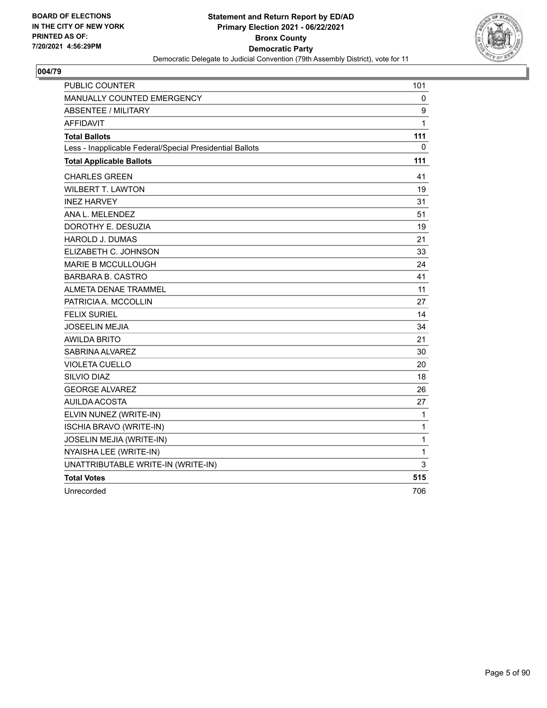

| <b>PUBLIC COUNTER</b>                                    | 101          |
|----------------------------------------------------------|--------------|
| MANUALLY COUNTED EMERGENCY                               | 0            |
| <b>ABSENTEE / MILITARY</b>                               | 9            |
| <b>AFFIDAVIT</b>                                         | 1            |
| <b>Total Ballots</b>                                     | 111          |
| Less - Inapplicable Federal/Special Presidential Ballots | 0            |
| <b>Total Applicable Ballots</b>                          | 111          |
| <b>CHARLES GREEN</b>                                     | 41           |
| <b>WILBERT T. LAWTON</b>                                 | 19           |
| <b>INEZ HARVEY</b>                                       | 31           |
| ANA L. MELENDEZ                                          | 51           |
| DOROTHY E. DESUZIA                                       | 19           |
| <b>HAROLD J. DUMAS</b>                                   | 21           |
| ELIZABETH C. JOHNSON                                     | 33           |
| <b>MARIE B MCCULLOUGH</b>                                | 24           |
| <b>BARBARA B. CASTRO</b>                                 | 41           |
| ALMETA DENAE TRAMMEL                                     | 11           |
| PATRICIA A. MCCOLLIN                                     | 27           |
| <b>FELIX SURIEL</b>                                      | 14           |
| <b>JOSEELIN MEJIA</b>                                    | 34           |
| <b>AWILDA BRITO</b>                                      | 21           |
| SABRINA ALVAREZ                                          | 30           |
| <b>VIOLETA CUELLO</b>                                    | 20           |
| SILVIO DIAZ                                              | 18           |
| <b>GEORGE ALVAREZ</b>                                    | 26           |
| <b>AUILDA ACOSTA</b>                                     | 27           |
| ELVIN NUNEZ (WRITE-IN)                                   | 1            |
| <b>ISCHIA BRAVO (WRITE-IN)</b>                           | $\mathbf{1}$ |
| JOSELIN MEJIA (WRITE-IN)                                 | $\mathbf 1$  |
| NYAISHA LEE (WRITE-IN)                                   | 1            |
| UNATTRIBUTABLE WRITE-IN (WRITE-IN)                       | 3            |
| <b>Total Votes</b>                                       | 515          |
| Unrecorded                                               | 706          |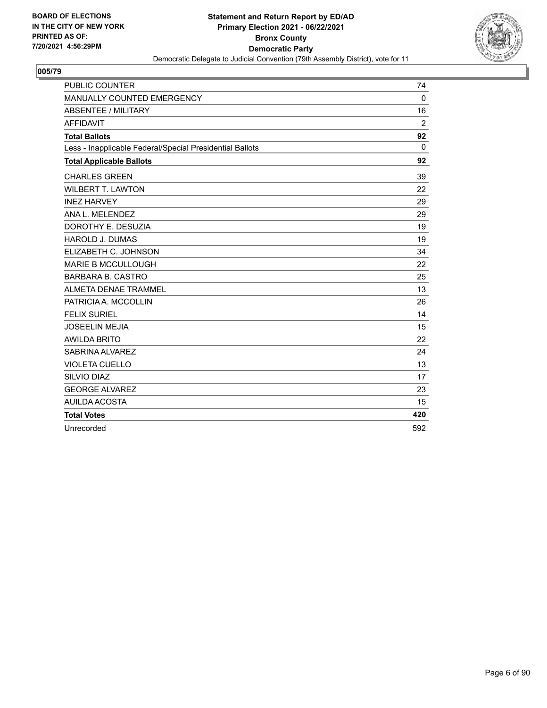

| <b>PUBLIC COUNTER</b>                                    | 74           |
|----------------------------------------------------------|--------------|
| MANUALLY COUNTED EMERGENCY                               | $\mathbf 0$  |
| <b>ABSENTEE / MILITARY</b>                               | 16           |
| <b>AFFIDAVIT</b>                                         | 2            |
| <b>Total Ballots</b>                                     | 92           |
| Less - Inapplicable Federal/Special Presidential Ballots | $\mathbf{0}$ |
| <b>Total Applicable Ballots</b>                          | 92           |
| <b>CHARLES GREEN</b>                                     | 39           |
| <b>WILBERT T. LAWTON</b>                                 | 22           |
| <b>INEZ HARVEY</b>                                       | 29           |
| ANA L. MELENDEZ                                          | 29           |
| DOROTHY E. DESUZIA                                       | 19           |
| <b>HAROLD J. DUMAS</b>                                   | 19           |
| ELIZABETH C. JOHNSON                                     | 34           |
| <b>MARIE B MCCULLOUGH</b>                                | 22           |
| <b>BARBARA B. CASTRO</b>                                 | 25           |
| <b>ALMETA DENAE TRAMMEL</b>                              | 13           |
| PATRICIA A. MCCOLLIN                                     | 26           |
| <b>FELIX SURIEL</b>                                      | 14           |
| <b>JOSEELIN MEJIA</b>                                    | 15           |
| <b>AWILDA BRITO</b>                                      | 22           |
| SABRINA ALVAREZ                                          | 24           |
| <b>VIOLETA CUELLO</b>                                    | 13           |
| <b>SILVIO DIAZ</b>                                       | 17           |
| <b>GEORGE ALVAREZ</b>                                    | 23           |
| AUILDA ACOSTA                                            | 15           |
| <b>Total Votes</b>                                       | 420          |
| Unrecorded                                               | 592          |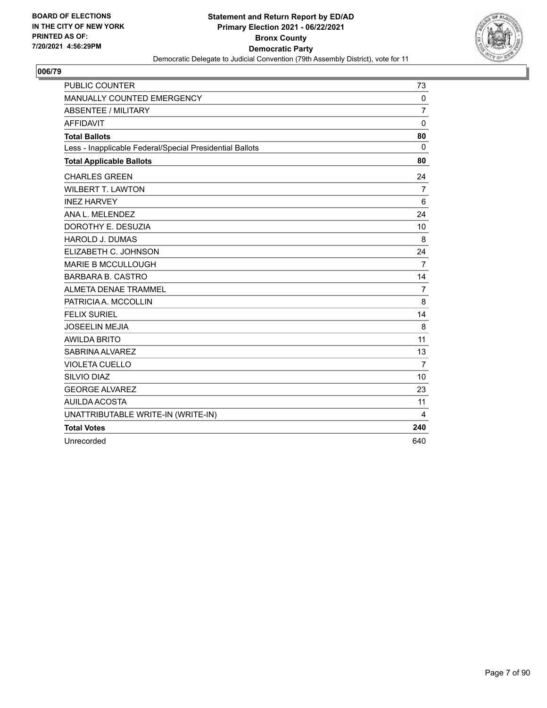

| <b>PUBLIC COUNTER</b>                                    | 73             |
|----------------------------------------------------------|----------------|
| MANUALLY COUNTED EMERGENCY                               | $\mathbf 0$    |
| <b>ABSENTEE / MILITARY</b>                               | 7              |
| <b>AFFIDAVIT</b>                                         | $\mathbf 0$    |
| <b>Total Ballots</b>                                     | 80             |
| Less - Inapplicable Federal/Special Presidential Ballots | $\mathbf{0}$   |
| <b>Total Applicable Ballots</b>                          | 80             |
| <b>CHARLES GREEN</b>                                     | 24             |
| <b>WILBERT T. LAWTON</b>                                 | $\overline{7}$ |
| <b>INEZ HARVEY</b>                                       | 6              |
| ANA L. MELENDEZ                                          | 24             |
| DOROTHY E. DESUZIA                                       | 10             |
| <b>HAROLD J. DUMAS</b>                                   | 8              |
| ELIZABETH C. JOHNSON                                     | 24             |
| <b>MARIE B MCCULLOUGH</b>                                | $\overline{7}$ |
| <b>BARBARA B. CASTRO</b>                                 | 14             |
| ALMETA DENAE TRAMMEL                                     | 7              |
| PATRICIA A. MCCOLLIN                                     | 8              |
| <b>FELIX SURIEL</b>                                      | 14             |
| <b>JOSEELIN MEJIA</b>                                    | 8              |
| <b>AWILDA BRITO</b>                                      | 11             |
| SABRINA ALVAREZ                                          | 13             |
| <b>VIOLETA CUELLO</b>                                    | $\overline{7}$ |
| SILVIO DIAZ                                              | 10             |
| <b>GEORGE ALVAREZ</b>                                    | 23             |
| <b>AUILDA ACOSTA</b>                                     | 11             |
| UNATTRIBUTABLE WRITE-IN (WRITE-IN)                       | 4              |
| <b>Total Votes</b>                                       | 240            |
| Unrecorded                                               | 640            |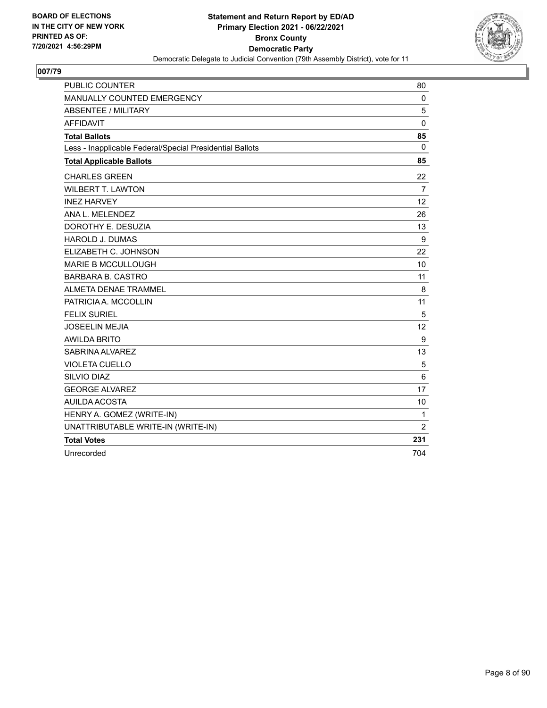

| <b>PUBLIC COUNTER</b>                                    | 80             |
|----------------------------------------------------------|----------------|
| MANUALLY COUNTED EMERGENCY                               | $\mathbf 0$    |
| <b>ABSENTEE / MILITARY</b>                               | 5              |
| <b>AFFIDAVIT</b>                                         | $\mathbf 0$    |
| <b>Total Ballots</b>                                     | 85             |
| Less - Inapplicable Federal/Special Presidential Ballots | $\mathbf 0$    |
| <b>Total Applicable Ballots</b>                          | 85             |
| <b>CHARLES GREEN</b>                                     | 22             |
| <b>WILBERT T. LAWTON</b>                                 | $\overline{7}$ |
| <b>INEZ HARVEY</b>                                       | 12             |
| ANA L. MELENDEZ                                          | 26             |
| DOROTHY E. DESUZIA                                       | 13             |
| <b>HAROLD J. DUMAS</b>                                   | 9              |
| ELIZABETH C. JOHNSON                                     | 22             |
| <b>MARIE B MCCULLOUGH</b>                                | 10             |
| <b>BARBARA B. CASTRO</b>                                 | 11             |
| <b>ALMETA DENAE TRAMMEL</b>                              | 8              |
| PATRICIA A. MCCOLLIN                                     | 11             |
| <b>FELIX SURIEL</b>                                      | 5              |
| <b>JOSEELIN MEJIA</b>                                    | 12             |
| <b>AWILDA BRITO</b>                                      | 9              |
| SABRINA ALVAREZ                                          | 13             |
| <b>VIOLETA CUELLO</b>                                    | 5              |
| SILVIO DIAZ                                              | 6              |
| <b>GEORGE ALVAREZ</b>                                    | 17             |
| AUILDA ACOSTA                                            | 10             |
| HENRY A. GOMEZ (WRITE-IN)                                | 1              |
| UNATTRIBUTABLE WRITE-IN (WRITE-IN)                       | 2              |
| <b>Total Votes</b>                                       | 231            |
| Unrecorded                                               | 704            |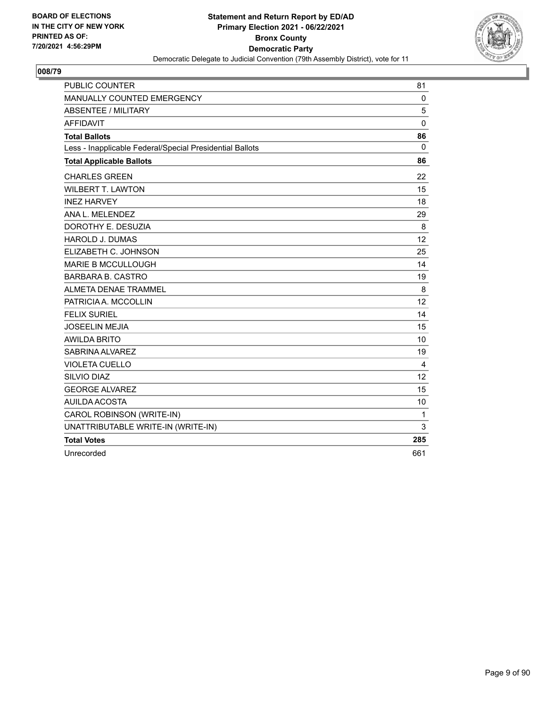

| <b>PUBLIC COUNTER</b>                                    | 81           |
|----------------------------------------------------------|--------------|
| MANUALLY COUNTED EMERGENCY                               | $\mathbf 0$  |
| <b>ABSENTEE / MILITARY</b>                               | 5            |
| <b>AFFIDAVIT</b>                                         | $\mathbf{0}$ |
| <b>Total Ballots</b>                                     | 86           |
| Less - Inapplicable Federal/Special Presidential Ballots | $\mathbf{0}$ |
| <b>Total Applicable Ballots</b>                          | 86           |
| <b>CHARLES GREEN</b>                                     | 22           |
| <b>WILBERT T. LAWTON</b>                                 | 15           |
| <b>INEZ HARVEY</b>                                       | 18           |
| ANA L. MELENDEZ                                          | 29           |
| DOROTHY E. DESUZIA                                       | 8            |
| <b>HAROLD J. DUMAS</b>                                   | 12           |
| ELIZABETH C. JOHNSON                                     | 25           |
| <b>MARIE B MCCULLOUGH</b>                                | 14           |
| <b>BARBARA B. CASTRO</b>                                 | 19           |
| ALMETA DENAE TRAMMEL                                     | 8            |
| PATRICIA A. MCCOLLIN                                     | 12           |
| <b>FELIX SURIEL</b>                                      | 14           |
| <b>JOSEELIN MEJIA</b>                                    | 15           |
| <b>AWILDA BRITO</b>                                      | 10           |
| SABRINA ALVAREZ                                          | 19           |
| <b>VIOLETA CUELLO</b>                                    | 4            |
| SILVIO DIAZ                                              | 12           |
| <b>GEORGE ALVAREZ</b>                                    | 15           |
| <b>AUILDA ACOSTA</b>                                     | 10           |
| CAROL ROBINSON (WRITE-IN)                                | $\mathbf{1}$ |
| UNATTRIBUTABLE WRITE-IN (WRITE-IN)                       | 3            |
| <b>Total Votes</b>                                       | 285          |
| Unrecorded                                               | 661          |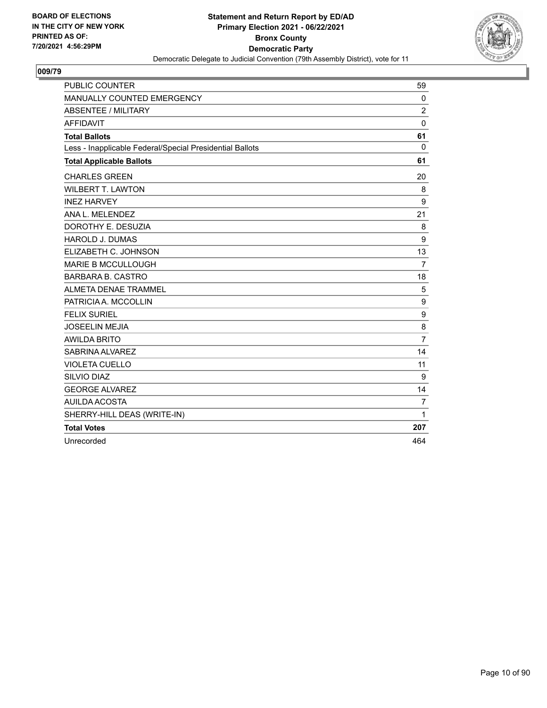

| <b>PUBLIC COUNTER</b>                                    | 59             |
|----------------------------------------------------------|----------------|
| MANUALLY COUNTED EMERGENCY                               | $\mathbf 0$    |
| ABSENTEE / MILITARY                                      | $\overline{2}$ |
| <b>AFFIDAVIT</b>                                         | $\Omega$       |
| <b>Total Ballots</b>                                     | 61             |
| Less - Inapplicable Federal/Special Presidential Ballots | $\Omega$       |
| <b>Total Applicable Ballots</b>                          | 61             |
| <b>CHARLES GREEN</b>                                     | 20             |
| <b>WILBERT T. LAWTON</b>                                 | 8              |
| <b>INEZ HARVEY</b>                                       | 9              |
| ANA L. MELENDEZ                                          | 21             |
| DOROTHY E. DESUZIA                                       | 8              |
| <b>HAROLD J. DUMAS</b>                                   | 9              |
| ELIZABETH C. JOHNSON                                     | 13             |
| <b>MARIE B MCCULLOUGH</b>                                | $\overline{7}$ |
| <b>BARBARA B. CASTRO</b>                                 | 18             |
| ALMETA DENAE TRAMMEL                                     | 5              |
| PATRICIA A. MCCOLLIN                                     | 9              |
| <b>FELIX SURIEL</b>                                      | 9              |
| <b>JOSEELIN MEJIA</b>                                    | 8              |
| <b>AWILDA BRITO</b>                                      | $\overline{7}$ |
| SABRINA ALVAREZ                                          | 14             |
| <b>VIOLETA CUELLO</b>                                    | 11             |
| SILVIO DIAZ                                              | 9              |
| <b>GEORGE ALVAREZ</b>                                    | 14             |
| AUILDA ACOSTA                                            | $\overline{7}$ |
| SHERRY-HILL DEAS (WRITE-IN)                              | $\mathbf{1}$   |
| <b>Total Votes</b>                                       | 207            |
| Unrecorded                                               | 464            |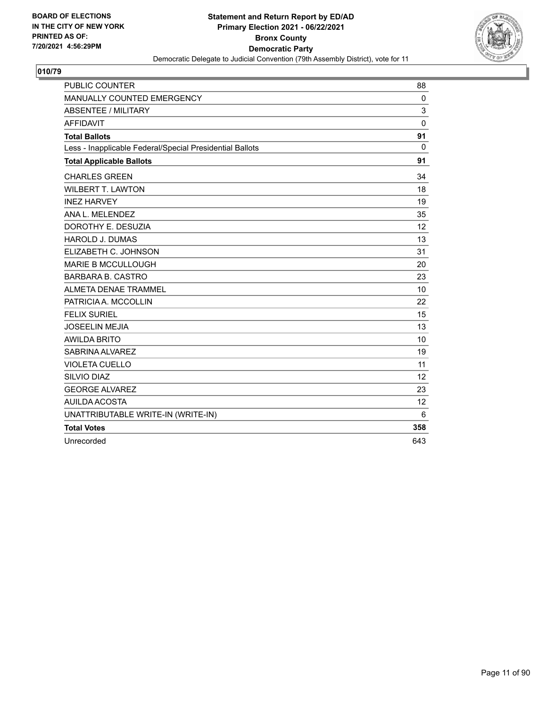

| <b>PUBLIC COUNTER</b>                                    | 88          |
|----------------------------------------------------------|-------------|
| MANUALLY COUNTED EMERGENCY                               | $\mathbf 0$ |
| <b>ABSENTEE / MILITARY</b>                               | 3           |
| <b>AFFIDAVIT</b>                                         | 0           |
| <b>Total Ballots</b>                                     | 91          |
| Less - Inapplicable Federal/Special Presidential Ballots | $\Omega$    |
| <b>Total Applicable Ballots</b>                          | 91          |
| <b>CHARLES GREEN</b>                                     | 34          |
| <b>WILBERT T. LAWTON</b>                                 | 18          |
| <b>INEZ HARVEY</b>                                       | 19          |
| ANA L. MELENDEZ                                          | 35          |
| DOROTHY E. DESUZIA                                       | 12          |
| <b>HAROLD J. DUMAS</b>                                   | 13          |
| ELIZABETH C. JOHNSON                                     | 31          |
| <b>MARIE B MCCULLOUGH</b>                                | 20          |
| <b>BARBARA B. CASTRO</b>                                 | 23          |
| ALMETA DENAE TRAMMEL                                     | 10          |
| PATRICIA A. MCCOLLIN                                     | 22          |
| <b>FELIX SURIEL</b>                                      | 15          |
| <b>JOSEELIN MEJIA</b>                                    | 13          |
| <b>AWILDA BRITO</b>                                      | 10          |
| SABRINA ALVAREZ                                          | 19          |
| <b>VIOLETA CUELLO</b>                                    | 11          |
| SILVIO DIAZ                                              | 12          |
| <b>GEORGE ALVAREZ</b>                                    | 23          |
| AUILDA ACOSTA                                            | 12          |
| UNATTRIBUTABLE WRITE-IN (WRITE-IN)                       | 6           |
| <b>Total Votes</b>                                       | 358         |
| Unrecorded                                               | 643         |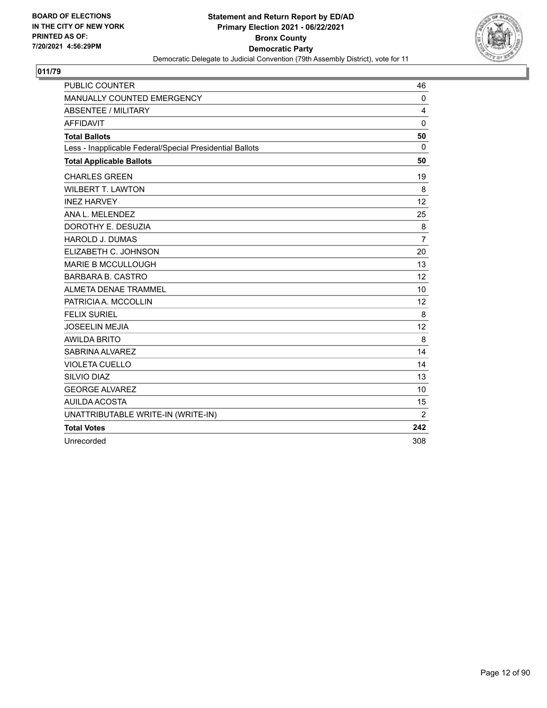

| <b>PUBLIC COUNTER</b>                                    | 46             |
|----------------------------------------------------------|----------------|
| MANUALLY COUNTED EMERGENCY                               | 0              |
| <b>ABSENTEE / MILITARY</b>                               | 4              |
| <b>AFFIDAVIT</b>                                         | $\mathbf 0$    |
| <b>Total Ballots</b>                                     | 50             |
| Less - Inapplicable Federal/Special Presidential Ballots | 0              |
| <b>Total Applicable Ballots</b>                          | 50             |
| <b>CHARLES GREEN</b>                                     | 19             |
| <b>WILBERT T. LAWTON</b>                                 | 8              |
| <b>INEZ HARVEY</b>                                       | 12             |
| ANA L. MELENDEZ                                          | 25             |
| DOROTHY E. DESUZIA                                       | 8              |
| HAROLD J. DUMAS                                          | $\overline{7}$ |
| ELIZABETH C. JOHNSON                                     | 20             |
| <b>MARIE B MCCULLOUGH</b>                                | 13             |
| <b>BARBARA B. CASTRO</b>                                 | 12             |
| <b>ALMETA DENAE TRAMMEL</b>                              | 10             |
| PATRICIA A. MCCOLLIN                                     | 12             |
| <b>FELIX SURIEL</b>                                      | 8              |
| <b>JOSEELIN MEJIA</b>                                    | 12             |
| <b>AWILDA BRITO</b>                                      | 8              |
| SABRINA ALVAREZ                                          | 14             |
| <b>VIOLETA CUELLO</b>                                    | 14             |
| SILVIO DIAZ                                              | 13             |
| <b>GEORGE ALVAREZ</b>                                    | 10             |
| <b>AUILDA ACOSTA</b>                                     | 15             |
| UNATTRIBUTABLE WRITE-IN (WRITE-IN)                       | $\overline{2}$ |
| <b>Total Votes</b>                                       | 242            |
| Unrecorded                                               | 308            |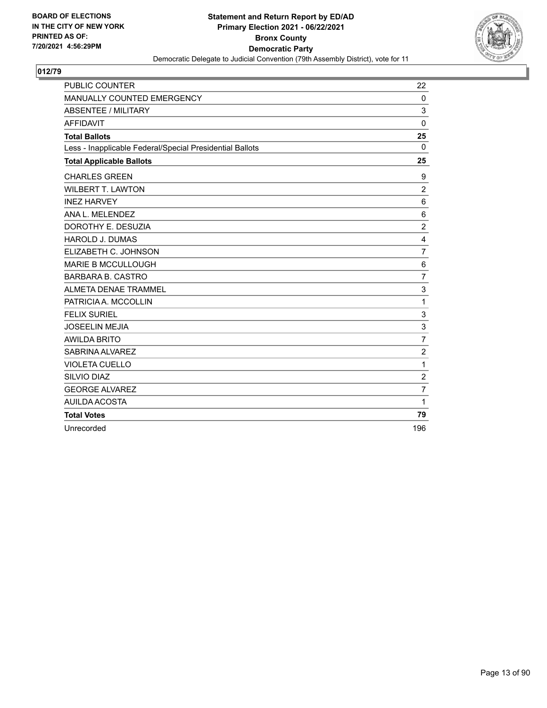

| PUBLIC COUNTER                                           | 22                        |
|----------------------------------------------------------|---------------------------|
| MANUALLY COUNTED EMERGENCY                               | $\mathbf 0$               |
| <b>ABSENTEE / MILITARY</b>                               | 3                         |
| <b>AFFIDAVIT</b>                                         | $\mathbf{0}$              |
| <b>Total Ballots</b>                                     | 25                        |
| Less - Inapplicable Federal/Special Presidential Ballots | $\Omega$                  |
| <b>Total Applicable Ballots</b>                          | 25                        |
| <b>CHARLES GREEN</b>                                     | 9                         |
| <b>WILBERT T. LAWTON</b>                                 | $\overline{2}$            |
| <b>INEZ HARVEY</b>                                       | 6                         |
| ANA L. MELENDEZ                                          | $6\phantom{1}6$           |
| DOROTHY E. DESUZIA                                       | $\overline{c}$            |
| <b>HAROLD J. DUMAS</b>                                   | 4                         |
| ELIZABETH C. JOHNSON                                     | $\overline{7}$            |
| <b>MARIE B MCCULLOUGH</b>                                | 6                         |
| <b>BARBARA B. CASTRO</b>                                 | $\overline{7}$            |
| ALMETA DENAE TRAMMEL                                     | 3                         |
| PATRICIA A. MCCOLLIN                                     | 1                         |
| <b>FELIX SURIEL</b>                                      | 3                         |
| <b>JOSEELIN MEJIA</b>                                    | $\ensuremath{\mathsf{3}}$ |
| <b>AWILDA BRITO</b>                                      | $\overline{7}$            |
| SABRINA ALVAREZ                                          | $\overline{c}$            |
| <b>VIOLETA CUELLO</b>                                    | 1                         |
| <b>SILVIO DIAZ</b>                                       | $\overline{c}$            |
| <b>GEORGE ALVAREZ</b>                                    | $\overline{7}$            |
| AUILDA ACOSTA                                            | 1                         |
| <b>Total Votes</b>                                       | 79                        |
| Unrecorded                                               | 196                       |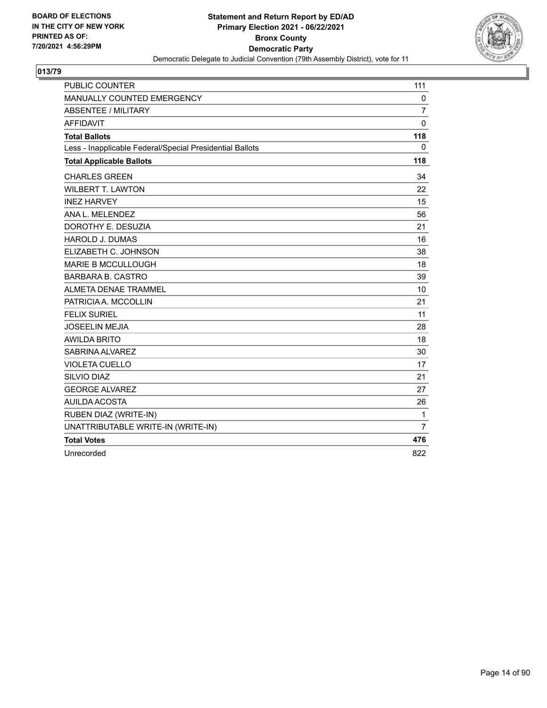

| <b>PUBLIC COUNTER</b>                                    | 111            |
|----------------------------------------------------------|----------------|
| MANUALLY COUNTED EMERGENCY                               | 0              |
| <b>ABSENTEE / MILITARY</b>                               | 7              |
| <b>AFFIDAVIT</b>                                         | 0              |
| <b>Total Ballots</b>                                     | 118            |
| Less - Inapplicable Federal/Special Presidential Ballots | 0              |
| <b>Total Applicable Ballots</b>                          | 118            |
| <b>CHARLES GREEN</b>                                     | 34             |
| <b>WILBERT T. LAWTON</b>                                 | 22             |
| <b>INEZ HARVEY</b>                                       | 15             |
| ANA L. MELENDEZ                                          | 56             |
| DOROTHY E. DESUZIA                                       | 21             |
| <b>HAROLD J. DUMAS</b>                                   | 16             |
| ELIZABETH C. JOHNSON                                     | 38             |
| <b>MARIE B MCCULLOUGH</b>                                | 18             |
| <b>BARBARA B. CASTRO</b>                                 | 39             |
| <b>ALMETA DENAE TRAMMEL</b>                              | 10             |
| PATRICIA A. MCCOLLIN                                     | 21             |
| <b>FELIX SURIEL</b>                                      | 11             |
| <b>JOSEELIN MEJIA</b>                                    | 28             |
| <b>AWILDA BRITO</b>                                      | 18             |
| SABRINA ALVAREZ                                          | 30             |
| <b>VIOLETA CUELLO</b>                                    | 17             |
| SILVIO DIAZ                                              | 21             |
| <b>GEORGE ALVAREZ</b>                                    | 27             |
| <b>AUILDA ACOSTA</b>                                     | 26             |
| RUBEN DIAZ (WRITE-IN)                                    | $\mathbf{1}$   |
| UNATTRIBUTABLE WRITE-IN (WRITE-IN)                       | $\overline{7}$ |
| <b>Total Votes</b>                                       | 476            |
| Unrecorded                                               | 822            |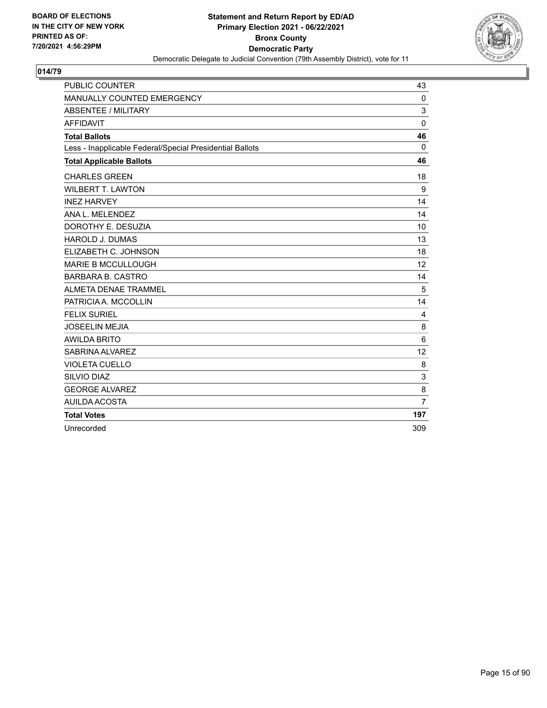

| <b>PUBLIC COUNTER</b>                                    | 43             |
|----------------------------------------------------------|----------------|
| MANUALLY COUNTED EMERGENCY                               | $\Omega$       |
| <b>ABSENTEE / MILITARY</b>                               | 3              |
| <b>AFFIDAVIT</b>                                         | $\mathbf{0}$   |
| <b>Total Ballots</b>                                     | 46             |
| Less - Inapplicable Federal/Special Presidential Ballots | $\mathbf{0}$   |
| <b>Total Applicable Ballots</b>                          | 46             |
| <b>CHARLES GREEN</b>                                     | 18             |
| <b>WILBERT T. LAWTON</b>                                 | 9              |
| <b>INEZ HARVEY</b>                                       | 14             |
| ANA L. MELENDEZ                                          | 14             |
| DOROTHY E. DESUZIA                                       | 10             |
| <b>HAROLD J. DUMAS</b>                                   | 13             |
| ELIZABETH C. JOHNSON                                     | 18             |
| <b>MARIE B MCCULLOUGH</b>                                | 12             |
| <b>BARBARA B. CASTRO</b>                                 | 14             |
| ALMETA DENAE TRAMMEL                                     | 5              |
| PATRICIA A. MCCOLLIN                                     | 14             |
| <b>FELIX SURIEL</b>                                      | $\overline{4}$ |
| <b>JOSEELIN MEJIA</b>                                    | 8              |
| <b>AWILDA BRITO</b>                                      | 6              |
| SABRINA ALVAREZ                                          | 12             |
| <b>VIOLETA CUELLO</b>                                    | 8              |
| SILVIO DIAZ                                              | 3              |
| <b>GEORGE ALVAREZ</b>                                    | 8              |
| AUILDA ACOSTA                                            | $\overline{7}$ |
| <b>Total Votes</b>                                       | 197            |
| Unrecorded                                               | 309            |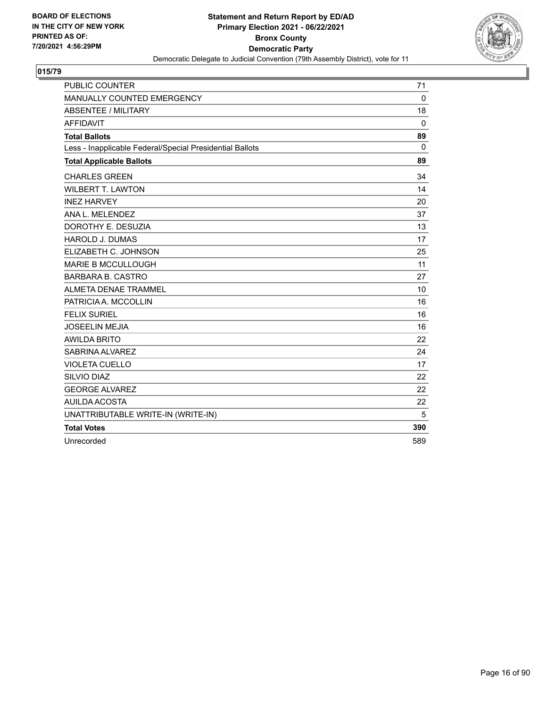

| <b>PUBLIC COUNTER</b>                                    | 71          |
|----------------------------------------------------------|-------------|
| MANUALLY COUNTED EMERGENCY                               | $\Omega$    |
| <b>ABSENTEE / MILITARY</b>                               | 18          |
| <b>AFFIDAVIT</b>                                         | $\mathbf 0$ |
| <b>Total Ballots</b>                                     | 89          |
| Less - Inapplicable Federal/Special Presidential Ballots | $\Omega$    |
| <b>Total Applicable Ballots</b>                          | 89          |
| <b>CHARLES GREEN</b>                                     | 34          |
| <b>WILBERT T. LAWTON</b>                                 | 14          |
| <b>INEZ HARVEY</b>                                       | 20          |
| ANA L. MELENDEZ                                          | 37          |
| DOROTHY E. DESUZIA                                       | 13          |
| <b>HAROLD J. DUMAS</b>                                   | 17          |
| ELIZABETH C. JOHNSON                                     | 25          |
| <b>MARIE B MCCULLOUGH</b>                                | 11          |
| <b>BARBARA B. CASTRO</b>                                 | 27          |
| ALMETA DENAE TRAMMEL                                     | 10          |
| PATRICIA A. MCCOLLIN                                     | 16          |
| <b>FELIX SURIEL</b>                                      | 16          |
| <b>JOSEELIN MEJIA</b>                                    | 16          |
| <b>AWILDA BRITO</b>                                      | 22          |
| SABRINA ALVAREZ                                          | 24          |
| <b>VIOLETA CUELLO</b>                                    | 17          |
| SILVIO DIAZ                                              | 22          |
| <b>GEORGE ALVAREZ</b>                                    | 22          |
| <b>AUILDA ACOSTA</b>                                     | 22          |
| UNATTRIBUTABLE WRITE-IN (WRITE-IN)                       | 5           |
| <b>Total Votes</b>                                       | 390         |
| Unrecorded                                               | 589         |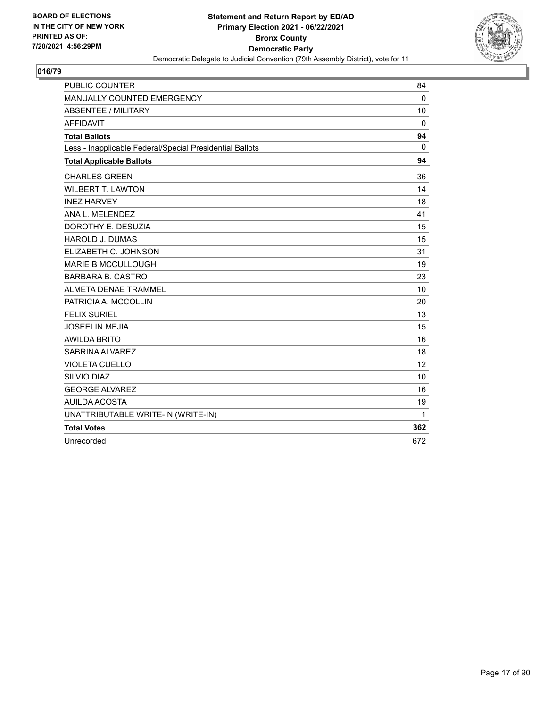

| <b>PUBLIC COUNTER</b>                                    | 84       |
|----------------------------------------------------------|----------|
| MANUALLY COUNTED EMERGENCY                               | $\Omega$ |
| <b>ABSENTEE / MILITARY</b>                               | 10       |
| <b>AFFIDAVIT</b>                                         | $\Omega$ |
| <b>Total Ballots</b>                                     | 94       |
| Less - Inapplicable Federal/Special Presidential Ballots | $\Omega$ |
| <b>Total Applicable Ballots</b>                          | 94       |
| <b>CHARLES GREEN</b>                                     | 36       |
| <b>WILBERT T. LAWTON</b>                                 | 14       |
| <b>INEZ HARVEY</b>                                       | 18       |
| ANA L. MELENDEZ                                          | 41       |
| DOROTHY E. DESUZIA                                       | 15       |
| <b>HAROLD J. DUMAS</b>                                   | 15       |
| ELIZABETH C. JOHNSON                                     | 31       |
| <b>MARIE B MCCULLOUGH</b>                                | 19       |
| <b>BARBARA B. CASTRO</b>                                 | 23       |
| ALMETA DENAE TRAMMEL                                     | 10       |
| PATRICIA A. MCCOLLIN                                     | 20       |
| <b>FELIX SURIEL</b>                                      | 13       |
| <b>JOSEELIN MEJIA</b>                                    | 15       |
| <b>AWILDA BRITO</b>                                      | 16       |
| SABRINA ALVAREZ                                          | 18       |
| <b>VIOLETA CUELLO</b>                                    | 12       |
| <b>SILVIO DIAZ</b>                                       | 10       |
| <b>GEORGE ALVAREZ</b>                                    | 16       |
| AUILDA ACOSTA                                            | 19       |
| UNATTRIBUTABLE WRITE-IN (WRITE-IN)                       | 1        |
| <b>Total Votes</b>                                       | 362      |
| Unrecorded                                               | 672      |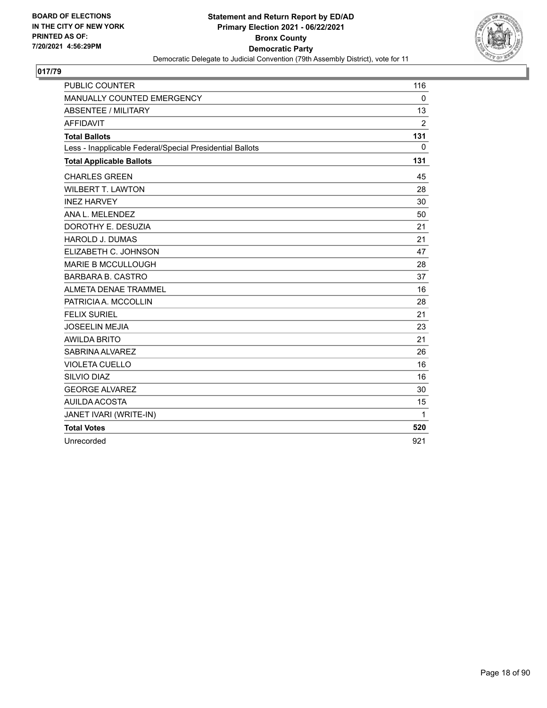

| <b>PUBLIC COUNTER</b>                                    | 116            |
|----------------------------------------------------------|----------------|
| MANUALLY COUNTED EMERGENCY                               | $\mathbf 0$    |
| <b>ABSENTEE / MILITARY</b>                               | 13             |
| <b>AFFIDAVIT</b>                                         | $\overline{2}$ |
| <b>Total Ballots</b>                                     | 131            |
| Less - Inapplicable Federal/Special Presidential Ballots | $\Omega$       |
| <b>Total Applicable Ballots</b>                          | 131            |
| <b>CHARLES GREEN</b>                                     | 45             |
| <b>WILBERT T. LAWTON</b>                                 | 28             |
| <b>INEZ HARVEY</b>                                       | 30             |
| ANA L. MELENDEZ                                          | 50             |
| DOROTHY E. DESUZIA                                       | 21             |
| <b>HAROLD J. DUMAS</b>                                   | 21             |
| ELIZABETH C. JOHNSON                                     | 47             |
| <b>MARIE B MCCULLOUGH</b>                                | 28             |
| <b>BARBARA B. CASTRO</b>                                 | 37             |
| ALMETA DENAE TRAMMEL                                     | 16             |
| PATRICIA A. MCCOLLIN                                     | 28             |
| <b>FELIX SURIEL</b>                                      | 21             |
| <b>JOSEELIN MEJIA</b>                                    | 23             |
| <b>AWILDA BRITO</b>                                      | 21             |
| SABRINA ALVAREZ                                          | 26             |
| <b>VIOLETA CUELLO</b>                                    | 16             |
| SILVIO DIAZ                                              | 16             |
| <b>GEORGE ALVAREZ</b>                                    | 30             |
| <b>AUILDA ACOSTA</b>                                     | 15             |
| JANET IVARI (WRITE-IN)                                   | 1              |
| <b>Total Votes</b>                                       | 520            |
| Unrecorded                                               | 921            |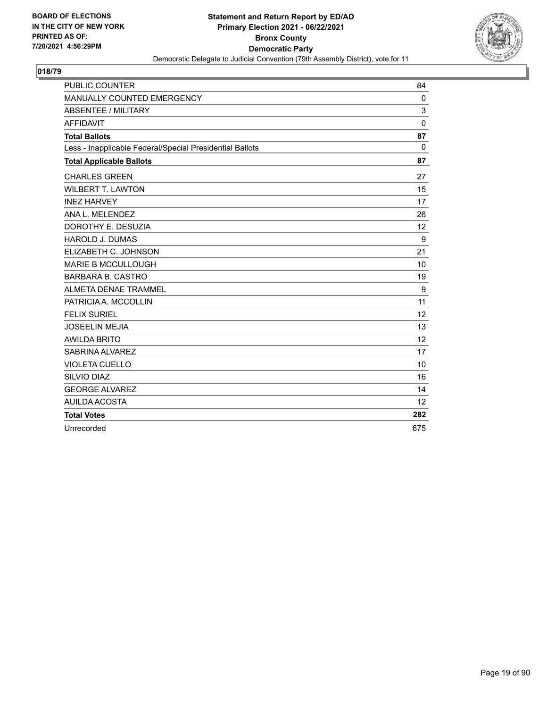

| <b>PUBLIC COUNTER</b>                                    | 84           |
|----------------------------------------------------------|--------------|
| MANUALLY COUNTED EMERGENCY                               | 0            |
| <b>ABSENTEE / MILITARY</b>                               | 3            |
| <b>AFFIDAVIT</b>                                         | 0            |
| <b>Total Ballots</b>                                     | 87           |
| Less - Inapplicable Federal/Special Presidential Ballots | $\mathbf{0}$ |
| <b>Total Applicable Ballots</b>                          | 87           |
| <b>CHARLES GREEN</b>                                     | 27           |
| <b>WILBERT T. LAWTON</b>                                 | 15           |
| <b>INEZ HARVEY</b>                                       | 17           |
| ANA L. MELENDEZ                                          | 26           |
| DOROTHY E. DESUZIA                                       | 12           |
| <b>HAROLD J. DUMAS</b>                                   | 9            |
| ELIZABETH C. JOHNSON                                     | 21           |
| <b>MARIE B MCCULLOUGH</b>                                | 10           |
| <b>BARBARA B. CASTRO</b>                                 | 19           |
| ALMETA DENAE TRAMMEL                                     | 9            |
| PATRICIA A. MCCOLLIN                                     | 11           |
| <b>FELIX SURIEL</b>                                      | 12           |
| <b>JOSEELIN MEJIA</b>                                    | 13           |
| <b>AWILDA BRITO</b>                                      | 12           |
| SABRINA ALVAREZ                                          | 17           |
| <b>VIOLETA CUELLO</b>                                    | 10           |
| SILVIO DIAZ                                              | 16           |
| <b>GEORGE ALVAREZ</b>                                    | 14           |
| AUILDA ACOSTA                                            | 12           |
| <b>Total Votes</b>                                       | 282          |
| Unrecorded                                               | 675          |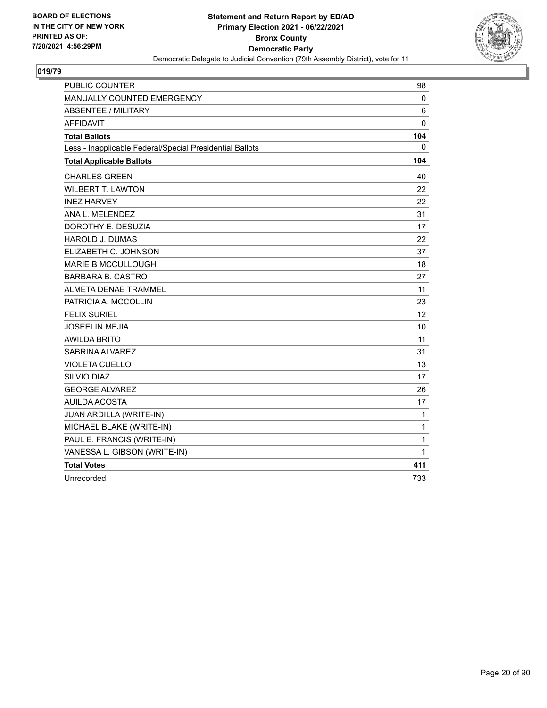

| <b>PUBLIC COUNTER</b>                                    | 98           |
|----------------------------------------------------------|--------------|
| MANUALLY COUNTED EMERGENCY                               | 0            |
| <b>ABSENTEE / MILITARY</b>                               | 6            |
| <b>AFFIDAVIT</b>                                         | 0            |
| <b>Total Ballots</b>                                     | 104          |
| Less - Inapplicable Federal/Special Presidential Ballots | 0            |
| <b>Total Applicable Ballots</b>                          | 104          |
| <b>CHARLES GREEN</b>                                     | 40           |
| <b>WILBERT T. LAWTON</b>                                 | 22           |
| <b>INEZ HARVEY</b>                                       | 22           |
| ANA L. MELENDEZ                                          | 31           |
| DOROTHY E. DESUZIA                                       | 17           |
| <b>HAROLD J. DUMAS</b>                                   | 22           |
| ELIZABETH C. JOHNSON                                     | 37           |
| <b>MARIE B MCCULLOUGH</b>                                | 18           |
| <b>BARBARA B. CASTRO</b>                                 | 27           |
| ALMETA DENAE TRAMMEL                                     | 11           |
| PATRICIA A. MCCOLLIN                                     | 23           |
| <b>FELIX SURIEL</b>                                      | 12           |
| <b>JOSEELIN MEJIA</b>                                    | 10           |
| <b>AWILDA BRITO</b>                                      | 11           |
| SABRINA ALVAREZ                                          | 31           |
| <b>VIOLETA CUELLO</b>                                    | 13           |
| <b>SILVIO DIAZ</b>                                       | 17           |
| <b>GEORGE ALVAREZ</b>                                    | 26           |
| <b>AUILDA ACOSTA</b>                                     | 17           |
| JUAN ARDILLA (WRITE-IN)                                  | 1            |
| MICHAEL BLAKE (WRITE-IN)                                 | $\mathbf{1}$ |
| PAUL E. FRANCIS (WRITE-IN)                               | $\mathbf{1}$ |
| VANESSA L. GIBSON (WRITE-IN)                             | 1            |
| <b>Total Votes</b>                                       | 411          |
| Unrecorded                                               | 733          |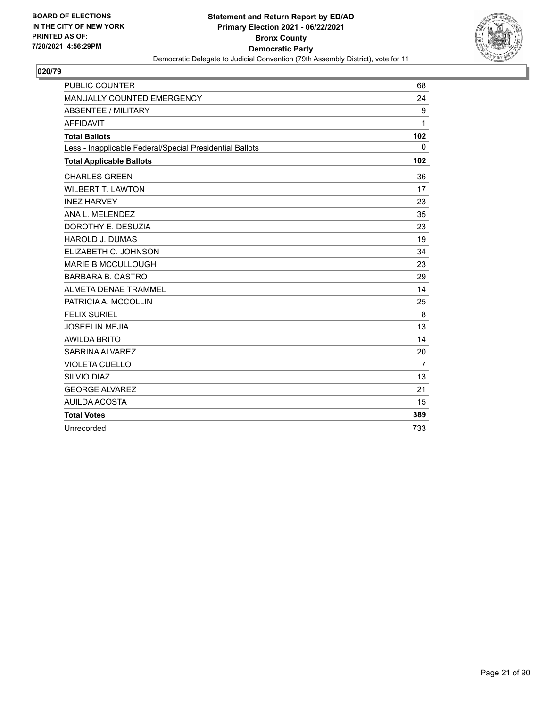

| <b>PUBLIC COUNTER</b>                                    | 68             |
|----------------------------------------------------------|----------------|
| MANUALLY COUNTED EMERGENCY                               | 24             |
| <b>ABSENTEE / MILITARY</b>                               | 9              |
| <b>AFFIDAVIT</b>                                         | 1              |
| <b>Total Ballots</b>                                     | 102            |
| Less - Inapplicable Federal/Special Presidential Ballots | 0              |
| <b>Total Applicable Ballots</b>                          | 102            |
| <b>CHARLES GREEN</b>                                     | 36             |
| <b>WILBERT T. LAWTON</b>                                 | 17             |
| <b>INEZ HARVEY</b>                                       | 23             |
| ANA L. MELENDEZ                                          | 35             |
| DOROTHY E. DESUZIA                                       | 23             |
| <b>HAROLD J. DUMAS</b>                                   | 19             |
| ELIZABETH C. JOHNSON                                     | 34             |
| <b>MARIE B MCCULLOUGH</b>                                | 23             |
| <b>BARBARA B. CASTRO</b>                                 | 29             |
| <b>ALMETA DENAE TRAMMEL</b>                              | 14             |
| PATRICIA A. MCCOLLIN                                     | 25             |
| <b>FELIX SURIEL</b>                                      | 8              |
| <b>JOSEELIN MEJIA</b>                                    | 13             |
| <b>AWILDA BRITO</b>                                      | 14             |
| SABRINA ALVAREZ                                          | 20             |
| <b>VIOLETA CUELLO</b>                                    | $\overline{7}$ |
| SILVIO DIAZ                                              | 13             |
| <b>GEORGE ALVAREZ</b>                                    | 21             |
| AUILDA ACOSTA                                            | 15             |
| <b>Total Votes</b>                                       | 389            |
| Unrecorded                                               | 733            |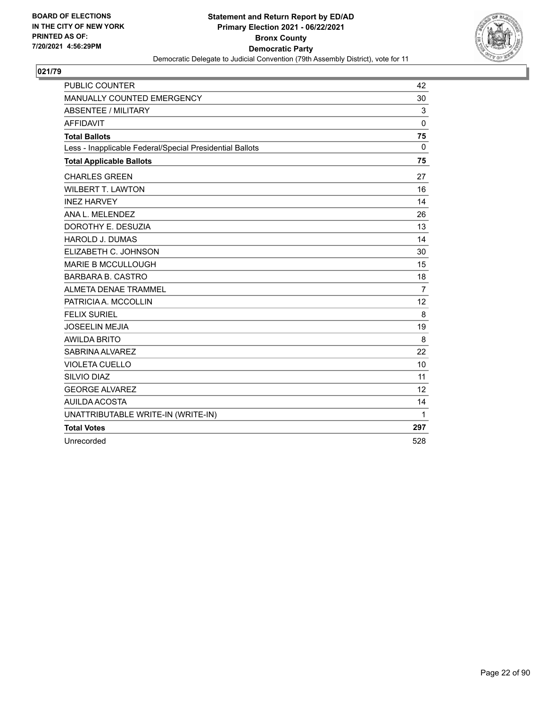

| <b>PUBLIC COUNTER</b>                                    | 42             |
|----------------------------------------------------------|----------------|
| MANUALLY COUNTED EMERGENCY                               | 30             |
| <b>ABSENTEE / MILITARY</b>                               | 3              |
| <b>AFFIDAVIT</b>                                         | $\mathbf 0$    |
| <b>Total Ballots</b>                                     | 75             |
| Less - Inapplicable Federal/Special Presidential Ballots | $\Omega$       |
| <b>Total Applicable Ballots</b>                          | 75             |
| <b>CHARLES GREEN</b>                                     | 27             |
| <b>WILBERT T. LAWTON</b>                                 | 16             |
| <b>INEZ HARVEY</b>                                       | 14             |
| ANA L. MELENDEZ                                          | 26             |
| DOROTHY E. DESUZIA                                       | 13             |
| <b>HAROLD J. DUMAS</b>                                   | 14             |
| ELIZABETH C. JOHNSON                                     | 30             |
| <b>MARIE B MCCULLOUGH</b>                                | 15             |
| <b>BARBARA B. CASTRO</b>                                 | 18             |
| ALMETA DENAE TRAMMEL                                     | $\overline{7}$ |
| PATRICIA A. MCCOLLIN                                     | 12             |
| <b>FELIX SURIEL</b>                                      | 8              |
| <b>JOSEELIN MEJIA</b>                                    | 19             |
| <b>AWILDA BRITO</b>                                      | 8              |
| SABRINA ALVAREZ                                          | 22             |
| <b>VIOLETA CUELLO</b>                                    | 10             |
| SILVIO DIAZ                                              | 11             |
| <b>GEORGE ALVAREZ</b>                                    | 12             |
| <b>AUILDA ACOSTA</b>                                     | 14             |
| UNATTRIBUTABLE WRITE-IN (WRITE-IN)                       | 1              |
| <b>Total Votes</b>                                       | 297            |
| Unrecorded                                               | 528            |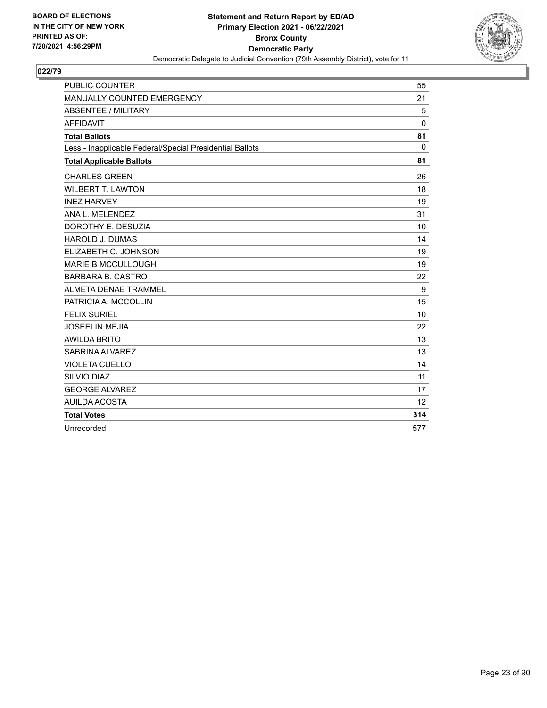

| <b>PUBLIC COUNTER</b>                                    | 55           |
|----------------------------------------------------------|--------------|
| MANUALLY COUNTED EMERGENCY                               | 21           |
| <b>ABSENTEE / MILITARY</b>                               | 5            |
| <b>AFFIDAVIT</b>                                         | 0            |
| <b>Total Ballots</b>                                     | 81           |
| Less - Inapplicable Federal/Special Presidential Ballots | $\mathbf{0}$ |
| <b>Total Applicable Ballots</b>                          | 81           |
| <b>CHARLES GREEN</b>                                     | 26           |
| <b>WILBERT T. LAWTON</b>                                 | 18           |
| <b>INEZ HARVEY</b>                                       | 19           |
| ANA L. MELENDEZ                                          | 31           |
| DOROTHY E. DESUZIA                                       | 10           |
| <b>HAROLD J. DUMAS</b>                                   | 14           |
| ELIZABETH C. JOHNSON                                     | 19           |
| <b>MARIE B MCCULLOUGH</b>                                | 19           |
| <b>BARBARA B. CASTRO</b>                                 | 22           |
| <b>ALMETA DENAE TRAMMEL</b>                              | 9            |
| PATRICIA A. MCCOLLIN                                     | 15           |
| <b>FELIX SURIEL</b>                                      | 10           |
| <b>JOSEELIN MEJIA</b>                                    | 22           |
| <b>AWILDA BRITO</b>                                      | 13           |
| SABRINA ALVAREZ                                          | 13           |
| <b>VIOLETA CUELLO</b>                                    | 14           |
| SILVIO DIAZ                                              | 11           |
| <b>GEORGE ALVAREZ</b>                                    | 17           |
| AUILDA ACOSTA                                            | 12           |
| <b>Total Votes</b>                                       | 314          |
| Unrecorded                                               | 577          |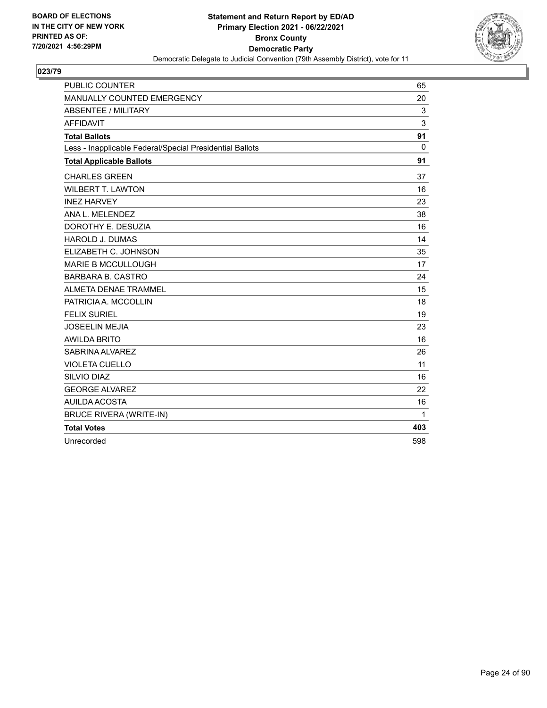

| <b>PUBLIC COUNTER</b>                                    | 65       |
|----------------------------------------------------------|----------|
| MANUALLY COUNTED EMERGENCY                               | 20       |
| <b>ABSENTEE / MILITARY</b>                               | 3        |
| <b>AFFIDAVIT</b>                                         | 3        |
| <b>Total Ballots</b>                                     | 91       |
| Less - Inapplicable Federal/Special Presidential Ballots | $\Omega$ |
| <b>Total Applicable Ballots</b>                          | 91       |
| <b>CHARLES GREEN</b>                                     | 37       |
| <b>WILBERT T. LAWTON</b>                                 | 16       |
| <b>INEZ HARVEY</b>                                       | 23       |
| ANA L. MELENDEZ                                          | 38       |
| DOROTHY E. DESUZIA                                       | 16       |
| <b>HAROLD J. DUMAS</b>                                   | 14       |
| ELIZABETH C. JOHNSON                                     | 35       |
| <b>MARIE B MCCULLOUGH</b>                                | 17       |
| <b>BARBARA B. CASTRO</b>                                 | 24       |
| ALMETA DENAE TRAMMEL                                     | 15       |
| PATRICIA A. MCCOLLIN                                     | 18       |
| <b>FELIX SURIEL</b>                                      | 19       |
| <b>JOSEELIN MEJIA</b>                                    | 23       |
| <b>AWILDA BRITO</b>                                      | 16       |
| SABRINA ALVAREZ                                          | 26       |
| <b>VIOLETA CUELLO</b>                                    | 11       |
| SILVIO DIAZ                                              | 16       |
| <b>GEORGE ALVAREZ</b>                                    | 22       |
| <b>AUILDA ACOSTA</b>                                     | 16       |
| <b>BRUCE RIVERA (WRITE-IN)</b>                           | 1        |
| <b>Total Votes</b>                                       | 403      |
| Unrecorded                                               | 598      |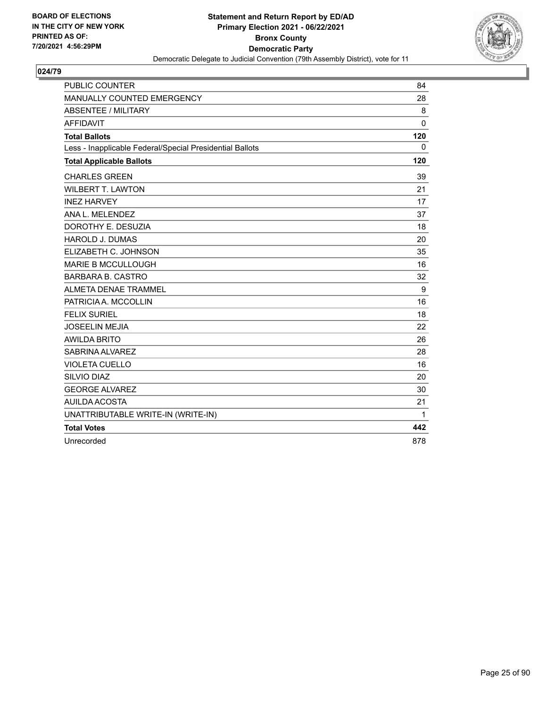

| <b>PUBLIC COUNTER</b>                                    | 84           |
|----------------------------------------------------------|--------------|
| MANUALLY COUNTED EMERGENCY                               | 28           |
| <b>ABSENTEE / MILITARY</b>                               | 8            |
| <b>AFFIDAVIT</b>                                         | $\mathbf 0$  |
| <b>Total Ballots</b>                                     | 120          |
| Less - Inapplicable Federal/Special Presidential Ballots | $\mathbf{0}$ |
| <b>Total Applicable Ballots</b>                          | 120          |
| <b>CHARLES GREEN</b>                                     | 39           |
| <b>WILBERT T. LAWTON</b>                                 | 21           |
| <b>INEZ HARVEY</b>                                       | 17           |
| ANA L. MELENDEZ                                          | 37           |
| DOROTHY E. DESUZIA                                       | 18           |
| <b>HAROLD J. DUMAS</b>                                   | 20           |
| ELIZABETH C. JOHNSON                                     | 35           |
| <b>MARIE B MCCULLOUGH</b>                                | 16           |
| <b>BARBARA B. CASTRO</b>                                 | 32           |
| ALMETA DENAE TRAMMEL                                     | 9            |
| PATRICIA A. MCCOLLIN                                     | 16           |
| <b>FELIX SURIEL</b>                                      | 18           |
| <b>JOSEELIN MEJIA</b>                                    | 22           |
| <b>AWILDA BRITO</b>                                      | 26           |
| SABRINA ALVAREZ                                          | 28           |
| <b>VIOLETA CUELLO</b>                                    | 16           |
| SILVIO DIAZ                                              | 20           |
| <b>GEORGE ALVAREZ</b>                                    | 30           |
| AUILDA ACOSTA                                            | 21           |
| UNATTRIBUTABLE WRITE-IN (WRITE-IN)                       | $\mathbf{1}$ |
| <b>Total Votes</b>                                       | 442          |
| Unrecorded                                               | 878          |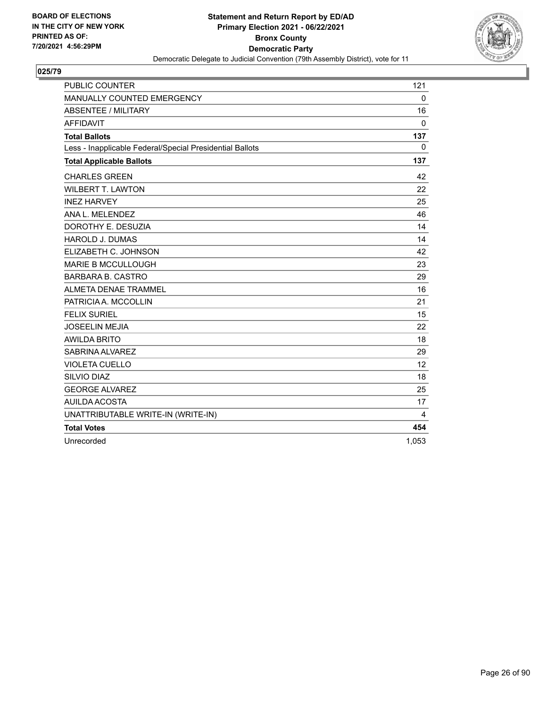

| <b>PUBLIC COUNTER</b>                                    | 121         |
|----------------------------------------------------------|-------------|
| MANUALLY COUNTED EMERGENCY                               | $\mathbf 0$ |
| <b>ABSENTEE / MILITARY</b>                               | 16          |
| <b>AFFIDAVIT</b>                                         | $\mathbf 0$ |
| <b>Total Ballots</b>                                     | 137         |
| Less - Inapplicable Federal/Special Presidential Ballots | $\mathbf 0$ |
| <b>Total Applicable Ballots</b>                          | 137         |
| <b>CHARLES GREEN</b>                                     | 42          |
| <b>WILBERT T. LAWTON</b>                                 | 22          |
| <b>INEZ HARVEY</b>                                       | 25          |
| ANA L. MELENDEZ                                          | 46          |
| DOROTHY E. DESUZIA                                       | 14          |
| <b>HAROLD J. DUMAS</b>                                   | 14          |
| ELIZABETH C. JOHNSON                                     | 42          |
| <b>MARIE B MCCULLOUGH</b>                                | 23          |
| <b>BARBARA B. CASTRO</b>                                 | 29          |
| <b>ALMETA DENAE TRAMMEL</b>                              | 16          |
| PATRICIA A. MCCOLLIN                                     | 21          |
| <b>FELIX SURIEL</b>                                      | 15          |
| <b>JOSEELIN MEJIA</b>                                    | 22          |
| <b>AWILDA BRITO</b>                                      | 18          |
| SABRINA ALVAREZ                                          | 29          |
| <b>VIOLETA CUELLO</b>                                    | 12          |
| SILVIO DIAZ                                              | 18          |
| <b>GEORGE ALVAREZ</b>                                    | 25          |
| <b>AUILDA ACOSTA</b>                                     | 17          |
| UNATTRIBUTABLE WRITE-IN (WRITE-IN)                       | 4           |
| <b>Total Votes</b>                                       | 454         |
| Unrecorded                                               | 1,053       |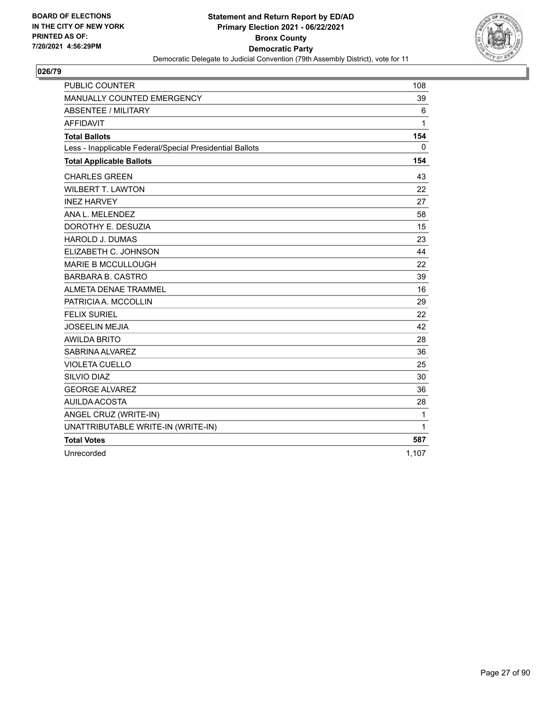

| <b>PUBLIC COUNTER</b>                                    | 108          |
|----------------------------------------------------------|--------------|
| MANUALLY COUNTED EMERGENCY                               | 39           |
| <b>ABSENTEE / MILITARY</b>                               | 6            |
| <b>AFFIDAVIT</b>                                         | 1            |
| <b>Total Ballots</b>                                     | 154          |
| Less - Inapplicable Federal/Special Presidential Ballots | 0            |
| <b>Total Applicable Ballots</b>                          | 154          |
| <b>CHARLES GREEN</b>                                     | 43           |
| <b>WILBERT T. LAWTON</b>                                 | 22           |
| <b>INEZ HARVEY</b>                                       | 27           |
| ANA L. MELENDEZ                                          | 58           |
| DOROTHY E. DESUZIA                                       | 15           |
| <b>HAROLD J. DUMAS</b>                                   | 23           |
| ELIZABETH C. JOHNSON                                     | 44           |
| <b>MARIE B MCCULLOUGH</b>                                | 22           |
| <b>BARBARA B. CASTRO</b>                                 | 39           |
| ALMETA DENAE TRAMMEL                                     | 16           |
| PATRICIA A. MCCOLLIN                                     | 29           |
| <b>FELIX SURIEL</b>                                      | 22           |
| <b>JOSEELIN MEJIA</b>                                    | 42           |
| <b>AWILDA BRITO</b>                                      | 28           |
| SABRINA ALVAREZ                                          | 36           |
| <b>VIOLETA CUELLO</b>                                    | 25           |
| SILVIO DIAZ                                              | 30           |
| <b>GEORGE ALVAREZ</b>                                    | 36           |
| <b>AUILDA ACOSTA</b>                                     | 28           |
| ANGEL CRUZ (WRITE-IN)                                    | $\mathbf{1}$ |
| UNATTRIBUTABLE WRITE-IN (WRITE-IN)                       | 1            |
| <b>Total Votes</b>                                       | 587          |
| Unrecorded                                               | 1,107        |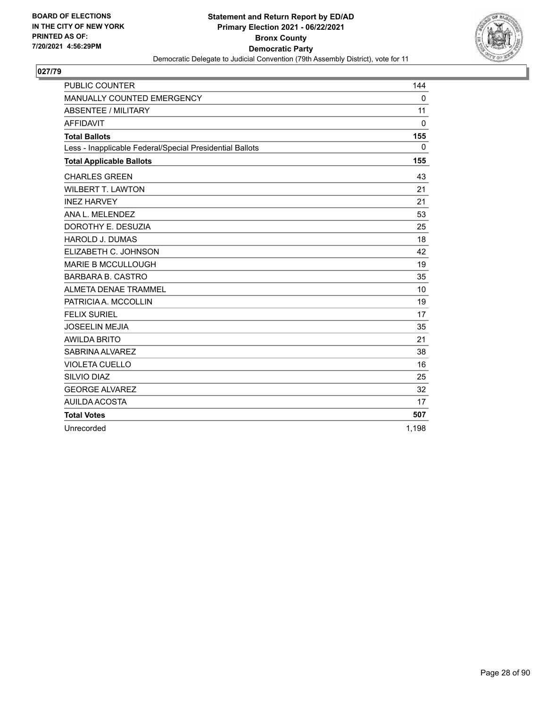

| <b>PUBLIC COUNTER</b>                                    | 144          |
|----------------------------------------------------------|--------------|
| MANUALLY COUNTED EMERGENCY                               | $\mathbf 0$  |
| <b>ABSENTEE / MILITARY</b>                               | 11           |
| <b>AFFIDAVIT</b>                                         | $\mathbf{0}$ |
| <b>Total Ballots</b>                                     | 155          |
| Less - Inapplicable Federal/Special Presidential Ballots | 0            |
| <b>Total Applicable Ballots</b>                          | 155          |
| <b>CHARLES GREEN</b>                                     | 43           |
| <b>WILBERT T. LAWTON</b>                                 | 21           |
| <b>INEZ HARVEY</b>                                       | 21           |
| ANA L. MELENDEZ                                          | 53           |
| DOROTHY E. DESUZIA                                       | 25           |
| <b>HAROLD J. DUMAS</b>                                   | 18           |
| ELIZABETH C. JOHNSON                                     | 42           |
| <b>MARIE B MCCULLOUGH</b>                                | 19           |
| <b>BARBARA B. CASTRO</b>                                 | 35           |
| <b>ALMETA DENAE TRAMMEL</b>                              | 10           |
| PATRICIA A. MCCOLLIN                                     | 19           |
| <b>FELIX SURIEL</b>                                      | 17           |
| <b>JOSEELIN MEJIA</b>                                    | 35           |
| <b>AWILDA BRITO</b>                                      | 21           |
| SABRINA ALVAREZ                                          | 38           |
| <b>VIOLETA CUELLO</b>                                    | 16           |
| SILVIO DIAZ                                              | 25           |
| <b>GEORGE ALVAREZ</b>                                    | 32           |
| AUILDA ACOSTA                                            | 17           |
| <b>Total Votes</b>                                       | 507          |
| Unrecorded                                               | 1,198        |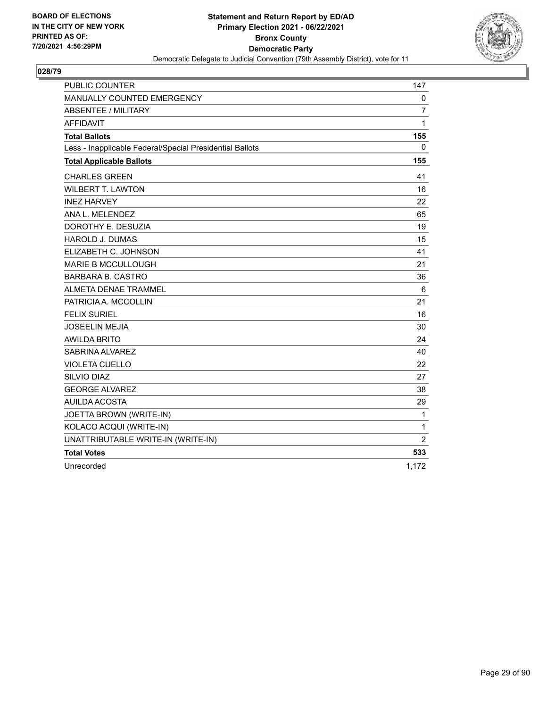

| <b>PUBLIC COUNTER</b>                                    | 147            |
|----------------------------------------------------------|----------------|
| MANUALLY COUNTED EMERGENCY                               | 0              |
| ABSENTEE / MILITARY                                      | $\overline{7}$ |
| <b>AFFIDAVIT</b>                                         | 1              |
| <b>Total Ballots</b>                                     | 155            |
| Less - Inapplicable Federal/Special Presidential Ballots | 0              |
| <b>Total Applicable Ballots</b>                          | 155            |
| <b>CHARLES GREEN</b>                                     | 41             |
| <b>WILBERT T. LAWTON</b>                                 | 16             |
| <b>INEZ HARVEY</b>                                       | 22             |
| ANA L. MELENDEZ                                          | 65             |
| DOROTHY E. DESUZIA                                       | 19             |
| <b>HAROLD J. DUMAS</b>                                   | 15             |
| ELIZABETH C. JOHNSON                                     | 41             |
| <b>MARIE B MCCULLOUGH</b>                                | 21             |
| <b>BARBARA B. CASTRO</b>                                 | 36             |
| <b>ALMETA DENAE TRAMMEL</b>                              | 6              |
| PATRICIA A. MCCOLLIN                                     | 21             |
| <b>FELIX SURIEL</b>                                      | 16             |
| <b>JOSEELIN MEJIA</b>                                    | 30             |
| <b>AWILDA BRITO</b>                                      | 24             |
| SABRINA ALVAREZ                                          | 40             |
| <b>VIOLETA CUELLO</b>                                    | 22             |
| SILVIO DIAZ                                              | 27             |
| <b>GEORGE ALVAREZ</b>                                    | 38             |
| <b>AUILDA ACOSTA</b>                                     | 29             |
| JOETTA BROWN (WRITE-IN)                                  | $\mathbf 1$    |
| KOLACO ACQUI (WRITE-IN)                                  | $\mathbf{1}$   |
| UNATTRIBUTABLE WRITE-IN (WRITE-IN)                       | $\overline{2}$ |
| <b>Total Votes</b>                                       | 533            |
| Unrecorded                                               | 1,172          |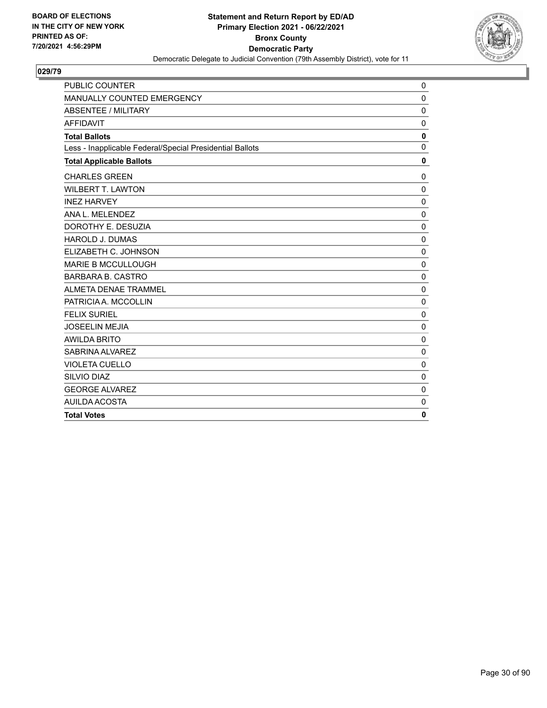

| <b>PUBLIC COUNTER</b>                                    | 0            |
|----------------------------------------------------------|--------------|
| MANUALLY COUNTED EMERGENCY                               | $\Omega$     |
| <b>ABSENTEE / MILITARY</b>                               | $\mathbf{0}$ |
| <b>AFFIDAVIT</b>                                         | $\Omega$     |
| <b>Total Ballots</b>                                     | 0            |
| Less - Inapplicable Federal/Special Presidential Ballots | $\mathbf{0}$ |
| <b>Total Applicable Ballots</b>                          | 0            |
| <b>CHARLES GREEN</b>                                     | 0            |
| <b>WILBERT T. LAWTON</b>                                 | $\Omega$     |
| <b>INEZ HARVEY</b>                                       | $\mathbf{0}$ |
| ANA L. MELENDEZ                                          | $\Omega$     |
| DOROTHY E. DESUZIA                                       | $\mathbf 0$  |
| <b>HAROLD J. DUMAS</b>                                   | $\Omega$     |
| ELIZABETH C. JOHNSON                                     | $\mathbf{0}$ |
| <b>MARIE B MCCULLOUGH</b>                                | $\mathbf 0$  |
| <b>BARBARA B. CASTRO</b>                                 | $\Omega$     |
| ALMETA DENAE TRAMMEL                                     | $\mathbf 0$  |
| PATRICIA A. MCCOLLIN                                     | $\mathbf{0}$ |
| <b>FELIX SURIEL</b>                                      | $\Omega$     |
| <b>JOSEELIN MEJIA</b>                                    | $\mathbf 0$  |
| <b>AWILDA BRITO</b>                                      | $\mathbf{0}$ |
| SABRINA ALVAREZ                                          | $\mathbf 0$  |
| <b>VIOLETA CUELLO</b>                                    | $\mathbf 0$  |
| SILVIO DIAZ                                              | 0            |
| <b>GEORGE ALVAREZ</b>                                    | $\mathbf 0$  |
| AUILDA ACOSTA                                            | $\Omega$     |
| <b>Total Votes</b>                                       | 0            |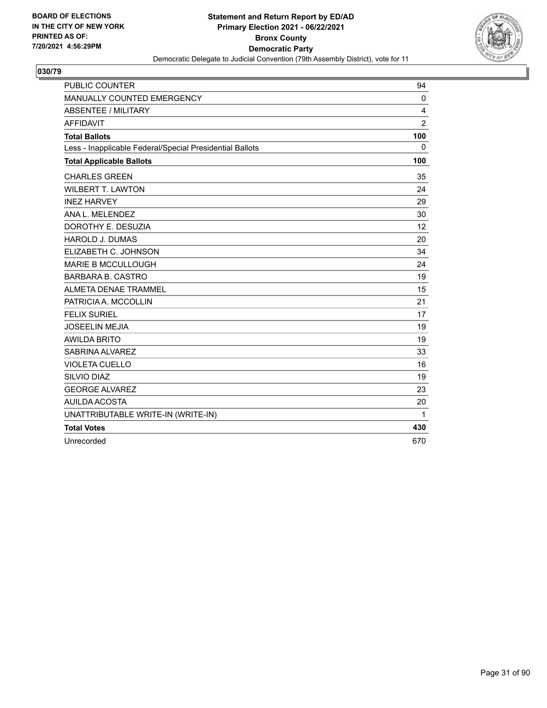

| <b>PUBLIC COUNTER</b>                                    | 94             |
|----------------------------------------------------------|----------------|
| MANUALLY COUNTED EMERGENCY                               | 0              |
| <b>ABSENTEE / MILITARY</b>                               | 4              |
| <b>AFFIDAVIT</b>                                         | $\overline{2}$ |
| <b>Total Ballots</b>                                     | 100            |
| Less - Inapplicable Federal/Special Presidential Ballots | 0              |
| <b>Total Applicable Ballots</b>                          | 100            |
| <b>CHARLES GREEN</b>                                     | 35             |
| <b>WILBERT T. LAWTON</b>                                 | 24             |
| <b>INEZ HARVEY</b>                                       | 29             |
| ANA L. MELENDEZ                                          | 30             |
| DOROTHY E. DESUZIA                                       | 12             |
| <b>HAROLD J. DUMAS</b>                                   | 20             |
| ELIZABETH C. JOHNSON                                     | 34             |
| <b>MARIE B MCCULLOUGH</b>                                | 24             |
| <b>BARBARA B. CASTRO</b>                                 | 19             |
| ALMETA DENAE TRAMMEL                                     | 15             |
| PATRICIA A. MCCOLLIN                                     | 21             |
| <b>FELIX SURIEL</b>                                      | 17             |
| <b>JOSEELIN MEJIA</b>                                    | 19             |
| <b>AWILDA BRITO</b>                                      | 19             |
| SABRINA ALVAREZ                                          | 33             |
| <b>VIOLETA CUELLO</b>                                    | 16             |
| SILVIO DIAZ                                              | 19             |
| <b>GEORGE ALVAREZ</b>                                    | 23             |
| AUILDA ACOSTA                                            | 20             |
| UNATTRIBUTABLE WRITE-IN (WRITE-IN)                       | $\mathbf{1}$   |
| <b>Total Votes</b>                                       | 430            |
| Unrecorded                                               | 670            |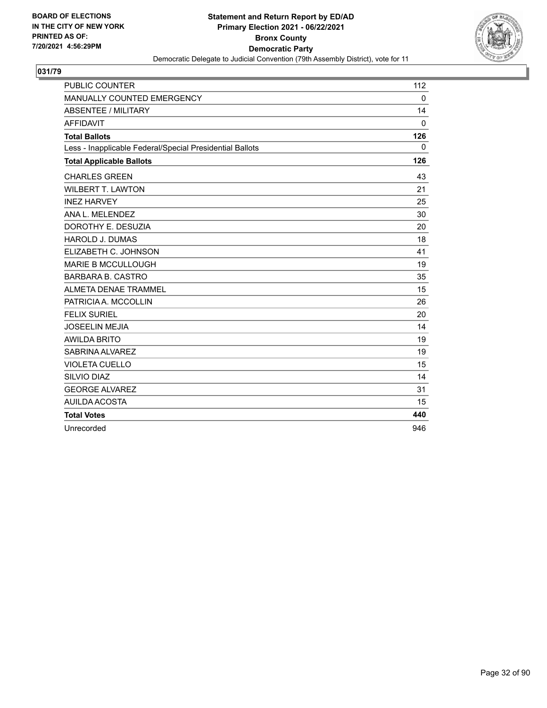

| <b>PUBLIC COUNTER</b>                                    | 112          |
|----------------------------------------------------------|--------------|
| MANUALLY COUNTED EMERGENCY                               | $\mathbf 0$  |
| <b>ABSENTEE / MILITARY</b>                               | 14           |
| <b>AFFIDAVIT</b>                                         | $\mathbf{0}$ |
| <b>Total Ballots</b>                                     | 126          |
| Less - Inapplicable Federal/Special Presidential Ballots | $\mathbf{0}$ |
| <b>Total Applicable Ballots</b>                          | 126          |
| <b>CHARLES GREEN</b>                                     | 43           |
| <b>WILBERT T. LAWTON</b>                                 | 21           |
| <b>INEZ HARVEY</b>                                       | 25           |
| ANA L. MELENDEZ                                          | 30           |
| DOROTHY E. DESUZIA                                       | 20           |
| <b>HAROLD J. DUMAS</b>                                   | 18           |
| ELIZABETH C. JOHNSON                                     | 41           |
| <b>MARIE B MCCULLOUGH</b>                                | 19           |
| <b>BARBARA B. CASTRO</b>                                 | 35           |
| ALMETA DENAE TRAMMEL                                     | 15           |
| PATRICIA A. MCCOLLIN                                     | 26           |
| <b>FELIX SURIEL</b>                                      | 20           |
| <b>JOSEELIN MEJIA</b>                                    | 14           |
| <b>AWILDA BRITO</b>                                      | 19           |
| SABRINA ALVAREZ                                          | 19           |
| <b>VIOLETA CUELLO</b>                                    | 15           |
| SILVIO DIAZ                                              | 14           |
| <b>GEORGE ALVAREZ</b>                                    | 31           |
| AUILDA ACOSTA                                            | 15           |
| <b>Total Votes</b>                                       | 440          |
| Unrecorded                                               | 946          |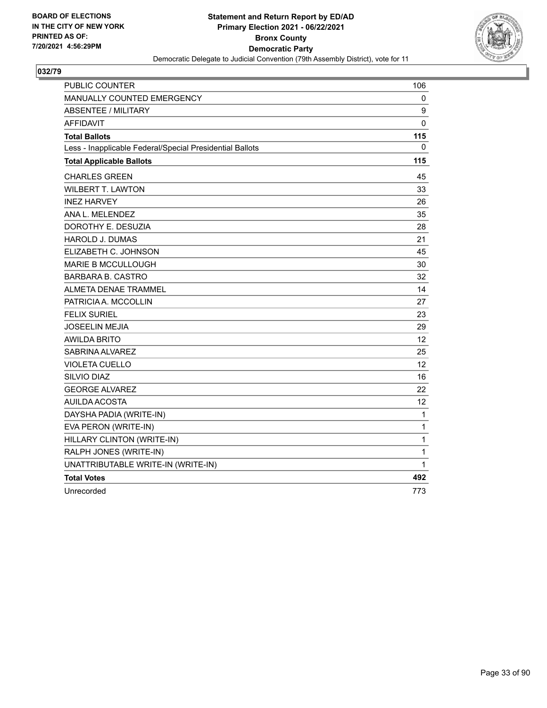

| PUBLIC COUNTER                                           | 106               |
|----------------------------------------------------------|-------------------|
| MANUALLY COUNTED EMERGENCY                               | 0                 |
| <b>ABSENTEE / MILITARY</b>                               | 9                 |
| <b>AFFIDAVIT</b>                                         | 0                 |
| <b>Total Ballots</b>                                     | 115               |
| Less - Inapplicable Federal/Special Presidential Ballots | 0                 |
| <b>Total Applicable Ballots</b>                          | 115               |
| <b>CHARLES GREEN</b>                                     | 45                |
| <b>WILBERT T. LAWTON</b>                                 | 33                |
| <b>INEZ HARVEY</b>                                       | 26                |
| ANA L. MELENDEZ                                          | 35                |
| DOROTHY E. DESUZIA                                       | 28                |
| HAROLD J. DUMAS                                          | 21                |
| ELIZABETH C. JOHNSON                                     | 45                |
| <b>MARIE B MCCULLOUGH</b>                                | 30                |
| <b>BARBARA B. CASTRO</b>                                 | 32                |
| ALMETA DENAE TRAMMEL                                     | 14                |
| PATRICIA A. MCCOLLIN                                     | 27                |
| <b>FELIX SURIEL</b>                                      | 23                |
| <b>JOSEELIN MEJIA</b>                                    | 29                |
| <b>AWILDA BRITO</b>                                      | $12 \overline{ }$ |
| SABRINA ALVAREZ                                          | 25                |
| <b>VIOLETA CUELLO</b>                                    | 12                |
| <b>SILVIO DIAZ</b>                                       | 16                |
| <b>GEORGE ALVAREZ</b>                                    | 22                |
| <b>AUILDA ACOSTA</b>                                     | 12                |
| DAYSHA PADIA (WRITE-IN)                                  | 1                 |
| EVA PERON (WRITE-IN)                                     | 1                 |
| HILLARY CLINTON (WRITE-IN)                               | 1                 |
| RALPH JONES (WRITE-IN)                                   | 1                 |
| UNATTRIBUTABLE WRITE-IN (WRITE-IN)                       | 1                 |
| <b>Total Votes</b>                                       | 492               |
| Unrecorded                                               | 773               |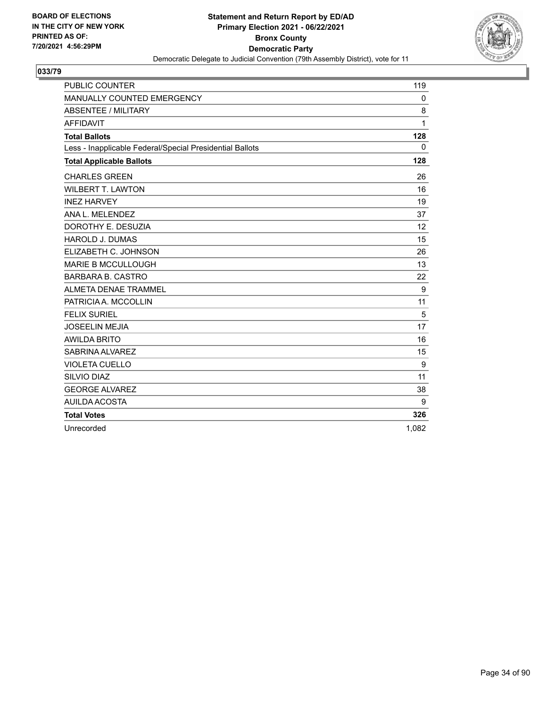

| <b>PUBLIC COUNTER</b>                                    | 119   |
|----------------------------------------------------------|-------|
| MANUALLY COUNTED EMERGENCY                               | 0     |
| <b>ABSENTEE / MILITARY</b>                               | 8     |
| <b>AFFIDAVIT</b>                                         | 1     |
| <b>Total Ballots</b>                                     | 128   |
| Less - Inapplicable Federal/Special Presidential Ballots | 0     |
| <b>Total Applicable Ballots</b>                          | 128   |
| <b>CHARLES GREEN</b>                                     | 26    |
| <b>WILBERT T. LAWTON</b>                                 | 16    |
| <b>INEZ HARVEY</b>                                       | 19    |
| ANA L. MELENDEZ                                          | 37    |
| DOROTHY E. DESUZIA                                       | 12    |
| <b>HAROLD J. DUMAS</b>                                   | 15    |
| ELIZABETH C. JOHNSON                                     | 26    |
| <b>MARIE B MCCULLOUGH</b>                                | 13    |
| <b>BARBARA B. CASTRO</b>                                 | 22    |
| <b>ALMETA DENAE TRAMMEL</b>                              | 9     |
| PATRICIA A. MCCOLLIN                                     | 11    |
| <b>FELIX SURIEL</b>                                      | 5     |
| <b>JOSEELIN MEJIA</b>                                    | 17    |
| <b>AWILDA BRITO</b>                                      | 16    |
| SABRINA ALVAREZ                                          | 15    |
| <b>VIOLETA CUELLO</b>                                    | 9     |
| <b>SILVIO DIAZ</b>                                       | 11    |
| <b>GEORGE ALVAREZ</b>                                    | 38    |
| AUILDA ACOSTA                                            | 9     |
| <b>Total Votes</b>                                       | 326   |
| Unrecorded                                               | 1,082 |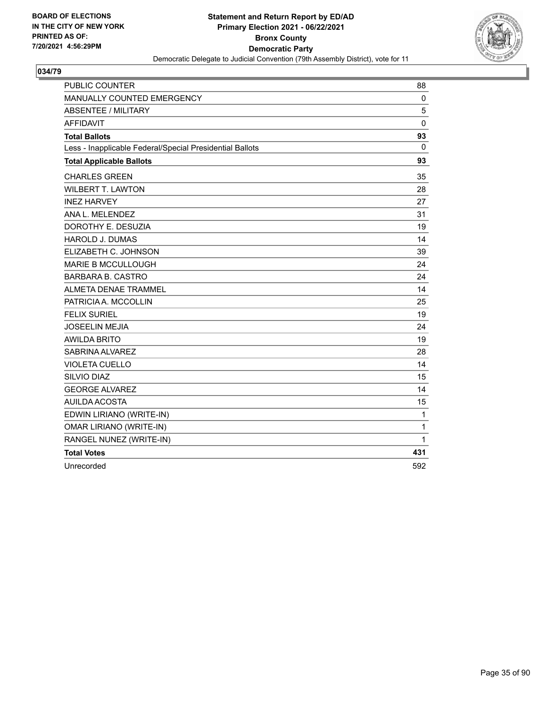

| <b>PUBLIC COUNTER</b>                                    | 88           |
|----------------------------------------------------------|--------------|
| <b>MANUALLY COUNTED EMERGENCY</b>                        | 0            |
| ABSENTEE / MILITARY                                      | 5            |
| <b>AFFIDAVIT</b>                                         | $\mathbf 0$  |
| <b>Total Ballots</b>                                     | 93           |
| Less - Inapplicable Federal/Special Presidential Ballots | 0            |
| <b>Total Applicable Ballots</b>                          | 93           |
| <b>CHARLES GREEN</b>                                     | 35           |
| <b>WILBERT T. LAWTON</b>                                 | 28           |
| <b>INEZ HARVEY</b>                                       | 27           |
| ANA L. MELENDEZ                                          | 31           |
| DOROTHY E. DESUZIA                                       | 19           |
| <b>HAROLD J. DUMAS</b>                                   | 14           |
| ELIZABETH C. JOHNSON                                     | 39           |
| <b>MARIE B MCCULLOUGH</b>                                | 24           |
| <b>BARBARA B. CASTRO</b>                                 | 24           |
| ALMETA DENAE TRAMMEL                                     | 14           |
| PATRICIA A. MCCOLLIN                                     | 25           |
| <b>FELIX SURIEL</b>                                      | 19           |
| <b>JOSEELIN MEJIA</b>                                    | 24           |
| <b>AWILDA BRITO</b>                                      | 19           |
| SABRINA ALVAREZ                                          | 28           |
| <b>VIOLETA CUELLO</b>                                    | 14           |
| SILVIO DIAZ                                              | 15           |
| <b>GEORGE ALVAREZ</b>                                    | 14           |
| AUILDA ACOSTA                                            | 15           |
| EDWIN LIRIANO (WRITE-IN)                                 | $\mathbf{1}$ |
| <b>OMAR LIRIANO (WRITE-IN)</b>                           | 1            |
| RANGEL NUNEZ (WRITE-IN)                                  | 1            |
| <b>Total Votes</b>                                       | 431          |
| Unrecorded                                               | 592          |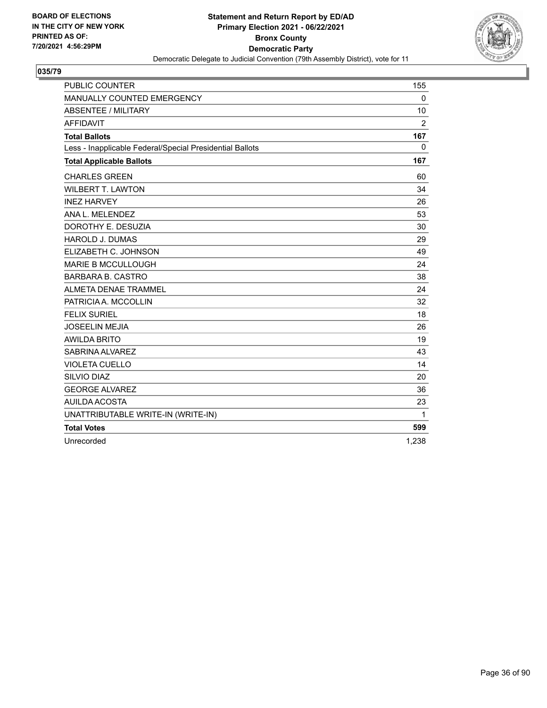

| <b>PUBLIC COUNTER</b>                                    | 155            |
|----------------------------------------------------------|----------------|
| MANUALLY COUNTED EMERGENCY                               | $\mathbf 0$    |
| <b>ABSENTEE / MILITARY</b>                               | 10             |
| <b>AFFIDAVIT</b>                                         | $\overline{2}$ |
| <b>Total Ballots</b>                                     | 167            |
| Less - Inapplicable Federal/Special Presidential Ballots | 0              |
| <b>Total Applicable Ballots</b>                          | 167            |
| <b>CHARLES GREEN</b>                                     | 60             |
| <b>WILBERT T. LAWTON</b>                                 | 34             |
| <b>INEZ HARVEY</b>                                       | 26             |
| ANA L. MELENDEZ                                          | 53             |
| DOROTHY E. DESUZIA                                       | 30             |
| <b>HAROLD J. DUMAS</b>                                   | 29             |
| ELIZABETH C. JOHNSON                                     | 49             |
| <b>MARIE B MCCULLOUGH</b>                                | 24             |
| <b>BARBARA B. CASTRO</b>                                 | 38             |
| ALMETA DENAE TRAMMEL                                     | 24             |
| PATRICIA A. MCCOLLIN                                     | 32             |
| <b>FELIX SURIEL</b>                                      | 18             |
| <b>JOSEELIN MEJIA</b>                                    | 26             |
| <b>AWILDA BRITO</b>                                      | 19             |
| SABRINA ALVAREZ                                          | 43             |
| <b>VIOLETA CUELLO</b>                                    | 14             |
| SILVIO DIAZ                                              | 20             |
| <b>GEORGE ALVAREZ</b>                                    | 36             |
| <b>AUILDA ACOSTA</b>                                     | 23             |
| UNATTRIBUTABLE WRITE-IN (WRITE-IN)                       | 1              |
| <b>Total Votes</b>                                       | 599            |
| Unrecorded                                               | 1.238          |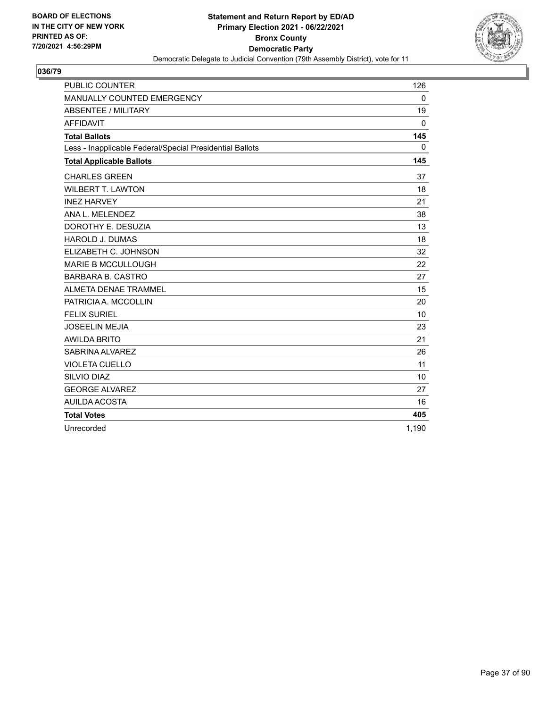

| <b>PUBLIC COUNTER</b>                                    | 126          |
|----------------------------------------------------------|--------------|
| MANUALLY COUNTED EMERGENCY                               | $\mathbf 0$  |
| <b>ABSENTEE / MILITARY</b>                               | 19           |
| <b>AFFIDAVIT</b>                                         | $\mathbf{0}$ |
| <b>Total Ballots</b>                                     | 145          |
| Less - Inapplicable Federal/Special Presidential Ballots | 0            |
| <b>Total Applicable Ballots</b>                          | 145          |
| <b>CHARLES GREEN</b>                                     | 37           |
| <b>WILBERT T. LAWTON</b>                                 | 18           |
| <b>INEZ HARVEY</b>                                       | 21           |
| ANA L. MELENDEZ                                          | 38           |
| DOROTHY E. DESUZIA                                       | 13           |
| <b>HAROLD J. DUMAS</b>                                   | 18           |
| ELIZABETH C. JOHNSON                                     | 32           |
| <b>MARIE B MCCULLOUGH</b>                                | 22           |
| <b>BARBARA B. CASTRO</b>                                 | 27           |
| <b>ALMETA DENAE TRAMMEL</b>                              | 15           |
| PATRICIA A. MCCOLLIN                                     | 20           |
| <b>FELIX SURIEL</b>                                      | 10           |
| <b>JOSEELIN MEJIA</b>                                    | 23           |
| <b>AWILDA BRITO</b>                                      | 21           |
| SABRINA ALVAREZ                                          | 26           |
| <b>VIOLETA CUELLO</b>                                    | 11           |
| SILVIO DIAZ                                              | 10           |
| <b>GEORGE ALVAREZ</b>                                    | 27           |
| AUILDA ACOSTA                                            | 16           |
| <b>Total Votes</b>                                       | 405          |
| Unrecorded                                               | 1,190        |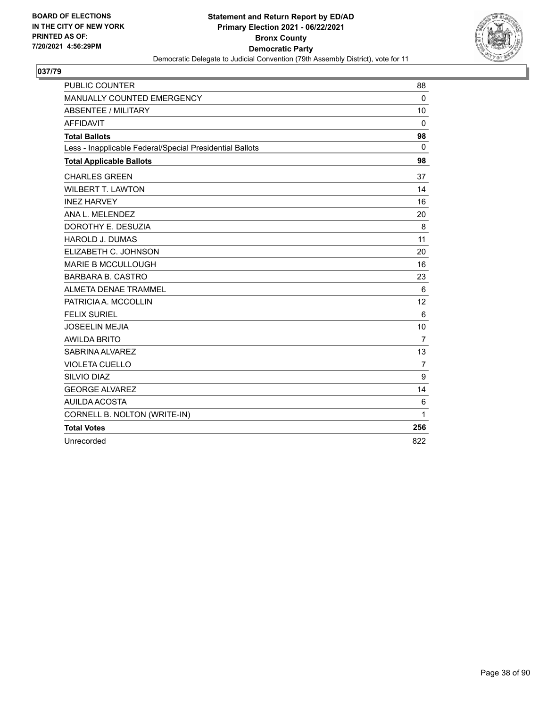

| <b>PUBLIC COUNTER</b>                                    | 88             |
|----------------------------------------------------------|----------------|
| MANUALLY COUNTED EMERGENCY                               | $\Omega$       |
| <b>ABSENTEE / MILITARY</b>                               | 10             |
| <b>AFFIDAVIT</b>                                         | $\mathbf{0}$   |
| <b>Total Ballots</b>                                     | 98             |
| Less - Inapplicable Federal/Special Presidential Ballots | $\Omega$       |
| <b>Total Applicable Ballots</b>                          | 98             |
| <b>CHARLES GREEN</b>                                     | 37             |
| <b>WILBERT T. LAWTON</b>                                 | 14             |
| <b>INEZ HARVEY</b>                                       | 16             |
| ANA L. MELENDEZ                                          | 20             |
| DOROTHY E. DESUZIA                                       | 8              |
| <b>HAROLD J. DUMAS</b>                                   | 11             |
| ELIZABETH C. JOHNSON                                     | 20             |
| <b>MARIE B MCCULLOUGH</b>                                | 16             |
| <b>BARBARA B. CASTRO</b>                                 | 23             |
| <b>ALMETA DENAE TRAMMEL</b>                              | 6              |
| PATRICIA A. MCCOLLIN                                     | 12             |
| <b>FELIX SURIEL</b>                                      | 6              |
| <b>JOSEELIN MEJIA</b>                                    | 10             |
| <b>AWILDA BRITO</b>                                      | $\overline{7}$ |
| SABRINA ALVAREZ                                          | 13             |
| <b>VIOLETA CUELLO</b>                                    | $\overline{7}$ |
| SILVIO DIAZ                                              | 9              |
| <b>GEORGE ALVAREZ</b>                                    | 14             |
| <b>AUILDA ACOSTA</b>                                     | 6              |
| CORNELL B. NOLTON (WRITE-IN)                             | 1              |
| <b>Total Votes</b>                                       | 256            |
| Unrecorded                                               | 822            |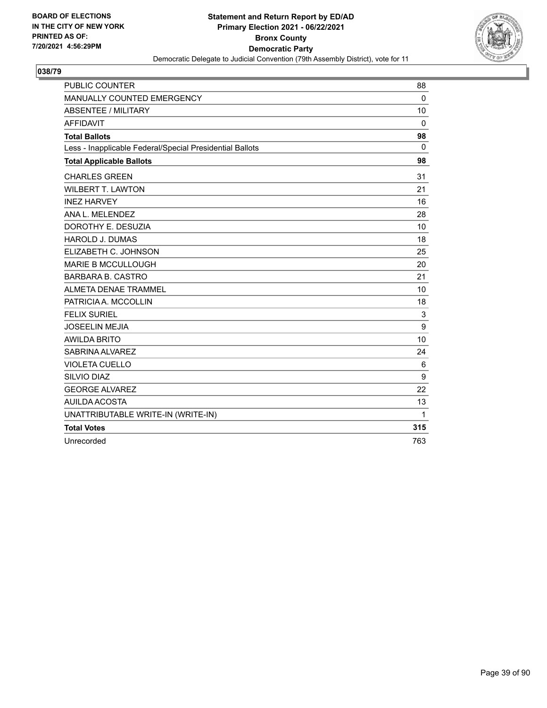

| <b>PUBLIC COUNTER</b>                                    | 88           |
|----------------------------------------------------------|--------------|
| MANUALLY COUNTED EMERGENCY                               | $\Omega$     |
| <b>ABSENTEE / MILITARY</b>                               | 10           |
| <b>AFFIDAVIT</b>                                         | $\mathbf 0$  |
| <b>Total Ballots</b>                                     | 98           |
| Less - Inapplicable Federal/Special Presidential Ballots | $\mathbf{0}$ |
| <b>Total Applicable Ballots</b>                          | 98           |
| <b>CHARLES GREEN</b>                                     | 31           |
| <b>WILBERT T. LAWTON</b>                                 | 21           |
| <b>INEZ HARVEY</b>                                       | 16           |
| ANA L. MELENDEZ                                          | 28           |
| DOROTHY E. DESUZIA                                       | 10           |
| <b>HAROLD J. DUMAS</b>                                   | 18           |
| ELIZABETH C. JOHNSON                                     | 25           |
| <b>MARIE B MCCULLOUGH</b>                                | 20           |
| <b>BARBARA B. CASTRO</b>                                 | 21           |
| ALMETA DENAE TRAMMEL                                     | 10           |
| PATRICIA A. MCCOLLIN                                     | 18           |
| <b>FELIX SURIEL</b>                                      | 3            |
| <b>JOSEELIN MEJIA</b>                                    | 9            |
| <b>AWILDA BRITO</b>                                      | 10           |
| SABRINA ALVAREZ                                          | 24           |
| <b>VIOLETA CUELLO</b>                                    | 6            |
| SILVIO DIAZ                                              | 9            |
| <b>GEORGE ALVAREZ</b>                                    | 22           |
| <b>AUILDA ACOSTA</b>                                     | 13           |
| UNATTRIBUTABLE WRITE-IN (WRITE-IN)                       | $\mathbf{1}$ |
| <b>Total Votes</b>                                       | 315          |
| Unrecorded                                               | 763          |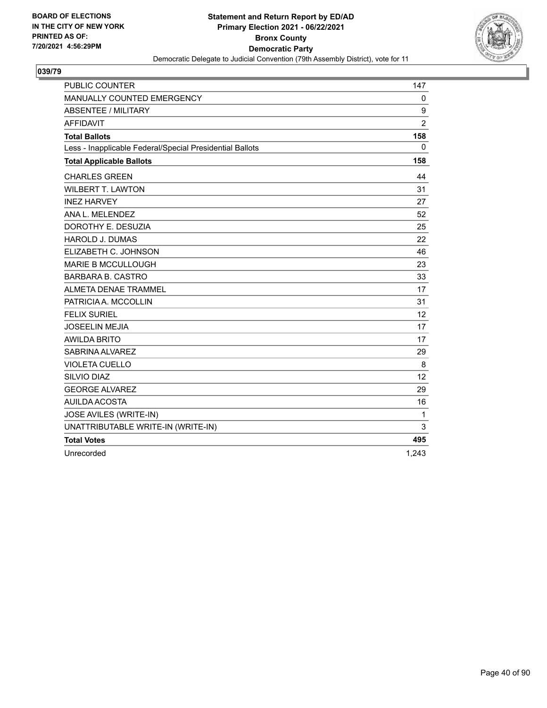

| <b>PUBLIC COUNTER</b>                                    | 147            |
|----------------------------------------------------------|----------------|
| MANUALLY COUNTED EMERGENCY                               | $\mathbf 0$    |
| <b>ABSENTEE / MILITARY</b>                               | 9              |
| <b>AFFIDAVIT</b>                                         | $\overline{2}$ |
| <b>Total Ballots</b>                                     | 158            |
| Less - Inapplicable Federal/Special Presidential Ballots | 0              |
| <b>Total Applicable Ballots</b>                          | 158            |
| <b>CHARLES GREEN</b>                                     | 44             |
| <b>WILBERT T. LAWTON</b>                                 | 31             |
| <b>INEZ HARVEY</b>                                       | 27             |
| ANA L. MELENDEZ                                          | 52             |
| DOROTHY E. DESUZIA                                       | 25             |
| <b>HAROLD J. DUMAS</b>                                   | 22             |
| ELIZABETH C. JOHNSON                                     | 46             |
| <b>MARIE B MCCULLOUGH</b>                                | 23             |
| <b>BARBARA B. CASTRO</b>                                 | 33             |
| ALMETA DENAE TRAMMEL                                     | 17             |
| PATRICIA A. MCCOLLIN                                     | 31             |
| <b>FELIX SURIEL</b>                                      | 12             |
| <b>JOSEELIN MEJIA</b>                                    | 17             |
| <b>AWILDA BRITO</b>                                      | 17             |
| SABRINA ALVAREZ                                          | 29             |
| <b>VIOLETA CUELLO</b>                                    | 8              |
| SILVIO DIAZ                                              | 12             |
| <b>GEORGE ALVAREZ</b>                                    | 29             |
| AUILDA ACOSTA                                            | 16             |
| JOSE AVILES (WRITE-IN)                                   | 1              |
| UNATTRIBUTABLE WRITE-IN (WRITE-IN)                       | 3              |
| <b>Total Votes</b>                                       | 495            |
| Unrecorded                                               | 1,243          |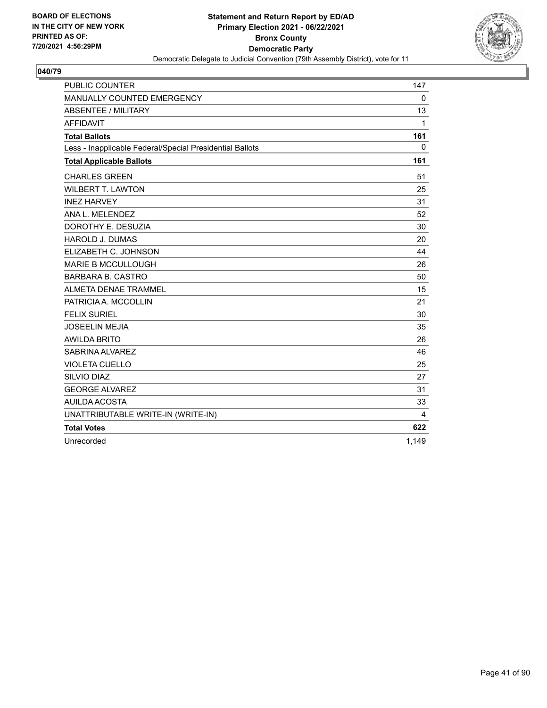

| <b>PUBLIC COUNTER</b>                                    | 147      |
|----------------------------------------------------------|----------|
| MANUALLY COUNTED EMERGENCY                               | $\Omega$ |
| <b>ABSENTEE / MILITARY</b>                               | 13       |
| <b>AFFIDAVIT</b>                                         | 1        |
| <b>Total Ballots</b>                                     | 161      |
| Less - Inapplicable Federal/Special Presidential Ballots | $\Omega$ |
| <b>Total Applicable Ballots</b>                          | 161      |
| <b>CHARLES GREEN</b>                                     | 51       |
| <b>WILBERT T. LAWTON</b>                                 | 25       |
| <b>INEZ HARVEY</b>                                       | 31       |
| ANA L. MELENDEZ                                          | 52       |
| DOROTHY E. DESUZIA                                       | 30       |
| <b>HAROLD J. DUMAS</b>                                   | 20       |
| ELIZABETH C. JOHNSON                                     | 44       |
| <b>MARIE B MCCULLOUGH</b>                                | 26       |
| <b>BARBARA B. CASTRO</b>                                 | 50       |
| <b>ALMETA DENAE TRAMMEL</b>                              | 15       |
| PATRICIA A. MCCOLLIN                                     | 21       |
| <b>FELIX SURIEL</b>                                      | 30       |
| <b>JOSEELIN MEJIA</b>                                    | 35       |
| <b>AWILDA BRITO</b>                                      | 26       |
| SABRINA ALVAREZ                                          | 46       |
| <b>VIOLETA CUELLO</b>                                    | 25       |
| SILVIO DIAZ                                              | 27       |
| <b>GEORGE ALVAREZ</b>                                    | 31       |
| AUILDA ACOSTA                                            | 33       |
| UNATTRIBUTABLE WRITE-IN (WRITE-IN)                       | 4        |
| <b>Total Votes</b>                                       | 622      |
| Unrecorded                                               | 1,149    |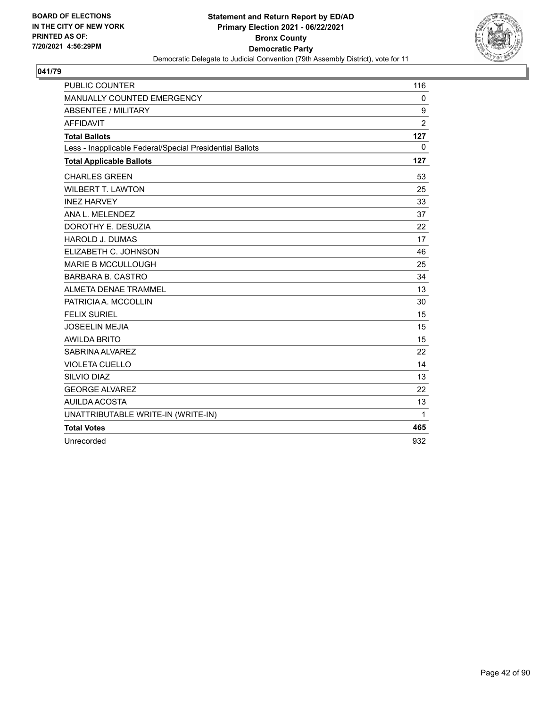

| <b>PUBLIC COUNTER</b>                                    | 116            |
|----------------------------------------------------------|----------------|
| MANUALLY COUNTED EMERGENCY                               | 0              |
| <b>ABSENTEE / MILITARY</b>                               | 9              |
| <b>AFFIDAVIT</b>                                         | $\overline{2}$ |
| <b>Total Ballots</b>                                     | 127            |
| Less - Inapplicable Federal/Special Presidential Ballots | 0              |
| <b>Total Applicable Ballots</b>                          | 127            |
| <b>CHARLES GREEN</b>                                     | 53             |
| <b>WILBERT T. LAWTON</b>                                 | 25             |
| <b>INEZ HARVEY</b>                                       | 33             |
| ANA L. MELENDEZ                                          | 37             |
| DOROTHY E. DESUZIA                                       | 22             |
| <b>HAROLD J. DUMAS</b>                                   | 17             |
| ELIZABETH C. JOHNSON                                     | 46             |
| <b>MARIE B MCCULLOUGH</b>                                | 25             |
| <b>BARBARA B. CASTRO</b>                                 | 34             |
| ALMETA DENAE TRAMMEL                                     | 13             |
| PATRICIA A. MCCOLLIN                                     | 30             |
| <b>FELIX SURIEL</b>                                      | 15             |
| <b>JOSEELIN MEJIA</b>                                    | 15             |
| <b>AWILDA BRITO</b>                                      | 15             |
| SABRINA ALVAREZ                                          | 22             |
| <b>VIOLETA CUELLO</b>                                    | 14             |
| SILVIO DIAZ                                              | 13             |
| <b>GEORGE ALVAREZ</b>                                    | 22             |
| <b>AUILDA ACOSTA</b>                                     | 13             |
| UNATTRIBUTABLE WRITE-IN (WRITE-IN)                       | $\mathbf{1}$   |
| <b>Total Votes</b>                                       | 465            |
| Unrecorded                                               | 932            |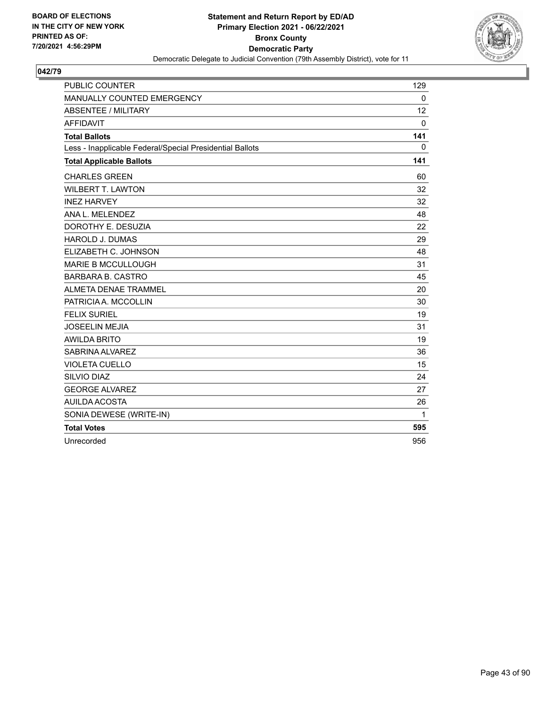

| <b>PUBLIC COUNTER</b>                                    | 129         |
|----------------------------------------------------------|-------------|
| MANUALLY COUNTED EMERGENCY                               | $\mathbf 0$ |
| <b>ABSENTEE / MILITARY</b>                               | 12          |
| <b>AFFIDAVIT</b>                                         | $\mathbf 0$ |
| <b>Total Ballots</b>                                     | 141         |
| Less - Inapplicable Federal/Special Presidential Ballots | 0           |
| <b>Total Applicable Ballots</b>                          | 141         |
| <b>CHARLES GREEN</b>                                     | 60          |
| <b>WILBERT T. LAWTON</b>                                 | 32          |
| <b>INEZ HARVEY</b>                                       | 32          |
| ANA L. MELENDEZ                                          | 48          |
| DOROTHY E. DESUZIA                                       | 22          |
| <b>HAROLD J. DUMAS</b>                                   | 29          |
| ELIZABETH C. JOHNSON                                     | 48          |
| <b>MARIE B MCCULLOUGH</b>                                | 31          |
| <b>BARBARA B. CASTRO</b>                                 | 45          |
| <b>ALMETA DENAE TRAMMEL</b>                              | 20          |
| PATRICIA A. MCCOLLIN                                     | 30          |
| <b>FELIX SURIEL</b>                                      | 19          |
| <b>JOSEELIN MEJIA</b>                                    | 31          |
| <b>AWILDA BRITO</b>                                      | 19          |
| SABRINA ALVAREZ                                          | 36          |
| <b>VIOLETA CUELLO</b>                                    | 15          |
| SILVIO DIAZ                                              | 24          |
| <b>GEORGE ALVAREZ</b>                                    | 27          |
| AUILDA ACOSTA                                            | 26          |
| SONIA DEWESE (WRITE-IN)                                  | 1           |
| <b>Total Votes</b>                                       | 595         |
| Unrecorded                                               | 956         |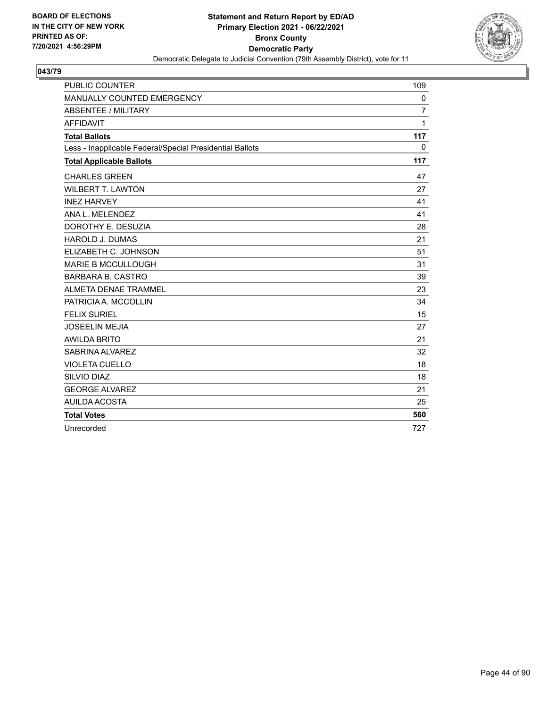

| <b>PUBLIC COUNTER</b>                                    | 109            |
|----------------------------------------------------------|----------------|
| MANUALLY COUNTED EMERGENCY                               | 0              |
| <b>ABSENTEE / MILITARY</b>                               | $\overline{7}$ |
| <b>AFFIDAVIT</b>                                         | 1              |
| <b>Total Ballots</b>                                     | 117            |
| Less - Inapplicable Federal/Special Presidential Ballots | 0              |
| <b>Total Applicable Ballots</b>                          | 117            |
| <b>CHARLES GREEN</b>                                     | 47             |
| <b>WILBERT T. LAWTON</b>                                 | 27             |
| <b>INEZ HARVEY</b>                                       | 41             |
| ANA L. MELENDEZ                                          | 41             |
| DOROTHY E. DESUZIA                                       | 28             |
| <b>HAROLD J. DUMAS</b>                                   | 21             |
| ELIZABETH C. JOHNSON                                     | 51             |
| <b>MARIE B MCCULLOUGH</b>                                | 31             |
| <b>BARBARA B. CASTRO</b>                                 | 39             |
| ALMETA DENAE TRAMMEL                                     | 23             |
| PATRICIA A. MCCOLLIN                                     | 34             |
| <b>FELIX SURIEL</b>                                      | 15             |
| <b>JOSEELIN MEJIA</b>                                    | 27             |
| <b>AWILDA BRITO</b>                                      | 21             |
| SABRINA ALVAREZ                                          | 32             |
| <b>VIOLETA CUELLO</b>                                    | 18             |
| SILVIO DIAZ                                              | 18             |
| <b>GEORGE ALVAREZ</b>                                    | 21             |
| <b>AUILDA ACOSTA</b>                                     | 25             |
| <b>Total Votes</b>                                       | 560            |
| Unrecorded                                               | 727            |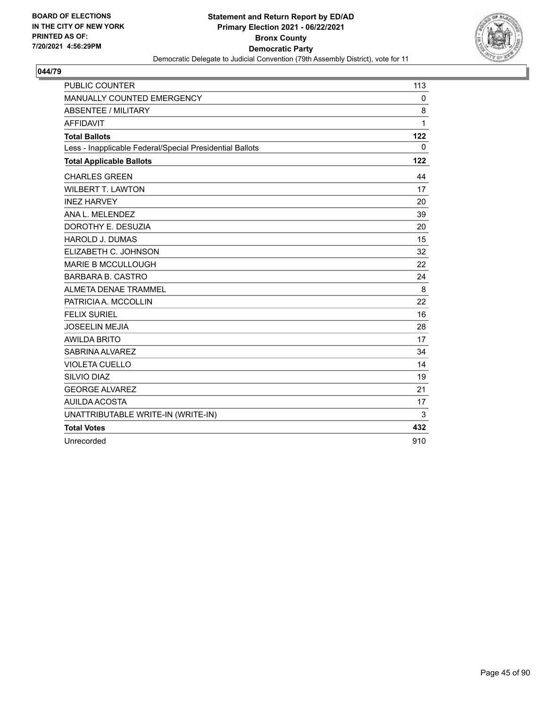

| <b>PUBLIC COUNTER</b>                                    | 113 |
|----------------------------------------------------------|-----|
| MANUALLY COUNTED EMERGENCY                               | 0   |
| <b>ABSENTEE / MILITARY</b>                               | 8   |
| <b>AFFIDAVIT</b>                                         | 1   |
| <b>Total Ballots</b>                                     | 122 |
| Less - Inapplicable Federal/Special Presidential Ballots | 0   |
| <b>Total Applicable Ballots</b>                          | 122 |
| <b>CHARLES GREEN</b>                                     | 44  |
| <b>WILBERT T. LAWTON</b>                                 | 17  |
| <b>INEZ HARVEY</b>                                       | 20  |
| ANA L. MELENDEZ                                          | 39  |
| DOROTHY E. DESUZIA                                       | 20  |
| <b>HAROLD J. DUMAS</b>                                   | 15  |
| ELIZABETH C. JOHNSON                                     | 32  |
| <b>MARIE B MCCULLOUGH</b>                                | 22  |
| <b>BARBARA B. CASTRO</b>                                 | 24  |
| ALMETA DENAE TRAMMEL                                     | 8   |
| PATRICIA A. MCCOLLIN                                     | 22  |
| <b>FELIX SURIEL</b>                                      | 16  |
| <b>JOSEELIN MEJIA</b>                                    | 28  |
| <b>AWILDA BRITO</b>                                      | 17  |
| SABRINA ALVAREZ                                          | 34  |
| <b>VIOLETA CUELLO</b>                                    | 14  |
| SILVIO DIAZ                                              | 19  |
| <b>GEORGE ALVAREZ</b>                                    | 21  |
| AUILDA ACOSTA                                            | 17  |
| UNATTRIBUTABLE WRITE-IN (WRITE-IN)                       | 3   |
| <b>Total Votes</b>                                       | 432 |
| Unrecorded                                               | 910 |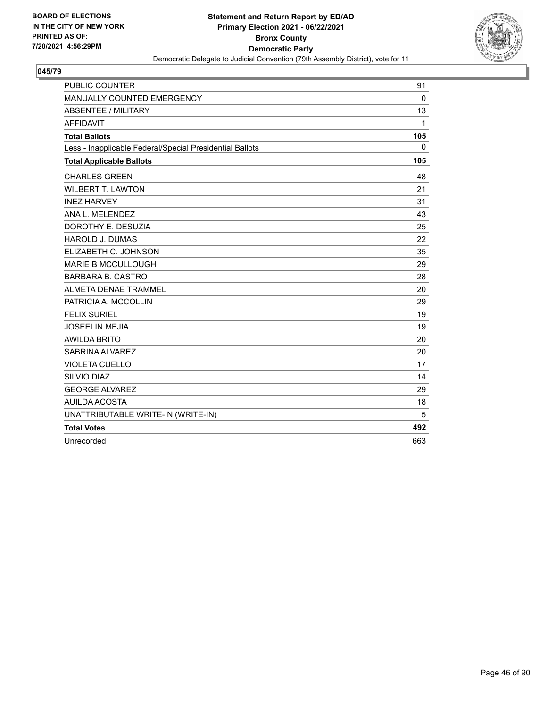

| <b>PUBLIC COUNTER</b>                                    | 91           |
|----------------------------------------------------------|--------------|
| MANUALLY COUNTED EMERGENCY                               | $\mathbf 0$  |
| <b>ABSENTEE / MILITARY</b>                               | 13           |
| <b>AFFIDAVIT</b>                                         | $\mathbf{1}$ |
| <b>Total Ballots</b>                                     | 105          |
| Less - Inapplicable Federal/Special Presidential Ballots | $\mathbf{0}$ |
| <b>Total Applicable Ballots</b>                          | 105          |
| <b>CHARLES GREEN</b>                                     | 48           |
| <b>WILBERT T. LAWTON</b>                                 | 21           |
| <b>INEZ HARVEY</b>                                       | 31           |
| ANA L. MELENDEZ                                          | 43           |
| DOROTHY E. DESUZIA                                       | 25           |
| <b>HAROLD J. DUMAS</b>                                   | 22           |
| ELIZABETH C. JOHNSON                                     | 35           |
| <b>MARIE B MCCULLOUGH</b>                                | 29           |
| <b>BARBARA B. CASTRO</b>                                 | 28           |
| <b>ALMETA DENAE TRAMMEL</b>                              | 20           |
| PATRICIA A. MCCOLLIN                                     | 29           |
| <b>FELIX SURIEL</b>                                      | 19           |
| <b>JOSEELIN MEJIA</b>                                    | 19           |
| <b>AWILDA BRITO</b>                                      | 20           |
| SABRINA ALVAREZ                                          | 20           |
| <b>VIOLETA CUELLO</b>                                    | 17           |
| SILVIO DIAZ                                              | 14           |
| <b>GEORGE ALVAREZ</b>                                    | 29           |
| AUILDA ACOSTA                                            | 18           |
| UNATTRIBUTABLE WRITE-IN (WRITE-IN)                       | 5            |
| <b>Total Votes</b>                                       | 492          |
| Unrecorded                                               | 663          |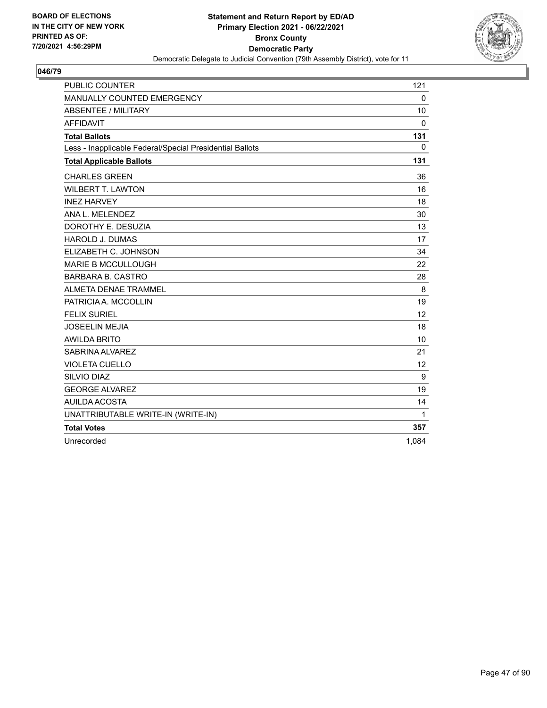

| <b>PUBLIC COUNTER</b>                                    | 121         |
|----------------------------------------------------------|-------------|
| MANUALLY COUNTED EMERGENCY                               | $\mathbf 0$ |
| <b>ABSENTEE / MILITARY</b>                               | 10          |
| <b>AFFIDAVIT</b>                                         | $\mathbf 0$ |
| <b>Total Ballots</b>                                     | 131         |
| Less - Inapplicable Federal/Special Presidential Ballots | 0           |
| <b>Total Applicable Ballots</b>                          | 131         |
| <b>CHARLES GREEN</b>                                     | 36          |
| <b>WILBERT T. LAWTON</b>                                 | 16          |
| <b>INEZ HARVEY</b>                                       | 18          |
| ANA L. MELENDEZ                                          | 30          |
| DOROTHY E. DESUZIA                                       | 13          |
| <b>HAROLD J. DUMAS</b>                                   | 17          |
| ELIZABETH C. JOHNSON                                     | 34          |
| <b>MARIE B MCCULLOUGH</b>                                | 22          |
| <b>BARBARA B. CASTRO</b>                                 | 28          |
| ALMETA DENAE TRAMMEL                                     | 8           |
| PATRICIA A. MCCOLLIN                                     | 19          |
| <b>FELIX SURIEL</b>                                      | 12          |
| <b>JOSEELIN MEJIA</b>                                    | 18          |
| <b>AWILDA BRITO</b>                                      | 10          |
| SABRINA ALVAREZ                                          | 21          |
| <b>VIOLETA CUELLO</b>                                    | 12          |
| SILVIO DIAZ                                              | 9           |
| <b>GEORGE ALVAREZ</b>                                    | 19          |
| <b>AUILDA ACOSTA</b>                                     | 14          |
| UNATTRIBUTABLE WRITE-IN (WRITE-IN)                       | 1           |
| <b>Total Votes</b>                                       | 357         |
| Unrecorded                                               | 1,084       |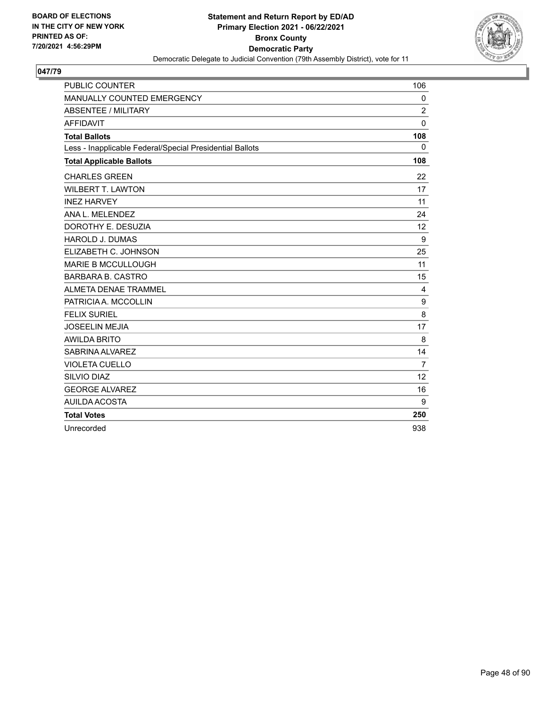

| <b>PUBLIC COUNTER</b>                                    | 106               |
|----------------------------------------------------------|-------------------|
| MANUALLY COUNTED EMERGENCY                               | 0                 |
| <b>ABSENTEE / MILITARY</b>                               | $\overline{2}$    |
| <b>AFFIDAVIT</b>                                         | $\Omega$          |
| <b>Total Ballots</b>                                     | 108               |
| Less - Inapplicable Federal/Special Presidential Ballots | 0                 |
| <b>Total Applicable Ballots</b>                          | 108               |
| <b>CHARLES GREEN</b>                                     | 22                |
| <b>WILBERT T. LAWTON</b>                                 | 17                |
| <b>INEZ HARVEY</b>                                       | 11                |
| ANA L. MELENDEZ                                          | 24                |
| DOROTHY E. DESUZIA                                       | $12 \overline{ }$ |
| <b>HAROLD J. DUMAS</b>                                   | 9                 |
| ELIZABETH C. JOHNSON                                     | 25                |
| <b>MARIE B MCCULLOUGH</b>                                | 11                |
| <b>BARBARA B. CASTRO</b>                                 | 15                |
| ALMETA DENAE TRAMMEL                                     | 4                 |
| PATRICIA A. MCCOLLIN                                     | 9                 |
| <b>FELIX SURIEL</b>                                      | 8                 |
| <b>JOSEELIN MEJIA</b>                                    | 17                |
| <b>AWILDA BRITO</b>                                      | 8                 |
| SABRINA ALVAREZ                                          | 14                |
| <b>VIOLETA CUELLO</b>                                    | 7                 |
| SILVIO DIAZ                                              | 12                |
| <b>GEORGE ALVAREZ</b>                                    | 16                |
| AUILDA ACOSTA                                            | 9                 |
| <b>Total Votes</b>                                       | 250               |
| Unrecorded                                               | 938               |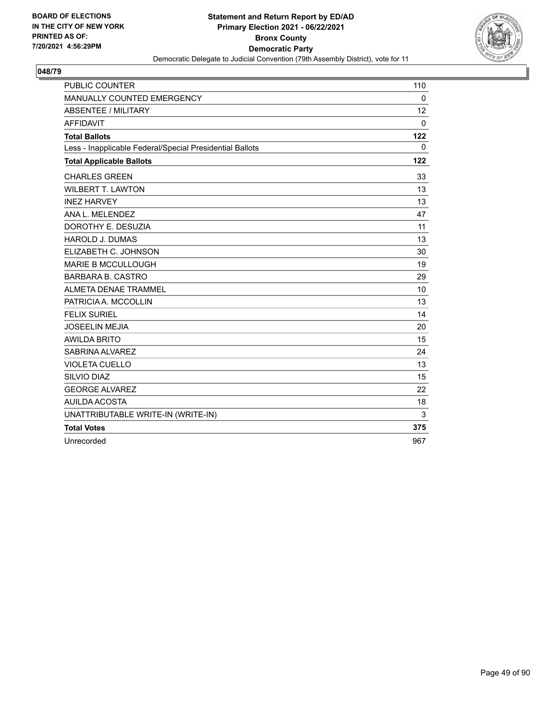

| <b>PUBLIC COUNTER</b>                                    | 110          |
|----------------------------------------------------------|--------------|
| MANUALLY COUNTED EMERGENCY                               | $\mathbf{0}$ |
| ABSENTEE / MILITARY                                      | 12           |
| <b>AFFIDAVIT</b>                                         | $\mathbf 0$  |
| <b>Total Ballots</b>                                     | 122          |
| Less - Inapplicable Federal/Special Presidential Ballots | $\mathbf{0}$ |
| <b>Total Applicable Ballots</b>                          | 122          |
| <b>CHARLES GREEN</b>                                     | 33           |
| <b>WILBERT T. LAWTON</b>                                 | 13           |
| <b>INEZ HARVEY</b>                                       | 13           |
| ANA L. MELENDEZ                                          | 47           |
| DOROTHY E. DESUZIA                                       | 11           |
| <b>HAROLD J. DUMAS</b>                                   | 13           |
| ELIZABETH C. JOHNSON                                     | 30           |
| <b>MARIE B MCCULLOUGH</b>                                | 19           |
| <b>BARBARA B. CASTRO</b>                                 | 29           |
| ALMETA DENAE TRAMMEL                                     | 10           |
| PATRICIA A. MCCOLLIN                                     | 13           |
| <b>FELIX SURIEL</b>                                      | 14           |
| <b>JOSEELIN MEJIA</b>                                    | 20           |
| <b>AWILDA BRITO</b>                                      | 15           |
| SABRINA ALVAREZ                                          | 24           |
| <b>VIOLETA CUELLO</b>                                    | 13           |
| SILVIO DIAZ                                              | 15           |
| <b>GEORGE ALVAREZ</b>                                    | 22           |
| <b>AUILDA ACOSTA</b>                                     | 18           |
| UNATTRIBUTABLE WRITE-IN (WRITE-IN)                       | 3            |
| <b>Total Votes</b>                                       | 375          |
| Unrecorded                                               | 967          |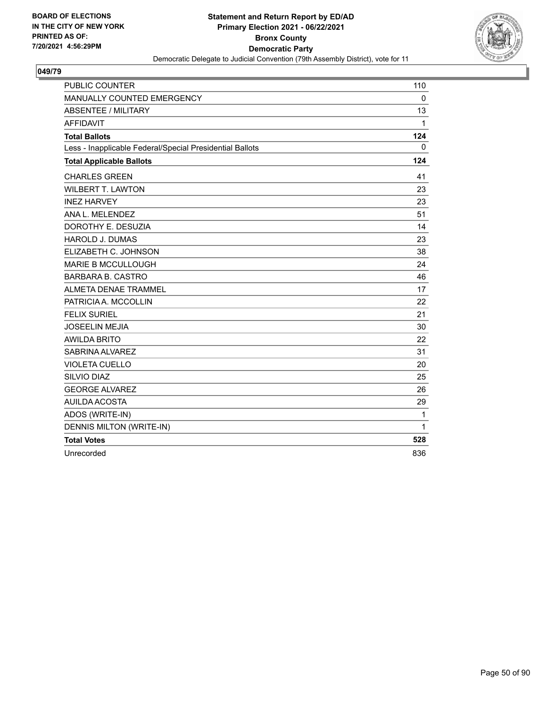

| <b>PUBLIC COUNTER</b>                                    | 110          |
|----------------------------------------------------------|--------------|
| MANUALLY COUNTED EMERGENCY                               | $\mathbf 0$  |
| <b>ABSENTEE / MILITARY</b>                               | 13           |
| <b>AFFIDAVIT</b>                                         | $\mathbf{1}$ |
| <b>Total Ballots</b>                                     | 124          |
| Less - Inapplicable Federal/Special Presidential Ballots | 0            |
| <b>Total Applicable Ballots</b>                          | 124          |
| <b>CHARLES GREEN</b>                                     | 41           |
| <b>WILBERT T. LAWTON</b>                                 | 23           |
| <b>INEZ HARVEY</b>                                       | 23           |
| ANA L. MELENDEZ                                          | 51           |
| DOROTHY E. DESUZIA                                       | 14           |
| <b>HAROLD J. DUMAS</b>                                   | 23           |
| ELIZABETH C. JOHNSON                                     | 38           |
| <b>MARIE B MCCULLOUGH</b>                                | 24           |
| <b>BARBARA B. CASTRO</b>                                 | 46           |
| ALMETA DENAE TRAMMEL                                     | 17           |
| PATRICIA A. MCCOLLIN                                     | 22           |
| <b>FELIX SURIEL</b>                                      | 21           |
| <b>JOSEELIN MEJIA</b>                                    | 30           |
| <b>AWILDA BRITO</b>                                      | 22           |
| SABRINA ALVAREZ                                          | 31           |
| <b>VIOLETA CUELLO</b>                                    | 20           |
| SILVIO DIAZ                                              | 25           |
| <b>GEORGE ALVAREZ</b>                                    | 26           |
| <b>AUILDA ACOSTA</b>                                     | 29           |
| ADOS (WRITE-IN)                                          | 1            |
| DENNIS MILTON (WRITE-IN)                                 | 1            |
| <b>Total Votes</b>                                       | 528          |
| Unrecorded                                               | 836          |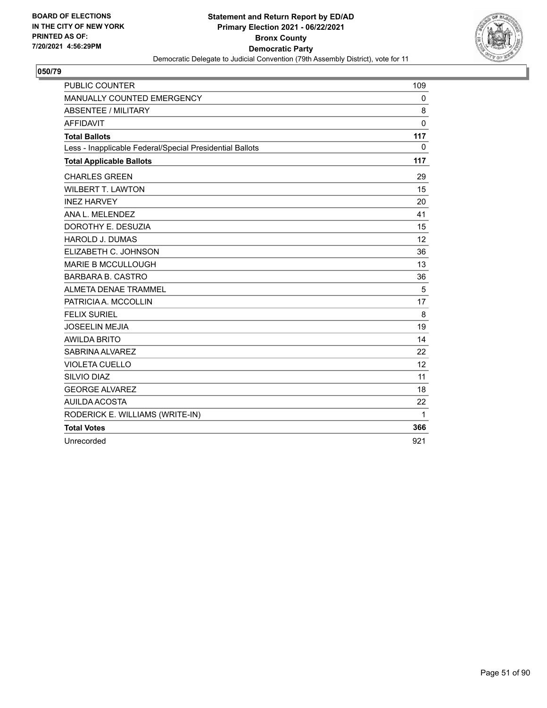

| <b>PUBLIC COUNTER</b>                                    | 109 |
|----------------------------------------------------------|-----|
| MANUALLY COUNTED EMERGENCY                               | 0   |
| <b>ABSENTEE / MILITARY</b>                               | 8   |
| <b>AFFIDAVIT</b>                                         | 0   |
| <b>Total Ballots</b>                                     | 117 |
| Less - Inapplicable Federal/Special Presidential Ballots | 0   |
| <b>Total Applicable Ballots</b>                          | 117 |
| <b>CHARLES GREEN</b>                                     | 29  |
| <b>WILBERT T. LAWTON</b>                                 | 15  |
| <b>INEZ HARVEY</b>                                       | 20  |
| ANA L. MELENDEZ                                          | 41  |
| DOROTHY E. DESUZIA                                       | 15  |
| <b>HAROLD J. DUMAS</b>                                   | 12  |
| ELIZABETH C. JOHNSON                                     | 36  |
| <b>MARIE B MCCULLOUGH</b>                                | 13  |
| <b>BARBARA B. CASTRO</b>                                 | 36  |
| ALMETA DENAE TRAMMEL                                     | 5   |
| PATRICIA A. MCCOLLIN                                     | 17  |
| <b>FELIX SURIEL</b>                                      | 8   |
| <b>JOSEELIN MEJIA</b>                                    | 19  |
| <b>AWILDA BRITO</b>                                      | 14  |
| SABRINA ALVAREZ                                          | 22  |
| <b>VIOLETA CUELLO</b>                                    | 12  |
| SILVIO DIAZ                                              | 11  |
| <b>GEORGE ALVAREZ</b>                                    | 18  |
| <b>AUILDA ACOSTA</b>                                     | 22  |
| RODERICK E. WILLIAMS (WRITE-IN)                          | 1   |
| <b>Total Votes</b>                                       | 366 |
| Unrecorded                                               | 921 |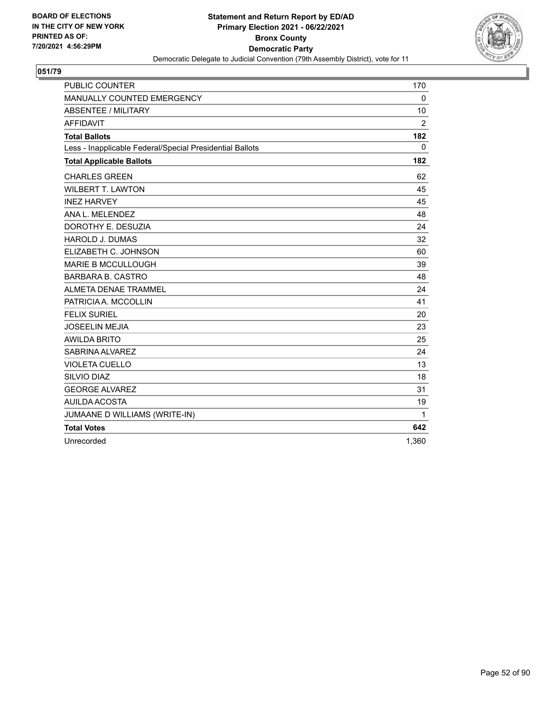

| <b>PUBLIC COUNTER</b>                                    | 170            |
|----------------------------------------------------------|----------------|
| MANUALLY COUNTED EMERGENCY                               | $\mathbf 0$    |
| <b>ABSENTEE / MILITARY</b>                               | 10             |
| <b>AFFIDAVIT</b>                                         | $\overline{2}$ |
| <b>Total Ballots</b>                                     | 182            |
| Less - Inapplicable Federal/Special Presidential Ballots | $\mathbf{0}$   |
| <b>Total Applicable Ballots</b>                          | 182            |
| <b>CHARLES GREEN</b>                                     | 62             |
| <b>WILBERT T. LAWTON</b>                                 | 45             |
| <b>INEZ HARVEY</b>                                       | 45             |
| ANA L. MELENDEZ                                          | 48             |
| DOROTHY E. DESUZIA                                       | 24             |
| <b>HAROLD J. DUMAS</b>                                   | 32             |
| ELIZABETH C. JOHNSON                                     | 60             |
| <b>MARIE B MCCULLOUGH</b>                                | 39             |
| <b>BARBARA B. CASTRO</b>                                 | 48             |
| <b>ALMETA DENAE TRAMMEL</b>                              | 24             |
| PATRICIA A. MCCOLLIN                                     | 41             |
| <b>FELIX SURIEL</b>                                      | 20             |
| <b>JOSEELIN MEJIA</b>                                    | 23             |
| <b>AWILDA BRITO</b>                                      | 25             |
| SABRINA ALVAREZ                                          | 24             |
| <b>VIOLETA CUELLO</b>                                    | 13             |
| SILVIO DIAZ                                              | 18             |
| <b>GEORGE ALVAREZ</b>                                    | 31             |
| AUILDA ACOSTA                                            | 19             |
| JUMAANE D WILLIAMS (WRITE-IN)                            | $\mathbf{1}$   |
| <b>Total Votes</b>                                       | 642            |
| Unrecorded                                               | 1,360          |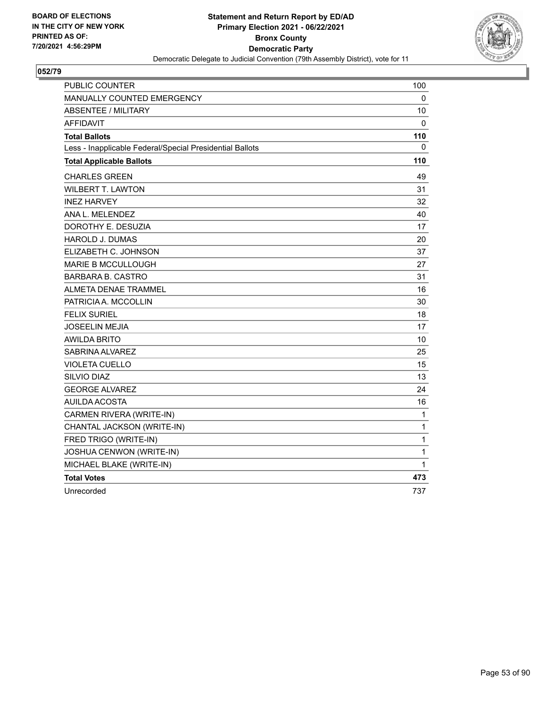

| PUBLIC COUNTER                                           | 100 |
|----------------------------------------------------------|-----|
| MANUALLY COUNTED EMERGENCY                               | 0   |
| <b>ABSENTEE / MILITARY</b>                               | 10  |
| <b>AFFIDAVIT</b>                                         | 0   |
| <b>Total Ballots</b>                                     | 110 |
| Less - Inapplicable Federal/Special Presidential Ballots | 0   |
| <b>Total Applicable Ballots</b>                          | 110 |
| <b>CHARLES GREEN</b>                                     | 49  |
| <b>WILBERT T. LAWTON</b>                                 | 31  |
| <b>INEZ HARVEY</b>                                       | 32  |
| ANA L. MELENDEZ                                          | 40  |
| DOROTHY E. DESUZIA                                       | 17  |
| HAROLD J. DUMAS                                          | 20  |
| ELIZABETH C. JOHNSON                                     | 37  |
| <b>MARIE B MCCULLOUGH</b>                                | 27  |
| <b>BARBARA B. CASTRO</b>                                 | 31  |
| <b>ALMETA DENAE TRAMMEL</b>                              | 16  |
| PATRICIA A. MCCOLLIN                                     | 30  |
| <b>FELIX SURIEL</b>                                      | 18  |
| <b>JOSEELIN MEJIA</b>                                    | 17  |
| <b>AWILDA BRITO</b>                                      | 10  |
| SABRINA ALVAREZ                                          | 25  |
| <b>VIOLETA CUELLO</b>                                    | 15  |
| SILVIO DIAZ                                              | 13  |
| <b>GEORGE ALVAREZ</b>                                    | 24  |
| <b>AUILDA ACOSTA</b>                                     | 16  |
| CARMEN RIVERA (WRITE-IN)                                 | 1   |
| CHANTAL JACKSON (WRITE-IN)                               | 1   |
| FRED TRIGO (WRITE-IN)                                    | 1   |
| JOSHUA CENWON (WRITE-IN)                                 | 1   |
| MICHAEL BLAKE (WRITE-IN)                                 | 1   |
| <b>Total Votes</b>                                       | 473 |
| Unrecorded                                               | 737 |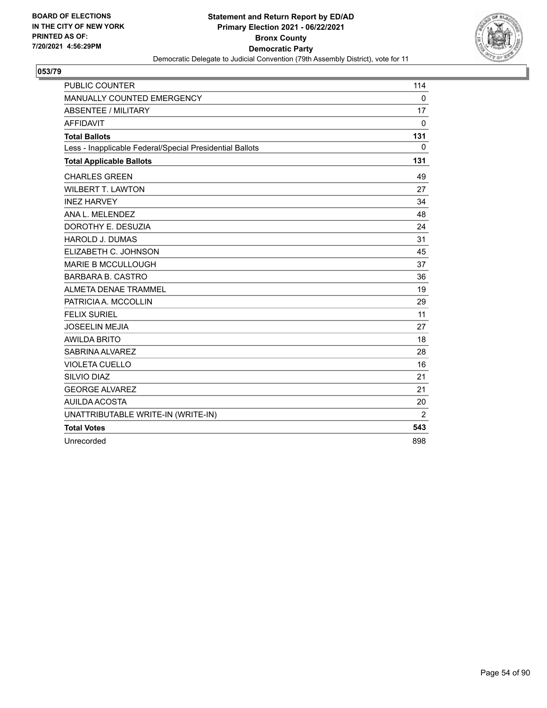

| <b>PUBLIC COUNTER</b>                                    | 114            |
|----------------------------------------------------------|----------------|
| MANUALLY COUNTED EMERGENCY                               | $\mathbf 0$    |
| <b>ABSENTEE / MILITARY</b>                               | 17             |
| <b>AFFIDAVIT</b>                                         | $\mathbf 0$    |
| <b>Total Ballots</b>                                     | 131            |
| Less - Inapplicable Federal/Special Presidential Ballots | 0              |
| <b>Total Applicable Ballots</b>                          | 131            |
| <b>CHARLES GREEN</b>                                     | 49             |
| <b>WILBERT T. LAWTON</b>                                 | 27             |
| <b>INEZ HARVEY</b>                                       | 34             |
| ANA L. MELENDEZ                                          | 48             |
| DOROTHY E. DESUZIA                                       | 24             |
| <b>HAROLD J. DUMAS</b>                                   | 31             |
| ELIZABETH C. JOHNSON                                     | 45             |
| <b>MARIE B MCCULLOUGH</b>                                | 37             |
| <b>BARBARA B. CASTRO</b>                                 | 36             |
| <b>ALMETA DENAE TRAMMEL</b>                              | 19             |
| PATRICIA A. MCCOLLIN                                     | 29             |
| <b>FELIX SURIEL</b>                                      | 11             |
| <b>JOSEELIN MEJIA</b>                                    | 27             |
| <b>AWILDA BRITO</b>                                      | 18             |
| SABRINA ALVAREZ                                          | 28             |
| <b>VIOLETA CUELLO</b>                                    | 16             |
| SILVIO DIAZ                                              | 21             |
| <b>GEORGE ALVAREZ</b>                                    | 21             |
| AUILDA ACOSTA                                            | 20             |
| UNATTRIBUTABLE WRITE-IN (WRITE-IN)                       | $\overline{2}$ |
| <b>Total Votes</b>                                       | 543            |
| Unrecorded                                               | 898            |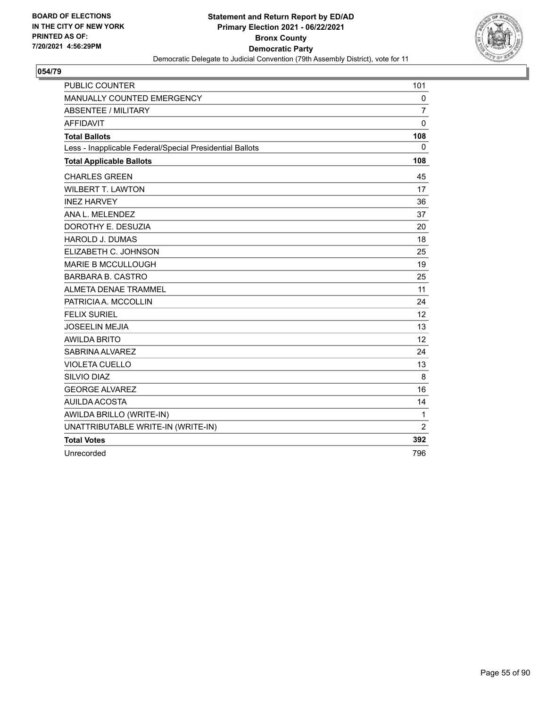

| <b>PUBLIC COUNTER</b>                                    | 101            |
|----------------------------------------------------------|----------------|
| MANUALLY COUNTED EMERGENCY                               | 0              |
| <b>ABSENTEE / MILITARY</b>                               | 7              |
| <b>AFFIDAVIT</b>                                         | 0              |
| <b>Total Ballots</b>                                     | 108            |
| Less - Inapplicable Federal/Special Presidential Ballots | 0              |
| <b>Total Applicable Ballots</b>                          | 108            |
| <b>CHARLES GREEN</b>                                     | 45             |
| <b>WILBERT T. LAWTON</b>                                 | 17             |
| <b>INEZ HARVEY</b>                                       | 36             |
| ANA L. MELENDEZ                                          | 37             |
| DOROTHY E. DESUZIA                                       | 20             |
| <b>HAROLD J. DUMAS</b>                                   | 18             |
| ELIZABETH C. JOHNSON                                     | 25             |
| <b>MARIE B MCCULLOUGH</b>                                | 19             |
| <b>BARBARA B. CASTRO</b>                                 | 25             |
| <b>ALMETA DENAE TRAMMEL</b>                              | 11             |
| PATRICIA A. MCCOLLIN                                     | 24             |
| FFI IX SURIFI                                            | 12             |
| <b>JOSEELIN MEJIA</b>                                    | 13             |
| <b>AWILDA BRITO</b>                                      | 12             |
| SABRINA ALVAREZ                                          | 24             |
| <b>VIOLETA CUELLO</b>                                    | 13             |
| SILVIO DIAZ                                              | 8              |
| <b>GEORGE ALVAREZ</b>                                    | 16             |
| AUILDA ACOSTA                                            | 14             |
| AWILDA BRILLO (WRITE-IN)                                 | 1              |
| UNATTRIBUTABLE WRITE-IN (WRITE-IN)                       | $\overline{2}$ |
| <b>Total Votes</b>                                       | 392            |
| Unrecorded                                               | 796            |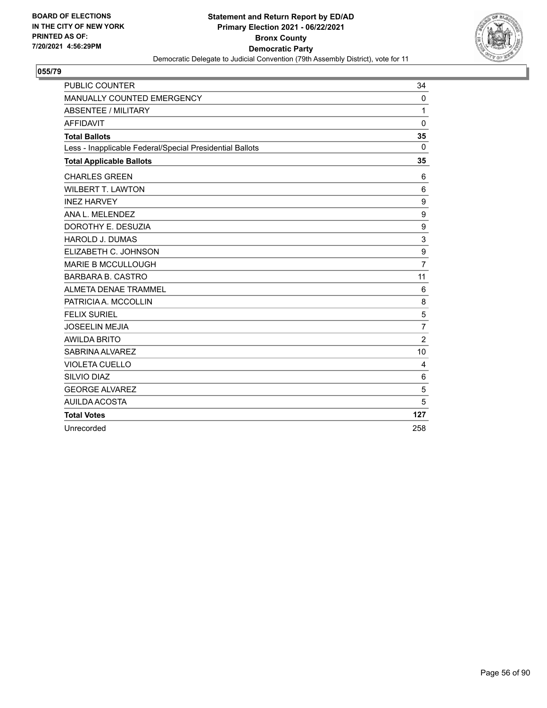

| <b>PUBLIC COUNTER</b>                                    | 34             |
|----------------------------------------------------------|----------------|
| MANUALLY COUNTED EMERGENCY                               | 0              |
| ABSENTEE / MILITARY                                      | 1              |
| <b>AFFIDAVIT</b>                                         | 0              |
| <b>Total Ballots</b>                                     | 35             |
| Less - Inapplicable Federal/Special Presidential Ballots | $\mathbf 0$    |
| <b>Total Applicable Ballots</b>                          | 35             |
| <b>CHARLES GREEN</b>                                     | 6              |
| <b>WILBERT T. LAWTON</b>                                 | 6              |
| <b>INEZ HARVEY</b>                                       | 9              |
| ANA L. MELENDEZ                                          | 9              |
| DOROTHY E. DESUZIA                                       | 9              |
| <b>HAROLD J. DUMAS</b>                                   | 3              |
| ELIZABETH C. JOHNSON                                     | 9              |
| <b>MARIE B MCCULLOUGH</b>                                | $\overline{7}$ |
| <b>BARBARA B. CASTRO</b>                                 | 11             |
| ALMETA DENAE TRAMMEL                                     | 6              |
| PATRICIA A. MCCOLLIN                                     | 8              |
| <b>FELIX SURIEL</b>                                      | 5              |
| <b>JOSEELIN MEJIA</b>                                    | $\overline{7}$ |
| <b>AWILDA BRITO</b>                                      | $\overline{2}$ |
| SABRINA ALVAREZ                                          | 10             |
| <b>VIOLETA CUELLO</b>                                    | 4              |
| SILVIO DIAZ                                              | 6              |
| <b>GEORGE ALVAREZ</b>                                    | 5              |
| <b>AUILDA ACOSTA</b>                                     | 5              |
| <b>Total Votes</b>                                       | 127            |
| Unrecorded                                               | 258            |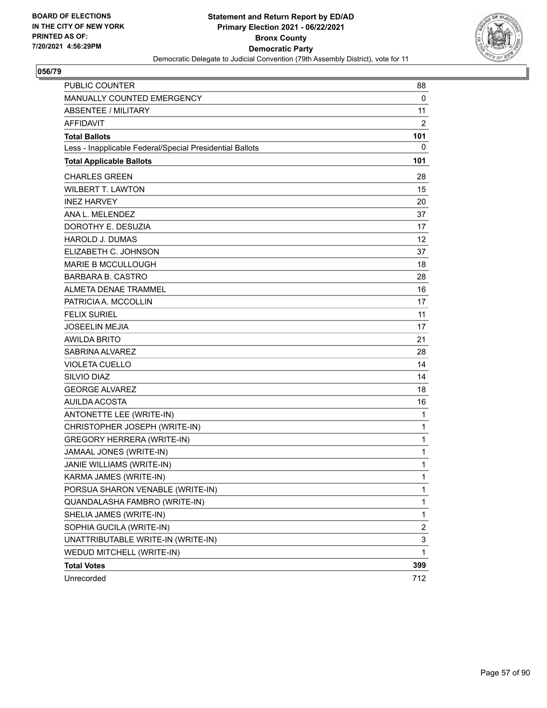

| <b>PUBLIC COUNTER</b>                                    | 88             |
|----------------------------------------------------------|----------------|
| MANUALLY COUNTED EMERGENCY                               | 0              |
| <b>ABSENTEE / MILITARY</b>                               | 11             |
| <b>AFFIDAVIT</b>                                         | 2              |
| <b>Total Ballots</b>                                     | 101            |
| Less - Inapplicable Federal/Special Presidential Ballots | 0              |
| <b>Total Applicable Ballots</b>                          | 101            |
| <b>CHARLES GREEN</b>                                     | 28             |
| <b>WILBERT T. LAWTON</b>                                 | 15             |
| <b>INEZ HARVEY</b>                                       | 20             |
| ANA L. MELENDEZ                                          | 37             |
| DOROTHY E. DESUZIA                                       | 17             |
| <b>HAROLD J. DUMAS</b>                                   | 12             |
| ELIZABETH C. JOHNSON                                     | 37             |
| MARIE B MCCULLOUGH                                       | 18             |
| <b>BARBARA B. CASTRO</b>                                 | 28             |
| <b>ALMETA DENAE TRAMMEL</b>                              | 16             |
| PATRICIA A. MCCOLLIN                                     | 17             |
| <b>FELIX SURIEL</b>                                      | 11             |
| <b>JOSEELIN MEJIA</b>                                    | 17             |
| <b>AWILDA BRITO</b>                                      | 21             |
| SABRINA ALVAREZ                                          | 28             |
| <b>VIOLETA CUELLO</b>                                    | 14             |
| SILVIO DIAZ                                              | 14             |
| <b>GEORGE ALVAREZ</b>                                    | 18             |
| AUILDA ACOSTA                                            | 16             |
| ANTONETTE LEE (WRITE-IN)                                 | 1              |
| CHRISTOPHER JOSEPH (WRITE-IN)                            | 1              |
| <b>GREGORY HERRERA (WRITE-IN)</b>                        | 1              |
| JAMAAL JONES (WRITE-IN)                                  | 1              |
| JANIE WILLIAMS (WRITE-IN)                                | 1              |
| KARMA JAMES (WRITE-IN)                                   | 1              |
| PORSUA SHARON VENABLE (WRITE-IN)                         | 1              |
| QUANDALASHA FAMBRO (WRITE-IN)                            | 1              |
| SHELIA JAMES (WRITE-IN)                                  | 1              |
| SOPHIA GUCILA (WRITE-IN)                                 | $\overline{c}$ |
| UNATTRIBUTABLE WRITE-IN (WRITE-IN)                       | 3              |
| WEDUD MITCHELL (WRITE-IN)                                | 1              |
| <b>Total Votes</b>                                       | 399            |
| Unrecorded                                               | 712            |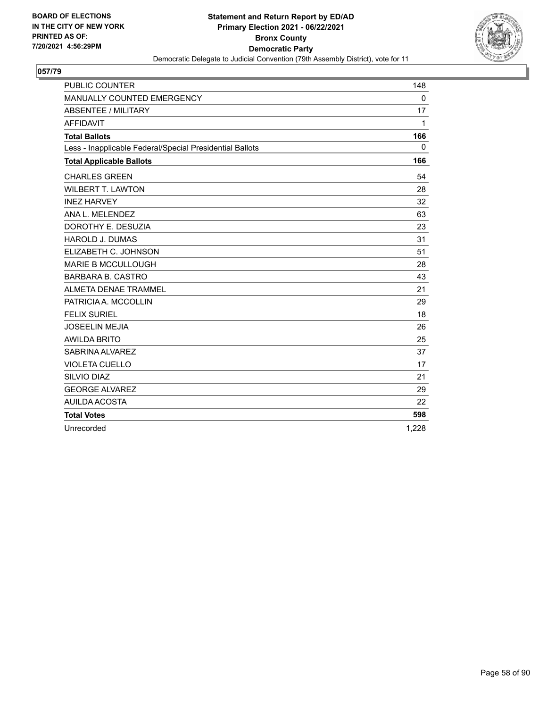

| <b>PUBLIC COUNTER</b>                                    | 148         |
|----------------------------------------------------------|-------------|
| MANUALLY COUNTED EMERGENCY                               | $\mathbf 0$ |
| ABSENTEE / MILITARY                                      | 17          |
| <b>AFFIDAVIT</b>                                         | 1           |
| <b>Total Ballots</b>                                     | 166         |
| Less - Inapplicable Federal/Special Presidential Ballots | 0           |
| <b>Total Applicable Ballots</b>                          | 166         |
| <b>CHARLES GREEN</b>                                     | 54          |
| <b>WILBERT T. LAWTON</b>                                 | 28          |
| <b>INEZ HARVEY</b>                                       | 32          |
| ANA L. MELENDEZ                                          | 63          |
| DOROTHY E. DESUZIA                                       | 23          |
| <b>HAROLD J. DUMAS</b>                                   | 31          |
| ELIZABETH C. JOHNSON                                     | 51          |
| <b>MARIE B MCCULLOUGH</b>                                | 28          |
| <b>BARBARA B. CASTRO</b>                                 | 43          |
| ALMETA DENAE TRAMMEL                                     | 21          |
| PATRICIA A. MCCOLLIN                                     | 29          |
| <b>FELIX SURIEL</b>                                      | 18          |
| <b>JOSEELIN MEJIA</b>                                    | 26          |
| <b>AWILDA BRITO</b>                                      | 25          |
| SABRINA ALVAREZ                                          | 37          |
| <b>VIOLETA CUELLO</b>                                    | 17          |
| SILVIO DIAZ                                              | 21          |
| <b>GEORGE ALVAREZ</b>                                    | 29          |
| AUILDA ACOSTA                                            | 22          |
| <b>Total Votes</b>                                       | 598         |
| Unrecorded                                               | 1,228       |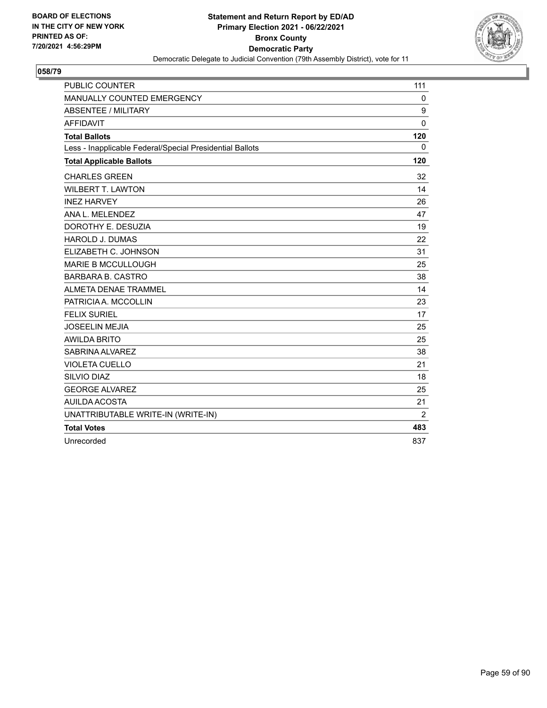

| <b>PUBLIC COUNTER</b>                                    | 111          |
|----------------------------------------------------------|--------------|
| MANUALLY COUNTED EMERGENCY                               | $\mathbf 0$  |
| <b>ABSENTEE / MILITARY</b>                               | 9            |
| <b>AFFIDAVIT</b>                                         | $\Omega$     |
| <b>Total Ballots</b>                                     | 120          |
| Less - Inapplicable Federal/Special Presidential Ballots | $\mathbf{0}$ |
| <b>Total Applicable Ballots</b>                          | 120          |
| <b>CHARLES GREEN</b>                                     | 32           |
| <b>WILBERT T. LAWTON</b>                                 | 14           |
| <b>INEZ HARVEY</b>                                       | 26           |
| ANA L. MELENDEZ                                          | 47           |
| DOROTHY E. DESUZIA                                       | 19           |
| <b>HAROLD J. DUMAS</b>                                   | 22           |
| ELIZABETH C. JOHNSON                                     | 31           |
| <b>MARIE B MCCULLOUGH</b>                                | 25           |
| <b>BARBARA B. CASTRO</b>                                 | 38           |
| ALMETA DENAE TRAMMEL                                     | 14           |
| PATRICIA A. MCCOLLIN                                     | 23           |
| <b>FELIX SURIEL</b>                                      | 17           |
| <b>JOSEELIN MEJIA</b>                                    | 25           |
| <b>AWILDA BRITO</b>                                      | 25           |
| SABRINA ALVAREZ                                          | 38           |
| <b>VIOLETA CUELLO</b>                                    | 21           |
| SILVIO DIAZ                                              | 18           |
| <b>GEORGE ALVAREZ</b>                                    | 25           |
| AUILDA ACOSTA                                            | 21           |
| UNATTRIBUTABLE WRITE-IN (WRITE-IN)                       | 2            |
| <b>Total Votes</b>                                       | 483          |
| Unrecorded                                               | 837          |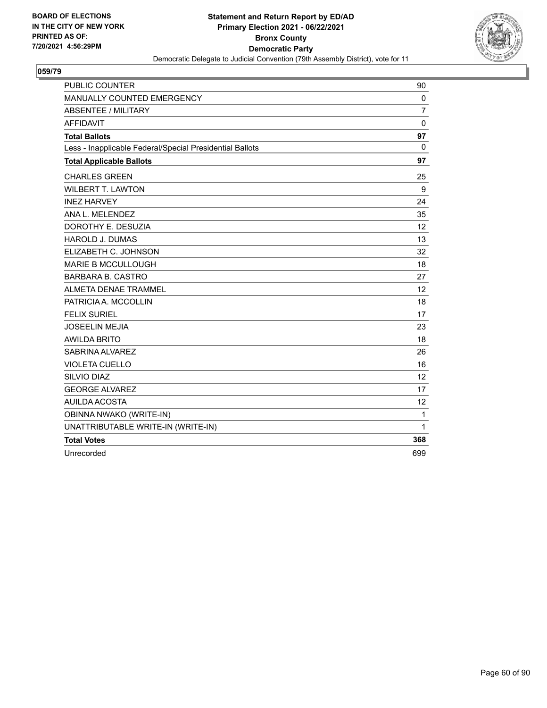

| <b>PUBLIC COUNTER</b>                                    | 90             |
|----------------------------------------------------------|----------------|
| MANUALLY COUNTED EMERGENCY                               | $\mathbf 0$    |
| <b>ABSENTEE / MILITARY</b>                               | $\overline{7}$ |
| <b>AFFIDAVIT</b>                                         | 0              |
| <b>Total Ballots</b>                                     | 97             |
| Less - Inapplicable Federal/Special Presidential Ballots | $\mathbf 0$    |
| <b>Total Applicable Ballots</b>                          | 97             |
| <b>CHARLES GREEN</b>                                     | 25             |
| <b>WILBERT T. LAWTON</b>                                 | 9              |
| <b>INEZ HARVEY</b>                                       | 24             |
| ANA L. MELENDEZ                                          | 35             |
| DOROTHY E. DESUZIA                                       | 12             |
| <b>HAROLD J. DUMAS</b>                                   | 13             |
| ELIZABETH C. JOHNSON                                     | 32             |
| <b>MARIE B MCCULLOUGH</b>                                | 18             |
| BARBARA B. CASTRO                                        | 27             |
| <b>ALMETA DENAE TRAMMEL</b>                              | 12             |
| PATRICIA A. MCCOLLIN                                     | 18             |
| <b>FELIX SURIEL</b>                                      | 17             |
| <b>JOSEELIN MEJIA</b>                                    | 23             |
| <b>AWILDA BRITO</b>                                      | 18             |
| SABRINA ALVAREZ                                          | 26             |
| <b>VIOLETA CUELLO</b>                                    | 16             |
| SILVIO DIAZ                                              | 12             |
| <b>GEORGE ALVAREZ</b>                                    | 17             |
| AUILDA ACOSTA                                            | 12             |
| OBINNA NWAKO (WRITE-IN)                                  | 1              |
| UNATTRIBUTABLE WRITE-IN (WRITE-IN)                       | 1              |
| <b>Total Votes</b>                                       | 368            |
| Unrecorded                                               | 699            |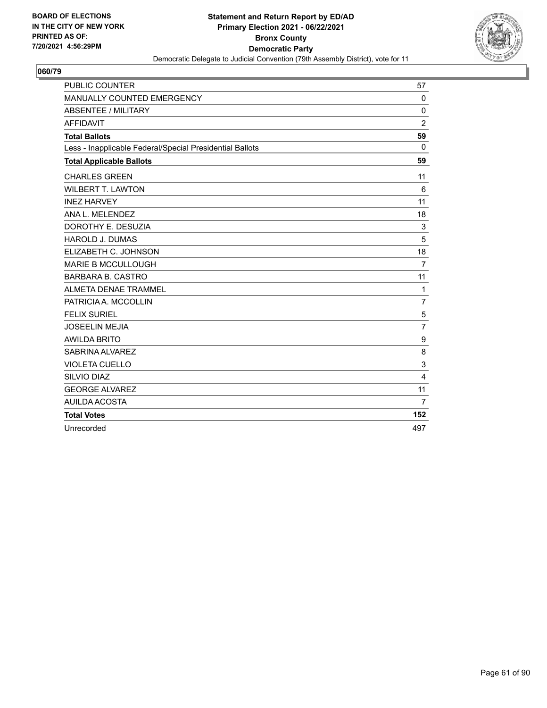

| <b>PUBLIC COUNTER</b>                                    | 57             |
|----------------------------------------------------------|----------------|
| MANUALLY COUNTED EMERGENCY                               | $\Omega$       |
| <b>ABSENTEE / MILITARY</b>                               | $\mathbf{0}$   |
| <b>AFFIDAVIT</b>                                         | $\overline{c}$ |
| <b>Total Ballots</b>                                     | 59             |
| Less - Inapplicable Federal/Special Presidential Ballots | $\mathbf{0}$   |
| <b>Total Applicable Ballots</b>                          | 59             |
| <b>CHARLES GREEN</b>                                     | 11             |
| <b>WILBERT T. LAWTON</b>                                 | 6              |
| <b>INEZ HARVEY</b>                                       | 11             |
| ANA L. MELENDEZ                                          | 18             |
| DOROTHY E. DESUZIA                                       | 3              |
| HAROLD J. DUMAS                                          | 5              |
| ELIZABETH C. JOHNSON                                     | 18             |
| <b>MARIE B MCCULLOUGH</b>                                | $\overline{7}$ |
| <b>BARBARA B. CASTRO</b>                                 | 11             |
| <b>ALMETA DENAE TRAMMEL</b>                              | $\mathbf{1}$   |
| PATRICIA A. MCCOLLIN                                     | $\overline{7}$ |
| <b>FELIX SURIEL</b>                                      | 5              |
| <b>JOSEELIN MEJIA</b>                                    | 7              |
| <b>AWILDA BRITO</b>                                      | 9              |
| SABRINA ALVAREZ                                          | 8              |
| <b>VIOLETA CUELLO</b>                                    | 3              |
| SILVIO DIAZ                                              | 4              |
| <b>GEORGE ALVAREZ</b>                                    | 11             |
| AUILDA ACOSTA                                            | $\overline{7}$ |
| <b>Total Votes</b>                                       | 152            |
| Unrecorded                                               | 497            |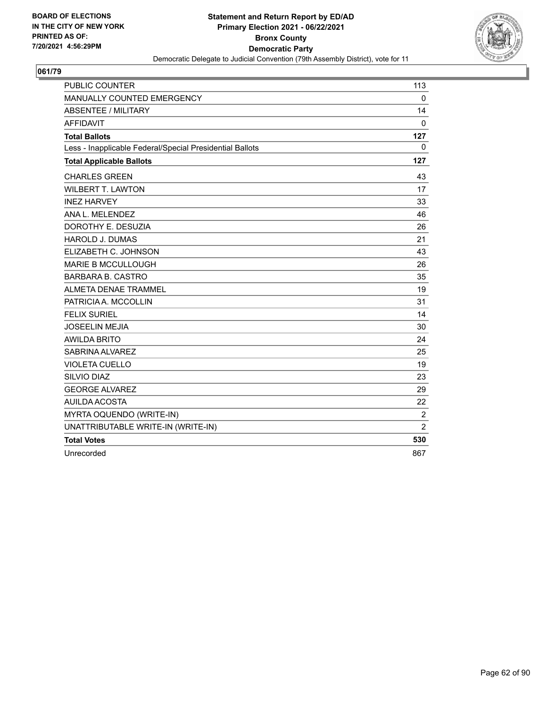

| <b>PUBLIC COUNTER</b>                                    | 113            |
|----------------------------------------------------------|----------------|
| MANUALLY COUNTED EMERGENCY                               | $\mathbf 0$    |
| <b>ABSENTEE / MILITARY</b>                               | 14             |
| <b>AFFIDAVIT</b>                                         | $\Omega$       |
| <b>Total Ballots</b>                                     | 127            |
| Less - Inapplicable Federal/Special Presidential Ballots | 0              |
| <b>Total Applicable Ballots</b>                          | 127            |
| <b>CHARLES GREEN</b>                                     | 43             |
| <b>WILBERT T. LAWTON</b>                                 | 17             |
| <b>INEZ HARVEY</b>                                       | 33             |
| ANA L. MELENDEZ                                          | 46             |
| DOROTHY E. DESUZIA                                       | 26             |
| <b>HAROLD J. DUMAS</b>                                   | 21             |
| ELIZABETH C. JOHNSON                                     | 43             |
| <b>MARIE B MCCULLOUGH</b>                                | 26             |
| <b>BARBARA B. CASTRO</b>                                 | 35             |
| ALMETA DENAE TRAMMEL                                     | 19             |
| PATRICIA A. MCCOLLIN                                     | 31             |
| <b>FELIX SURIEL</b>                                      | 14             |
| <b>JOSEELIN MEJIA</b>                                    | 30             |
| <b>AWILDA BRITO</b>                                      | 24             |
| SABRINA ALVAREZ                                          | 25             |
| <b>VIOLETA CUELLO</b>                                    | 19             |
| SILVIO DIAZ                                              | 23             |
| <b>GEORGE ALVAREZ</b>                                    | 29             |
| AUILDA ACOSTA                                            | 22             |
| MYRTA OQUENDO (WRITE-IN)                                 | $\overline{c}$ |
| UNATTRIBUTABLE WRITE-IN (WRITE-IN)                       | $\overline{2}$ |
| <b>Total Votes</b>                                       | 530            |
| Unrecorded                                               | 867            |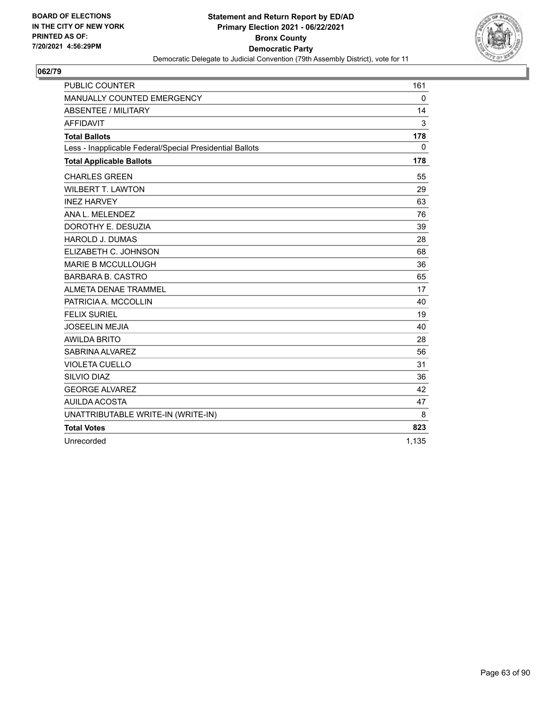

| <b>PUBLIC COUNTER</b>                                    | 161          |
|----------------------------------------------------------|--------------|
| MANUALLY COUNTED EMERGENCY                               | $\Omega$     |
| <b>ABSENTEE / MILITARY</b>                               | 14           |
| <b>AFFIDAVIT</b>                                         | 3            |
| <b>Total Ballots</b>                                     | 178          |
| Less - Inapplicable Federal/Special Presidential Ballots | $\mathbf{0}$ |
| <b>Total Applicable Ballots</b>                          | 178          |
| <b>CHARLES GREEN</b>                                     | 55           |
| <b>WILBERT T. LAWTON</b>                                 | 29           |
| <b>INEZ HARVEY</b>                                       | 63           |
| ANA L. MELENDEZ                                          | 76           |
| DOROTHY E. DESUZIA                                       | 39           |
| <b>HAROLD J. DUMAS</b>                                   | 28           |
| ELIZABETH C. JOHNSON                                     | 68           |
| <b>MARIE B MCCULLOUGH</b>                                | 36           |
| <b>BARBARA B. CASTRO</b>                                 | 65           |
| ALMETA DENAE TRAMMEL                                     | 17           |
| PATRICIA A. MCCOLLIN                                     | 40           |
| <b>FELIX SURIEL</b>                                      | 19           |
| <b>JOSEELIN MEJIA</b>                                    | 40           |
| <b>AWILDA BRITO</b>                                      | 28           |
| SABRINA ALVAREZ                                          | 56           |
| <b>VIOLETA CUELLO</b>                                    | 31           |
| SILVIO DIAZ                                              | 36           |
| <b>GEORGE ALVAREZ</b>                                    | 42           |
| AUILDA ACOSTA                                            | 47           |
| UNATTRIBUTABLE WRITE-IN (WRITE-IN)                       | 8            |
| <b>Total Votes</b>                                       | 823          |
| Unrecorded                                               | 1,135        |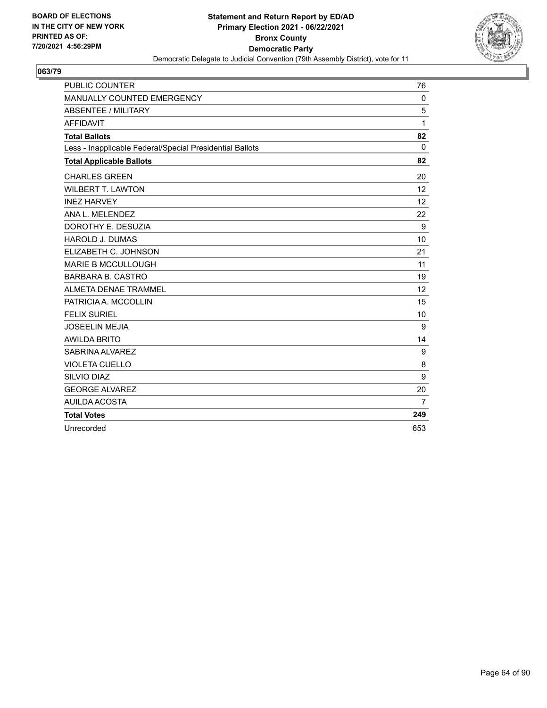

| <b>PUBLIC COUNTER</b>                                    | 76           |
|----------------------------------------------------------|--------------|
| MANUALLY COUNTED EMERGENCY                               | $\mathbf 0$  |
| <b>ABSENTEE / MILITARY</b>                               | 5            |
| <b>AFFIDAVIT</b>                                         | 1            |
| <b>Total Ballots</b>                                     | 82           |
| Less - Inapplicable Federal/Special Presidential Ballots | $\mathbf{0}$ |
| <b>Total Applicable Ballots</b>                          | 82           |
| <b>CHARLES GREEN</b>                                     | 20           |
| <b>WILBERT T. LAWTON</b>                                 | 12           |
| <b>INEZ HARVEY</b>                                       | 12           |
| ANA L. MELENDEZ                                          | 22           |
| DOROTHY E. DESUZIA                                       | 9            |
| <b>HAROLD J. DUMAS</b>                                   | 10           |
| ELIZABETH C. JOHNSON                                     | 21           |
| <b>MARIE B MCCULLOUGH</b>                                | 11           |
| <b>BARBARA B. CASTRO</b>                                 | 19           |
| <b>ALMETA DENAE TRAMMEL</b>                              | 12           |
| PATRICIA A. MCCOLLIN                                     | 15           |
| <b>FELIX SURIEL</b>                                      | 10           |
| <b>JOSEELIN MEJIA</b>                                    | 9            |
| <b>AWILDA BRITO</b>                                      | 14           |
| SABRINA ALVAREZ                                          | 9            |
| <b>VIOLETA CUELLO</b>                                    | 8            |
| <b>SILVIO DIAZ</b>                                       | 9            |
| <b>GEORGE ALVAREZ</b>                                    | 20           |
| AUILDA ACOSTA                                            | 7            |
| <b>Total Votes</b>                                       | 249          |
| Unrecorded                                               | 653          |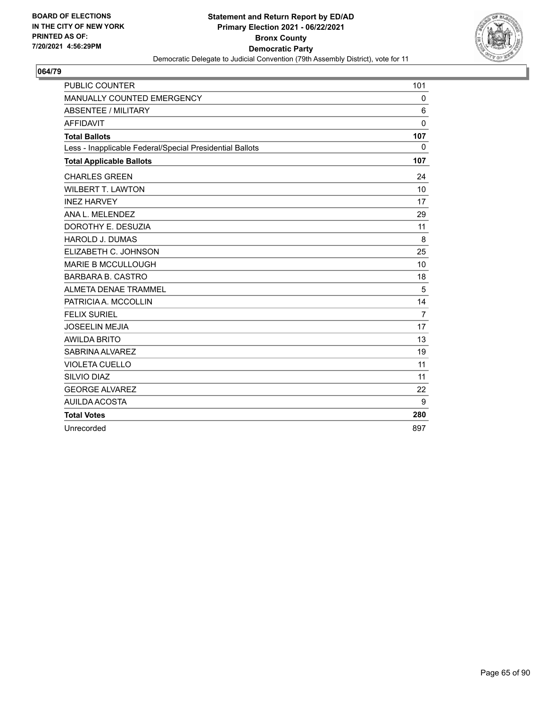

| <b>PUBLIC COUNTER</b>                                    | 101            |
|----------------------------------------------------------|----------------|
| MANUALLY COUNTED EMERGENCY                               | 0              |
| <b>ABSENTEE / MILITARY</b>                               | 6              |
| <b>AFFIDAVIT</b>                                         | $\Omega$       |
| <b>Total Ballots</b>                                     | 107            |
| Less - Inapplicable Federal/Special Presidential Ballots | $\mathbf{0}$   |
| <b>Total Applicable Ballots</b>                          | 107            |
| <b>CHARLES GREEN</b>                                     | 24             |
| <b>WILBERT T. LAWTON</b>                                 | 10             |
| <b>INEZ HARVEY</b>                                       | 17             |
| ANA L. MELENDEZ                                          | 29             |
| DOROTHY E. DESUZIA                                       | 11             |
| <b>HAROLD J. DUMAS</b>                                   | 8              |
| ELIZABETH C. JOHNSON                                     | 25             |
| <b>MARIE B MCCULLOUGH</b>                                | 10             |
| <b>BARBARA B. CASTRO</b>                                 | 18             |
| ALMETA DENAE TRAMMEL                                     | 5              |
| PATRICIA A. MCCOLLIN                                     | 14             |
| <b>FELIX SURIEL</b>                                      | $\overline{7}$ |
| <b>JOSEELIN MEJIA</b>                                    | 17             |
| <b>AWILDA BRITO</b>                                      | 13             |
| SABRINA ALVAREZ                                          | 19             |
| <b>VIOLETA CUELLO</b>                                    | 11             |
| <b>SILVIO DIAZ</b>                                       | 11             |
| <b>GEORGE ALVAREZ</b>                                    | 22             |
| AUILDA ACOSTA                                            | 9              |
| <b>Total Votes</b>                                       | 280            |
| Unrecorded                                               | 897            |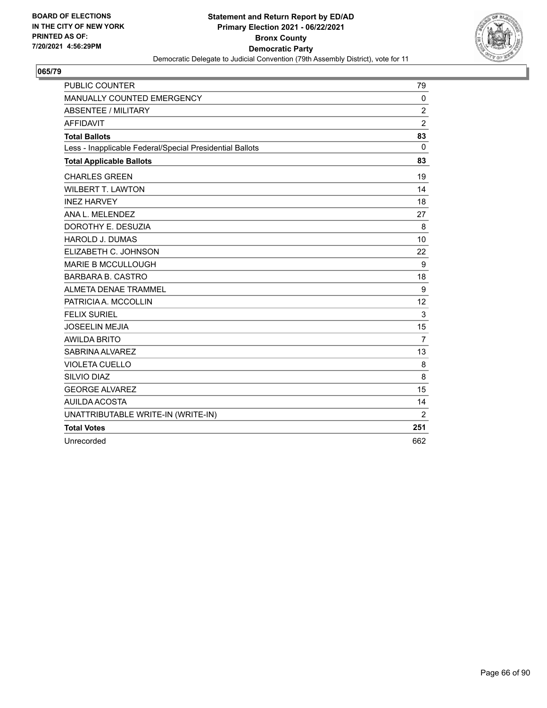

| <b>PUBLIC COUNTER</b>                                    | 79             |
|----------------------------------------------------------|----------------|
| MANUALLY COUNTED EMERGENCY                               | 0              |
| <b>ABSENTEE / MILITARY</b>                               | $\overline{2}$ |
| <b>AFFIDAVIT</b>                                         | $\overline{2}$ |
| <b>Total Ballots</b>                                     | 83             |
| Less - Inapplicable Federal/Special Presidential Ballots | $\Omega$       |
| <b>Total Applicable Ballots</b>                          | 83             |
| <b>CHARLES GREEN</b>                                     | 19             |
| <b>WILBERT T. LAWTON</b>                                 | 14             |
| <b>INEZ HARVEY</b>                                       | 18             |
| ANA L. MELENDEZ                                          | 27             |
| DOROTHY E. DESUZIA                                       | 8              |
| <b>HAROLD J. DUMAS</b>                                   | 10             |
| ELIZABETH C. JOHNSON                                     | 22             |
| <b>MARIE B MCCULLOUGH</b>                                | 9              |
| <b>BARBARA B. CASTRO</b>                                 | 18             |
| <b>ALMETA DENAE TRAMMEL</b>                              | 9              |
| PATRICIA A. MCCOLLIN                                     | 12             |
| <b>FELIX SURIEL</b>                                      | 3              |
| <b>JOSEELIN MEJIA</b>                                    | 15             |
| <b>AWILDA BRITO</b>                                      | $\overline{7}$ |
| SABRINA ALVAREZ                                          | 13             |
| <b>VIOLETA CUELLO</b>                                    | 8              |
| SILVIO DIAZ                                              | 8              |
| <b>GEORGE ALVAREZ</b>                                    | 15             |
| AUILDA ACOSTA                                            | 14             |
| UNATTRIBUTABLE WRITE-IN (WRITE-IN)                       | 2              |
| <b>Total Votes</b>                                       | 251            |
| Unrecorded                                               | 662            |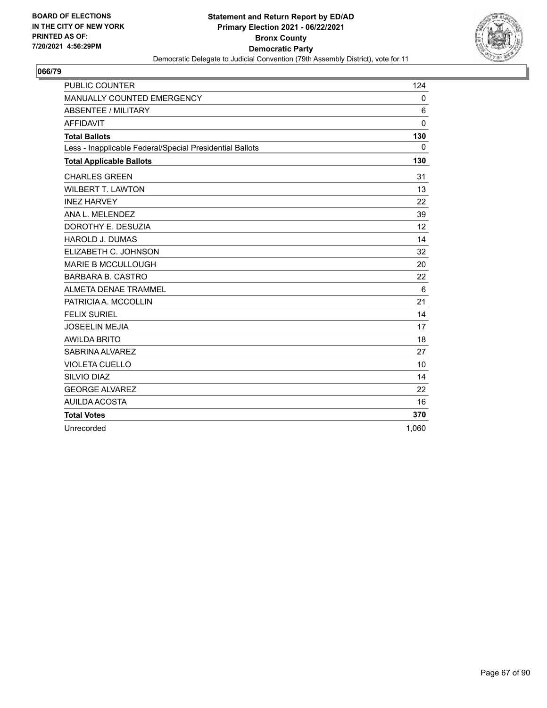

| <b>PUBLIC COUNTER</b>                                    | 124          |
|----------------------------------------------------------|--------------|
| MANUALLY COUNTED EMERGENCY                               | 0            |
| <b>ABSENTEE / MILITARY</b>                               | 6            |
| <b>AFFIDAVIT</b>                                         | $\mathbf{0}$ |
| <b>Total Ballots</b>                                     | 130          |
| Less - Inapplicable Federal/Special Presidential Ballots | 0            |
| <b>Total Applicable Ballots</b>                          | 130          |
| <b>CHARLES GREEN</b>                                     | 31           |
| <b>WILBERT T. LAWTON</b>                                 | 13           |
| <b>INEZ HARVEY</b>                                       | 22           |
| ANA L. MELENDEZ                                          | 39           |
| DOROTHY E. DESUZIA                                       | 12           |
| <b>HAROLD J. DUMAS</b>                                   | 14           |
| ELIZABETH C. JOHNSON                                     | 32           |
| <b>MARIE B MCCULLOUGH</b>                                | 20           |
| <b>BARBARA B. CASTRO</b>                                 | 22           |
| ALMETA DENAE TRAMMEL                                     | 6            |
| PATRICIA A. MCCOLLIN                                     | 21           |
| <b>FELIX SURIEL</b>                                      | 14           |
| <b>JOSEELIN MEJIA</b>                                    | 17           |
| <b>AWILDA BRITO</b>                                      | 18           |
| SABRINA ALVAREZ                                          | 27           |
| <b>VIOLETA CUELLO</b>                                    | 10           |
| SILVIO DIAZ                                              | 14           |
| <b>GEORGE ALVAREZ</b>                                    | 22           |
| AUILDA ACOSTA                                            | 16           |
| <b>Total Votes</b>                                       | 370          |
| Unrecorded                                               | 1,060        |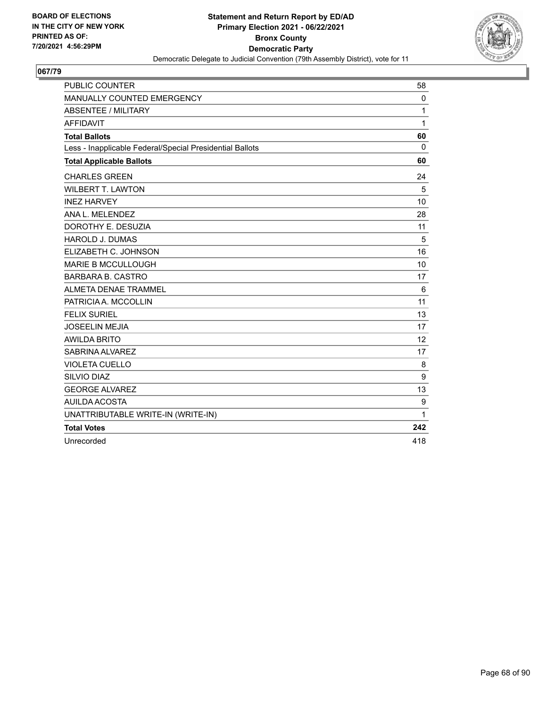

| <b>PUBLIC COUNTER</b>                                    | 58                |
|----------------------------------------------------------|-------------------|
| MANUALLY COUNTED EMERGENCY                               | 0                 |
| <b>ABSENTEE / MILITARY</b>                               | 1                 |
| <b>AFFIDAVIT</b>                                         | 1                 |
| <b>Total Ballots</b>                                     | 60                |
| Less - Inapplicable Federal/Special Presidential Ballots | $\mathbf{0}$      |
| <b>Total Applicable Ballots</b>                          | 60                |
| <b>CHARLES GREEN</b>                                     | 24                |
| <b>WILBERT T. LAWTON</b>                                 | 5                 |
| <b>INEZ HARVEY</b>                                       | 10                |
| ANA L. MELENDEZ                                          | 28                |
| DOROTHY E. DESUZIA                                       | 11                |
| <b>HAROLD J. DUMAS</b>                                   | 5                 |
| ELIZABETH C. JOHNSON                                     | 16                |
| <b>MARIE B MCCULLOUGH</b>                                | 10                |
| <b>BARBARA B. CASTRO</b>                                 | 17                |
| ALMETA DENAE TRAMMEL                                     | 6                 |
| PATRICIA A. MCCOLLIN                                     | 11                |
| <b>FELIX SURIEL</b>                                      | 13                |
| <b>JOSEELIN MEJIA</b>                                    | 17                |
| <b>AWILDA BRITO</b>                                      | $12 \overline{ }$ |
| SABRINA ALVAREZ                                          | 17                |
| <b>VIOLETA CUELLO</b>                                    | 8                 |
| SILVIO DIAZ                                              | 9                 |
| <b>GEORGE ALVAREZ</b>                                    | 13                |
| AUILDA ACOSTA                                            | 9                 |
| UNATTRIBUTABLE WRITE-IN (WRITE-IN)                       | $\mathbf{1}$      |
| <b>Total Votes</b>                                       | 242               |
| Unrecorded                                               | 418               |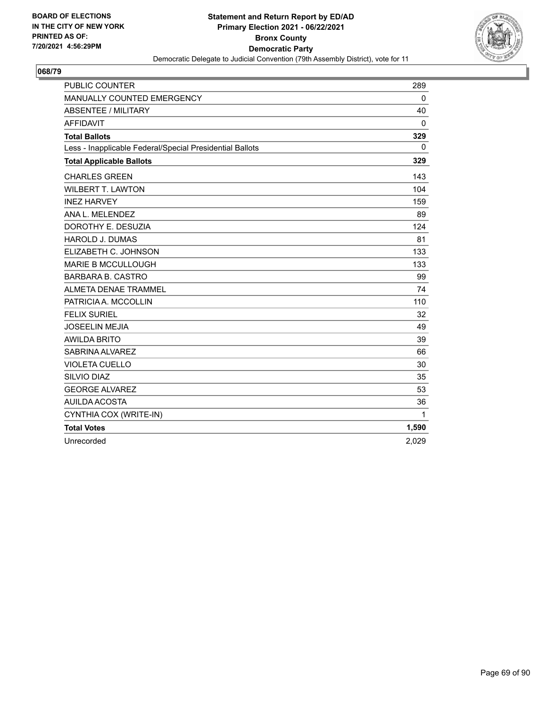

| <b>PUBLIC COUNTER</b>                                    | 289          |
|----------------------------------------------------------|--------------|
| MANUALLY COUNTED EMERGENCY                               | 0            |
| <b>ABSENTEE / MILITARY</b>                               | 40           |
| <b>AFFIDAVIT</b>                                         | $\mathbf{0}$ |
| <b>Total Ballots</b>                                     | 329          |
| Less - Inapplicable Federal/Special Presidential Ballots | $\mathbf{0}$ |
| <b>Total Applicable Ballots</b>                          | 329          |
| <b>CHARLES GREEN</b>                                     | 143          |
| <b>WILBERT T. LAWTON</b>                                 | 104          |
| <b>INEZ HARVEY</b>                                       | 159          |
| ANA L. MELENDEZ                                          | 89           |
| DOROTHY E. DESUZIA                                       | 124          |
| <b>HAROLD J. DUMAS</b>                                   | 81           |
| ELIZABETH C. JOHNSON                                     | 133          |
| <b>MARIE B MCCULLOUGH</b>                                | 133          |
| <b>BARBARA B. CASTRO</b>                                 | 99           |
| <b>ALMETA DENAE TRAMMEL</b>                              | 74           |
| PATRICIA A. MCCOLLIN                                     | 110          |
| <b>FELIX SURIEL</b>                                      | 32           |
| <b>JOSEELIN MEJIA</b>                                    | 49           |
| <b>AWILDA BRITO</b>                                      | 39           |
| SABRINA ALVAREZ                                          | 66           |
| <b>VIOLETA CUELLO</b>                                    | 30           |
| <b>SILVIO DIAZ</b>                                       | 35           |
| <b>GEORGE ALVAREZ</b>                                    | 53           |
| <b>AUILDA ACOSTA</b>                                     | 36           |
| CYNTHIA COX (WRITE-IN)                                   | $\mathbf{1}$ |
| <b>Total Votes</b>                                       | 1,590        |
| Unrecorded                                               | 2,029        |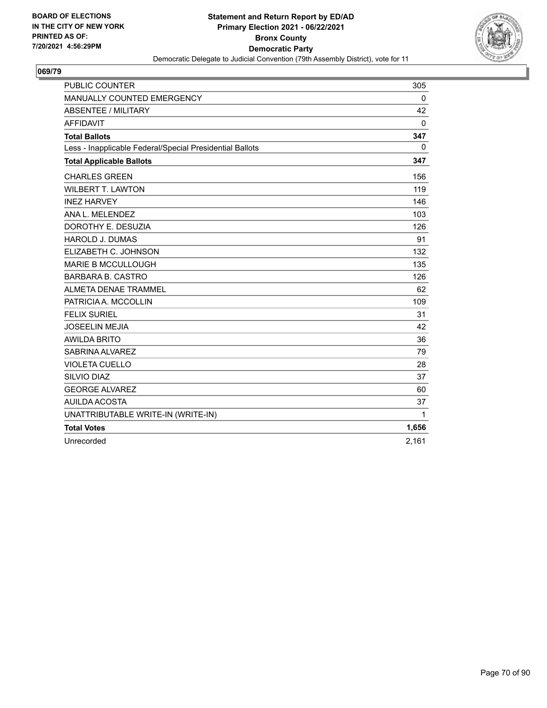

| <b>PUBLIC COUNTER</b>                                    | 305          |
|----------------------------------------------------------|--------------|
| MANUALLY COUNTED EMERGENCY                               | 0            |
| <b>ABSENTEE / MILITARY</b>                               | 42           |
| <b>AFFIDAVIT</b>                                         | $\mathbf 0$  |
| <b>Total Ballots</b>                                     | 347          |
| Less - Inapplicable Federal/Special Presidential Ballots | 0            |
| <b>Total Applicable Ballots</b>                          | 347          |
| <b>CHARLES GREEN</b>                                     | 156          |
| <b>WILBERT T. LAWTON</b>                                 | 119          |
| <b>INEZ HARVEY</b>                                       | 146          |
| ANA L. MELENDEZ                                          | 103          |
| DOROTHY E. DESUZIA                                       | 126          |
| <b>HAROLD J. DUMAS</b>                                   | 91           |
| ELIZABETH C. JOHNSON                                     | 132          |
| <b>MARIE B MCCULLOUGH</b>                                | 135          |
| <b>BARBARA B. CASTRO</b>                                 | 126          |
| <b>ALMETA DENAE TRAMMEL</b>                              | 62           |
| PATRICIA A. MCCOLLIN                                     | 109          |
| <b>FELIX SURIEL</b>                                      | 31           |
| <b>JOSEELIN MEJIA</b>                                    | 42           |
| <b>AWILDA BRITO</b>                                      | 36           |
| SABRINA ALVAREZ                                          | 79           |
| <b>VIOLETA CUELLO</b>                                    | 28           |
| SILVIO DIAZ                                              | 37           |
| <b>GEORGE ALVAREZ</b>                                    | 60           |
| AUILDA ACOSTA                                            | 37           |
| UNATTRIBUTABLE WRITE-IN (WRITE-IN)                       | $\mathbf{1}$ |
| <b>Total Votes</b>                                       | 1,656        |
| Unrecorded                                               | 2,161        |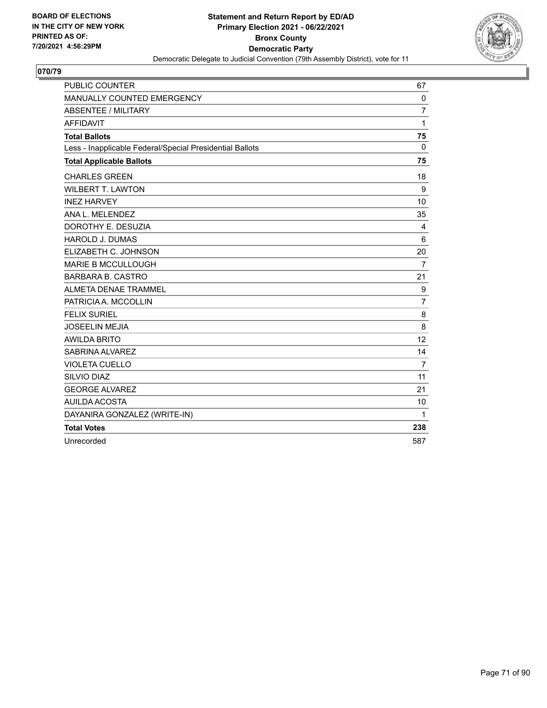

| <b>PUBLIC COUNTER</b>                                    | 67             |
|----------------------------------------------------------|----------------|
| MANUALLY COUNTED EMERGENCY                               | $\mathbf 0$    |
| ABSENTEE / MILITARY                                      | $\overline{7}$ |
| <b>AFFIDAVIT</b>                                         | 1              |
| <b>Total Ballots</b>                                     | 75             |
| Less - Inapplicable Federal/Special Presidential Ballots | $\Omega$       |
| <b>Total Applicable Ballots</b>                          | 75             |
| <b>CHARLES GREEN</b>                                     | 18             |
| <b>WILBERT T. LAWTON</b>                                 | 9              |
| <b>INEZ HARVEY</b>                                       | 10             |
| ANA L. MELENDEZ                                          | 35             |
| DOROTHY E. DESUZIA                                       | 4              |
| <b>HAROLD J. DUMAS</b>                                   | 6              |
| ELIZABETH C. JOHNSON                                     | 20             |
| <b>MARIE B MCCULLOUGH</b>                                | $\overline{7}$ |
| <b>BARBARA B. CASTRO</b>                                 | 21             |
| <b>ALMETA DENAE TRAMMEL</b>                              | 9              |
| PATRICIA A. MCCOLLIN                                     | $\overline{7}$ |
| <b>FELIX SURIEL</b>                                      | 8              |
| <b>JOSEELIN MEJIA</b>                                    | 8              |
| <b>AWILDA BRITO</b>                                      | 12             |
| SABRINA ALVAREZ                                          | 14             |
| <b>VIOLETA CUELLO</b>                                    | $\overline{7}$ |
| SILVIO DIAZ                                              | 11             |
| <b>GEORGE ALVAREZ</b>                                    | 21             |
| AUILDA ACOSTA                                            | 10             |
| DAYANIRA GONZALEZ (WRITE-IN)                             | 1              |
| <b>Total Votes</b>                                       | 238            |
| Unrecorded                                               | 587            |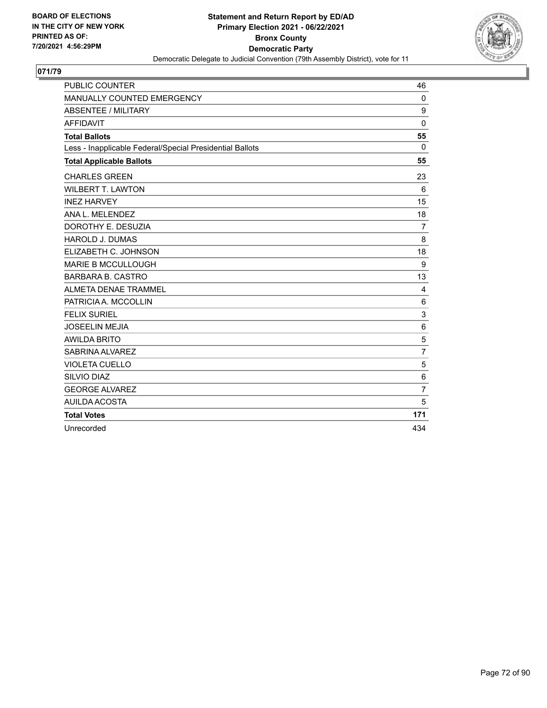

| <b>PUBLIC COUNTER</b>                                    | 46             |
|----------------------------------------------------------|----------------|
| MANUALLY COUNTED EMERGENCY                               | $\mathbf 0$    |
| <b>ABSENTEE / MILITARY</b>                               | 9              |
| <b>AFFIDAVIT</b>                                         | 0              |
| <b>Total Ballots</b>                                     | 55             |
| Less - Inapplicable Federal/Special Presidential Ballots | $\Omega$       |
| <b>Total Applicable Ballots</b>                          | 55             |
| <b>CHARLES GREEN</b>                                     | 23             |
| <b>WILBERT T. LAWTON</b>                                 | 6              |
| <b>INEZ HARVEY</b>                                       | 15             |
| ANA L. MELENDEZ                                          | 18             |
| DOROTHY E. DESUZIA                                       | $\overline{7}$ |
| <b>HAROLD J. DUMAS</b>                                   | 8              |
| ELIZABETH C. JOHNSON                                     | 18             |
| <b>MARIE B MCCULLOUGH</b>                                | 9              |
| <b>BARBARA B. CASTRO</b>                                 | 13             |
| ALMETA DENAE TRAMMEL                                     | 4              |
| PATRICIA A. MCCOLLIN                                     | 6              |
| <b>FELIX SURIEL</b>                                      | 3              |
| <b>JOSEELIN MEJIA</b>                                    | 6              |
| <b>AWILDA BRITO</b>                                      | 5              |
| SABRINA ALVAREZ                                          | $\overline{7}$ |
| <b>VIOLETA CUELLO</b>                                    | 5              |
| SILVIO DIAZ                                              | 6              |
| <b>GEORGE ALVAREZ</b>                                    | $\overline{7}$ |
| AUILDA ACOSTA                                            | 5              |
| <b>Total Votes</b>                                       | 171            |
| Unrecorded                                               | 434            |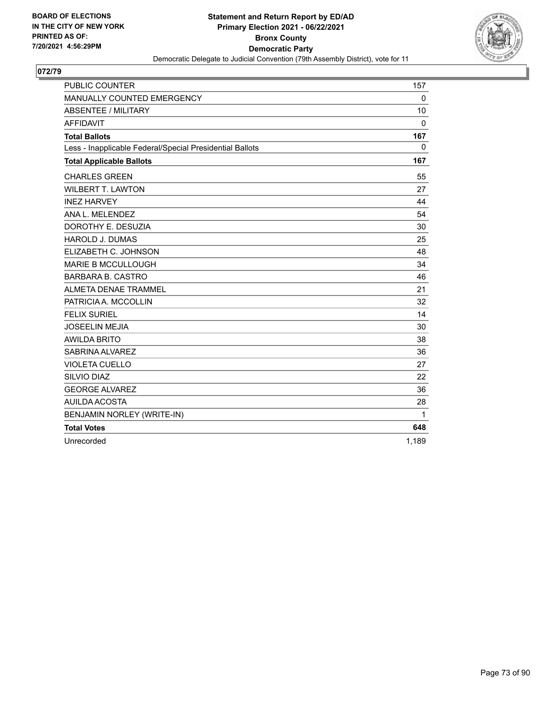

| <b>PUBLIC COUNTER</b>                                    | 157          |
|----------------------------------------------------------|--------------|
| MANUALLY COUNTED EMERGENCY                               | $\Omega$     |
| <b>ABSENTEE / MILITARY</b>                               | 10           |
| <b>AFFIDAVIT</b>                                         | $\Omega$     |
| <b>Total Ballots</b>                                     | 167          |
| Less - Inapplicable Federal/Special Presidential Ballots | $\Omega$     |
| <b>Total Applicable Ballots</b>                          | 167          |
| <b>CHARLES GREEN</b>                                     | 55           |
| <b>WILBERT T. LAWTON</b>                                 | 27           |
| <b>INEZ HARVEY</b>                                       | 44           |
| ANA L. MELENDEZ                                          | 54           |
| DOROTHY E. DESUZIA                                       | 30           |
| <b>HAROLD J. DUMAS</b>                                   | 25           |
| ELIZABETH C. JOHNSON                                     | 48           |
| <b>MARIE B MCCULLOUGH</b>                                | 34           |
| <b>BARBARA B. CASTRO</b>                                 | 46           |
| <b>ALMETA DENAE TRAMMEL</b>                              | 21           |
| PATRICIA A. MCCOLLIN                                     | 32           |
| <b>FELIX SURIEL</b>                                      | 14           |
| <b>JOSEELIN MEJIA</b>                                    | 30           |
| <b>AWILDA BRITO</b>                                      | 38           |
| SABRINA ALVAREZ                                          | 36           |
| <b>VIOLETA CUELLO</b>                                    | 27           |
| SILVIO DIAZ                                              | 22           |
| <b>GEORGE ALVAREZ</b>                                    | 36           |
| AUILDA ACOSTA                                            | 28           |
| BENJAMIN NORLEY (WRITE-IN)                               | $\mathbf{1}$ |
| <b>Total Votes</b>                                       | 648          |
| Unrecorded                                               | 1,189        |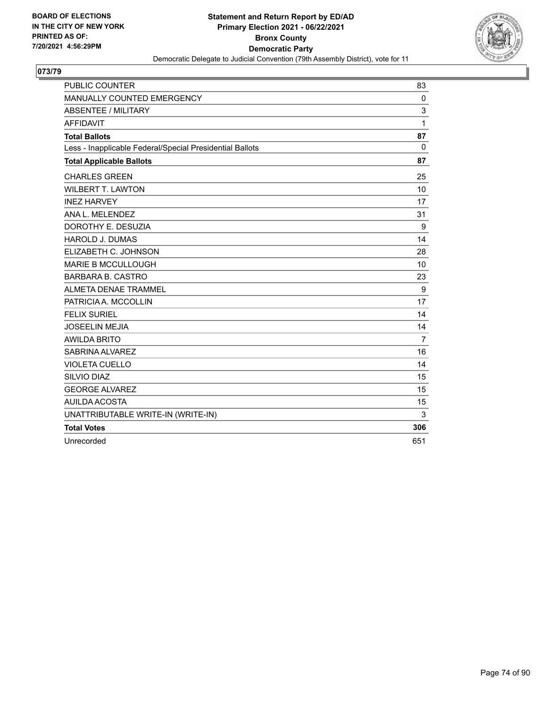

| <b>PUBLIC COUNTER</b>                                    | 83             |
|----------------------------------------------------------|----------------|
| MANUALLY COUNTED EMERGENCY                               | $\mathbf 0$    |
| ABSENTEE / MILITARY                                      | 3              |
| <b>AFFIDAVIT</b>                                         | 1              |
| <b>Total Ballots</b>                                     | 87             |
| Less - Inapplicable Federal/Special Presidential Ballots | $\Omega$       |
| <b>Total Applicable Ballots</b>                          | 87             |
| <b>CHARLES GREEN</b>                                     | 25             |
| <b>WILBERT T. LAWTON</b>                                 | 10             |
| <b>INEZ HARVEY</b>                                       | 17             |
| ANA L. MELENDEZ                                          | 31             |
| DOROTHY E. DESUZIA                                       | 9              |
| <b>HAROLD J. DUMAS</b>                                   | 14             |
| ELIZABETH C. JOHNSON                                     | 28             |
| <b>MARIE B MCCULLOUGH</b>                                | 10             |
| <b>BARBARA B. CASTRO</b>                                 | 23             |
| ALMETA DENAE TRAMMEL                                     | 9              |
| PATRICIA A. MCCOLLIN                                     | 17             |
| <b>FELIX SURIEL</b>                                      | 14             |
| <b>JOSEELIN MEJIA</b>                                    | 14             |
| <b>AWILDA BRITO</b>                                      | $\overline{7}$ |
| SABRINA ALVAREZ                                          | 16             |
| <b>VIOLETA CUELLO</b>                                    | 14             |
| SILVIO DIAZ                                              | 15             |
| <b>GEORGE ALVAREZ</b>                                    | 15             |
| <b>AUILDA ACOSTA</b>                                     | 15             |
| UNATTRIBUTABLE WRITE-IN (WRITE-IN)                       | 3              |
| <b>Total Votes</b>                                       | 306            |
| Unrecorded                                               | 651            |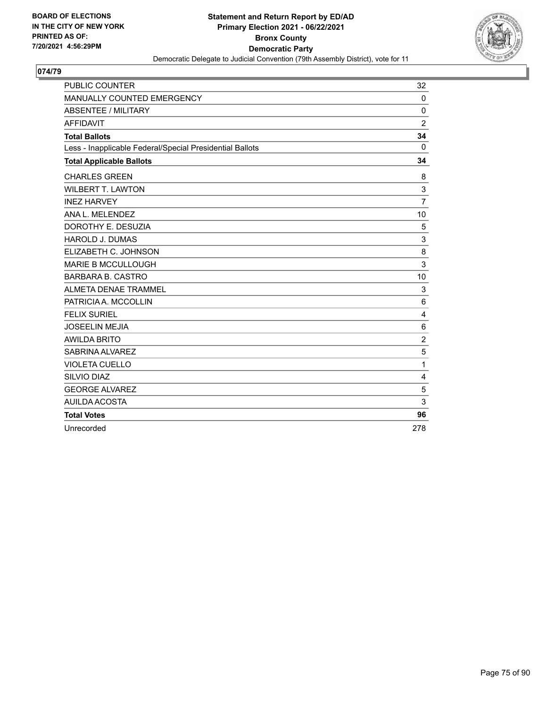

| <b>PUBLIC COUNTER</b>                                    | 32             |
|----------------------------------------------------------|----------------|
| MANUALLY COUNTED EMERGENCY                               | 0              |
| ABSENTEE / MILITARY                                      | $\mathbf{0}$   |
| <b>AFFIDAVIT</b>                                         | $\overline{2}$ |
| <b>Total Ballots</b>                                     | 34             |
| Less - Inapplicable Federal/Special Presidential Ballots | 0              |
| <b>Total Applicable Ballots</b>                          | 34             |
| <b>CHARLES GREEN</b>                                     | 8              |
| <b>WILBERT T. LAWTON</b>                                 | 3              |
| <b>INEZ HARVEY</b>                                       | $\overline{7}$ |
| ANA L. MELENDEZ                                          | 10             |
| DOROTHY E. DESUZIA                                       | 5              |
| <b>HAROLD J. DUMAS</b>                                   | 3              |
| ELIZABETH C. JOHNSON                                     | 8              |
| <b>MARIE B MCCULLOUGH</b>                                | 3              |
| <b>BARBARA B. CASTRO</b>                                 | 10             |
| ALMETA DENAE TRAMMEL                                     | 3              |
| PATRICIA A. MCCOLLIN                                     | 6              |
| <b>FELIX SURIEL</b>                                      | 4              |
| <b>JOSEELIN MEJIA</b>                                    | 6              |
| <b>AWILDA BRITO</b>                                      | $\overline{2}$ |
| SABRINA ALVAREZ                                          | 5              |
| <b>VIOLETA CUELLO</b>                                    | 1              |
| SILVIO DIAZ                                              | 4              |
| <b>GEORGE ALVAREZ</b>                                    | 5              |
| <b>AUILDA ACOSTA</b>                                     | 3              |
| <b>Total Votes</b>                                       | 96             |
| Unrecorded                                               | 278            |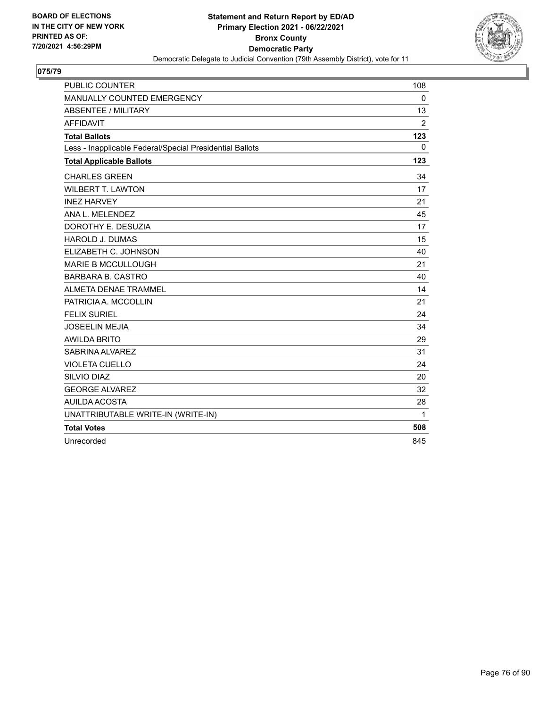

| <b>PUBLIC COUNTER</b>                                    | 108            |
|----------------------------------------------------------|----------------|
| MANUALLY COUNTED EMERGENCY                               | $\mathbf 0$    |
| <b>ABSENTEE / MILITARY</b>                               | 13             |
| <b>AFFIDAVIT</b>                                         | $\overline{2}$ |
| <b>Total Ballots</b>                                     | 123            |
| Less - Inapplicable Federal/Special Presidential Ballots | 0              |
| <b>Total Applicable Ballots</b>                          | 123            |
| <b>CHARLES GREEN</b>                                     | 34             |
| <b>WILBERT T. LAWTON</b>                                 | 17             |
| <b>INEZ HARVEY</b>                                       | 21             |
| ANA L. MELENDEZ                                          | 45             |
| DOROTHY E. DESUZIA                                       | 17             |
| <b>HAROLD J. DUMAS</b>                                   | 15             |
| ELIZABETH C. JOHNSON                                     | 40             |
| <b>MARIE B MCCULLOUGH</b>                                | 21             |
| <b>BARBARA B. CASTRO</b>                                 | 40             |
| ALMETA DENAE TRAMMEL                                     | 14             |
| PATRICIA A. MCCOLLIN                                     | 21             |
| <b>FELIX SURIEL</b>                                      | 24             |
| <b>JOSEELIN MEJIA</b>                                    | 34             |
| <b>AWILDA BRITO</b>                                      | 29             |
| SABRINA ALVAREZ                                          | 31             |
| <b>VIOLETA CUELLO</b>                                    | 24             |
| SILVIO DIAZ                                              | 20             |
| <b>GEORGE ALVAREZ</b>                                    | 32             |
| <b>AUILDA ACOSTA</b>                                     | 28             |
| UNATTRIBUTABLE WRITE-IN (WRITE-IN)                       | 1              |
| <b>Total Votes</b>                                       | 508            |
| Unrecorded                                               | 845            |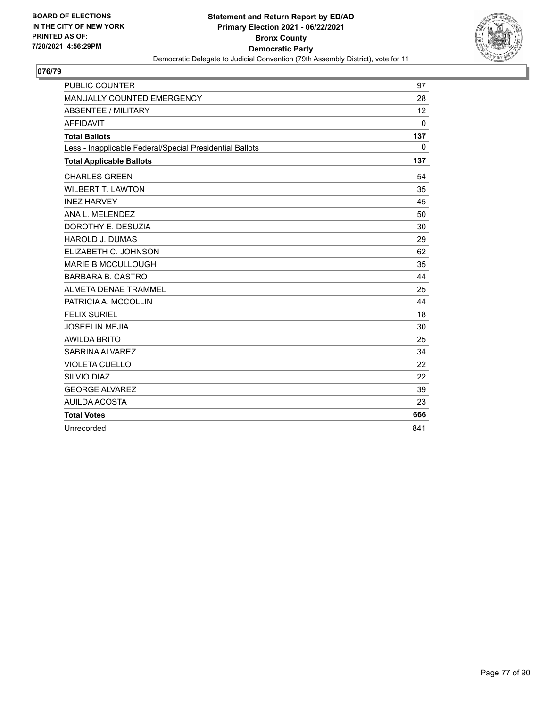

| <b>PUBLIC COUNTER</b>                                    | 97           |
|----------------------------------------------------------|--------------|
| MANUALLY COUNTED EMERGENCY                               | 28           |
| <b>ABSENTEE / MILITARY</b>                               | 12           |
| <b>AFFIDAVIT</b>                                         | $\mathbf{0}$ |
| <b>Total Ballots</b>                                     | 137          |
| Less - Inapplicable Federal/Special Presidential Ballots | 0            |
| <b>Total Applicable Ballots</b>                          | 137          |
| <b>CHARLES GREEN</b>                                     | 54           |
| <b>WILBERT T. LAWTON</b>                                 | 35           |
| <b>INEZ HARVEY</b>                                       | 45           |
| ANA L. MELENDEZ                                          | 50           |
| DOROTHY E. DESUZIA                                       | 30           |
| <b>HAROLD J. DUMAS</b>                                   | 29           |
| ELIZABETH C. JOHNSON                                     | 62           |
| <b>MARIE B MCCULLOUGH</b>                                | 35           |
| <b>BARBARA B. CASTRO</b>                                 | 44           |
| ALMETA DENAE TRAMMEL                                     | 25           |
| PATRICIA A. MCCOLLIN                                     | 44           |
| <b>FELIX SURIEL</b>                                      | 18           |
| <b>JOSEELIN MEJIA</b>                                    | 30           |
| <b>AWILDA BRITO</b>                                      | 25           |
| SABRINA ALVAREZ                                          | 34           |
| <b>VIOLETA CUELLO</b>                                    | 22           |
| SILVIO DIAZ                                              | 22           |
| <b>GEORGE ALVAREZ</b>                                    | 39           |
| AUILDA ACOSTA                                            | 23           |
| <b>Total Votes</b>                                       | 666          |
| Unrecorded                                               | 841          |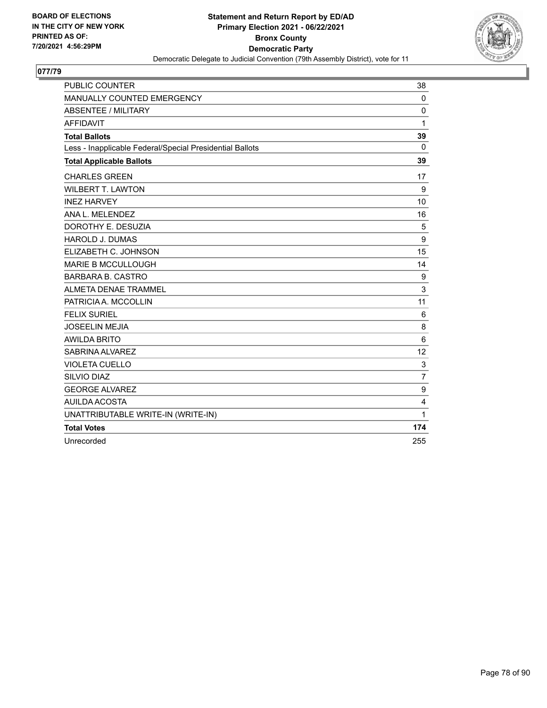

| <b>PUBLIC COUNTER</b>                                    | 38             |
|----------------------------------------------------------|----------------|
| MANUALLY COUNTED EMERGENCY                               | $\mathbf 0$    |
| ABSENTEE / MILITARY                                      | 0              |
| <b>AFFIDAVIT</b>                                         | 1              |
| <b>Total Ballots</b>                                     | 39             |
| Less - Inapplicable Federal/Special Presidential Ballots | $\Omega$       |
| <b>Total Applicable Ballots</b>                          | 39             |
| <b>CHARLES GREEN</b>                                     | 17             |
| <b>WILBERT T. LAWTON</b>                                 | 9              |
| <b>INEZ HARVEY</b>                                       | 10             |
| ANA L. MELENDEZ                                          | 16             |
| DOROTHY E. DESUZIA                                       | 5              |
| <b>HAROLD J. DUMAS</b>                                   | 9              |
| ELIZABETH C. JOHNSON                                     | 15             |
| <b>MARIE B MCCULLOUGH</b>                                | 14             |
| <b>BARBARA B. CASTRO</b>                                 | 9              |
| ALMETA DENAE TRAMMEL                                     | 3              |
| PATRICIA A. MCCOLLIN                                     | 11             |
| <b>FELIX SURIEL</b>                                      | 6              |
| <b>JOSEELIN MEJIA</b>                                    | 8              |
| <b>AWILDA BRITO</b>                                      | 6              |
| SABRINA ALVAREZ                                          | 12             |
| <b>VIOLETA CUELLO</b>                                    | 3              |
| SILVIO DIAZ                                              | $\overline{7}$ |
| <b>GEORGE ALVAREZ</b>                                    | 9              |
| <b>AUILDA ACOSTA</b>                                     | 4              |
| UNATTRIBUTABLE WRITE-IN (WRITE-IN)                       | 1              |
| <b>Total Votes</b>                                       | 174            |
| Unrecorded                                               | 255            |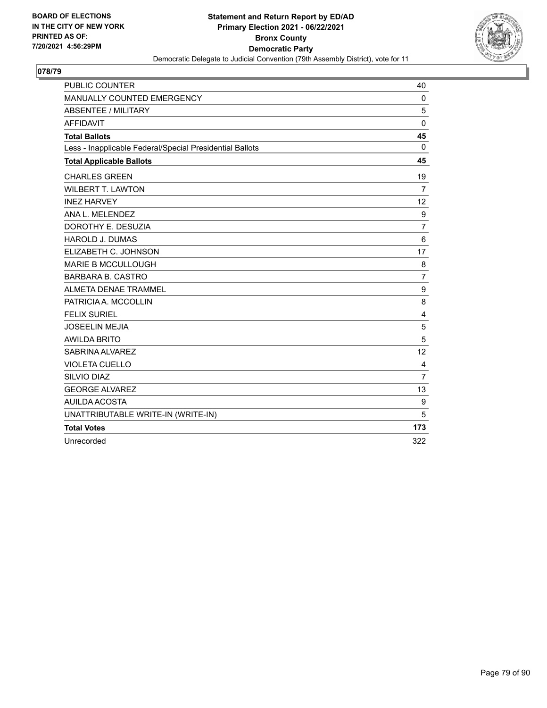

| <b>PUBLIC COUNTER</b>                                    | 40             |
|----------------------------------------------------------|----------------|
| MANUALLY COUNTED EMERGENCY                               | $\mathbf 0$    |
| ABSENTEE / MILITARY                                      | 5              |
| <b>AFFIDAVIT</b>                                         | $\mathbf 0$    |
| <b>Total Ballots</b>                                     | 45             |
| Less - Inapplicable Federal/Special Presidential Ballots | $\Omega$       |
| <b>Total Applicable Ballots</b>                          | 45             |
| <b>CHARLES GREEN</b>                                     | 19             |
| <b>WILBERT T. LAWTON</b>                                 | $\overline{7}$ |
| <b>INEZ HARVEY</b>                                       | 12             |
| ANA L. MELENDEZ                                          | 9              |
| DOROTHY E. DESUZIA                                       | 7              |
| <b>HAROLD J. DUMAS</b>                                   | 6              |
| ELIZABETH C. JOHNSON                                     | 17             |
| <b>MARIE B MCCULLOUGH</b>                                | 8              |
| <b>BARBARA B. CASTRO</b>                                 | $\overline{7}$ |
| ALMETA DENAE TRAMMEL                                     | 9              |
| PATRICIA A. MCCOLLIN                                     | 8              |
| <b>FELIX SURIEL</b>                                      | 4              |
| <b>JOSEELIN MEJIA</b>                                    | 5              |
| <b>AWILDA BRITO</b>                                      | 5              |
| SABRINA ALVAREZ                                          | 12             |
| <b>VIOLETA CUELLO</b>                                    | 4              |
| SILVIO DIAZ                                              | $\overline{7}$ |
| <b>GEORGE ALVAREZ</b>                                    | 13             |
| AUILDA ACOSTA                                            | 9              |
| UNATTRIBUTABLE WRITE-IN (WRITE-IN)                       | 5              |
| <b>Total Votes</b>                                       | 173            |
| Unrecorded                                               | 322            |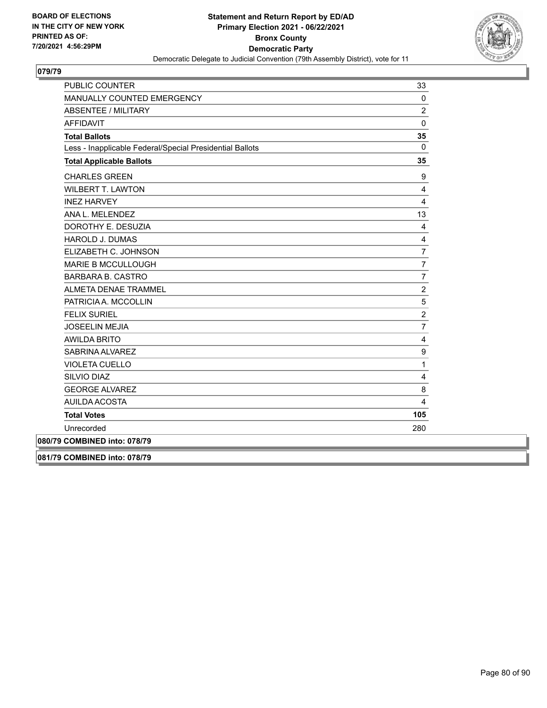

| <b>PUBLIC COUNTER</b>                                    | 33             |
|----------------------------------------------------------|----------------|
| MANUALLY COUNTED EMERGENCY                               | 0              |
| <b>ABSENTEE / MILITARY</b>                               | $\overline{c}$ |
| <b>AFFIDAVIT</b>                                         | $\mathbf 0$    |
| <b>Total Ballots</b>                                     | 35             |
| Less - Inapplicable Federal/Special Presidential Ballots | $\Omega$       |
| <b>Total Applicable Ballots</b>                          | 35             |
| <b>CHARLES GREEN</b>                                     | 9              |
| <b>WILBERT T. LAWTON</b>                                 | 4              |
| <b>INEZ HARVEY</b>                                       | 4              |
| ANA L. MELENDEZ                                          | 13             |
| DOROTHY E. DESUZIA                                       | $\overline{4}$ |
| <b>HAROLD J. DUMAS</b>                                   | $\overline{4}$ |
| ELIZABETH C. JOHNSON                                     | $\overline{7}$ |
| <b>MARIE B MCCULLOUGH</b>                                | $\overline{7}$ |
| <b>BARBARA B. CASTRO</b>                                 | $\overline{7}$ |
| <b>ALMETA DENAE TRAMMEL</b>                              | $\overline{c}$ |
| PATRICIA A. MCCOLLIN                                     | 5              |
| <b>FELIX SURIEL</b>                                      | $\overline{c}$ |
| <b>JOSEELIN MEJIA</b>                                    | $\overline{7}$ |
| <b>AWILDA BRITO</b>                                      | 4              |
| SABRINA ALVAREZ                                          | 9              |
| <b>VIOLETA CUELLO</b>                                    | $\mathbf{1}$   |
| SILVIO DIAZ                                              | 4              |
| <b>GEORGE ALVAREZ</b>                                    | 8              |
| AUILDA ACOSTA                                            | 4              |
| <b>Total Votes</b>                                       | 105            |
| Unrecorded                                               | 280            |
| 080/79 COMBINED into: 078/79                             |                |
| 081/79 COMBINED into: 078/79                             |                |

Page 80 of 90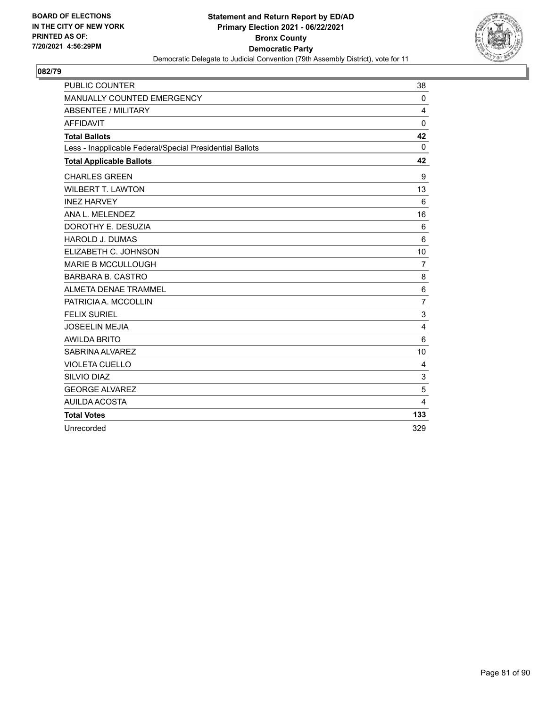

| PUBLIC COUNTER                                           | 38              |
|----------------------------------------------------------|-----------------|
| MANUALLY COUNTED EMERGENCY                               | $\mathbf 0$     |
| <b>ABSENTEE / MILITARY</b>                               | 4               |
| <b>AFFIDAVIT</b>                                         | 0               |
| <b>Total Ballots</b>                                     | 42              |
| Less - Inapplicable Federal/Special Presidential Ballots | $\Omega$        |
| <b>Total Applicable Ballots</b>                          | 42              |
| <b>CHARLES GREEN</b>                                     | 9               |
| <b>WILBERT T. LAWTON</b>                                 | 13              |
| <b>INEZ HARVEY</b>                                       | 6               |
| ANA L. MELENDEZ                                          | 16              |
| DOROTHY E. DESUZIA                                       | 6               |
| <b>HAROLD J. DUMAS</b>                                   | 6               |
| ELIZABETH C. JOHNSON                                     | 10              |
| <b>MARIE B MCCULLOUGH</b>                                | $\overline{7}$  |
| <b>BARBARA B. CASTRO</b>                                 | 8               |
| <b>ALMETA DENAE TRAMMEL</b>                              | $6\phantom{1}6$ |
| PATRICIA A. MCCOLLIN                                     | $\overline{7}$  |
| <b>FELIX SURIEL</b>                                      | 3               |
| <b>JOSEELIN MEJIA</b>                                    | 4               |
| <b>AWILDA BRITO</b>                                      | $6\phantom{1}6$ |
| SABRINA ALVAREZ                                          | 10              |
| <b>VIOLETA CUELLO</b>                                    | 4               |
| SILVIO DIAZ                                              | 3               |
| <b>GEORGE ALVAREZ</b>                                    | 5               |
| AUILDA ACOSTA                                            | 4               |
| <b>Total Votes</b>                                       | 133             |
| Unrecorded                                               | 329             |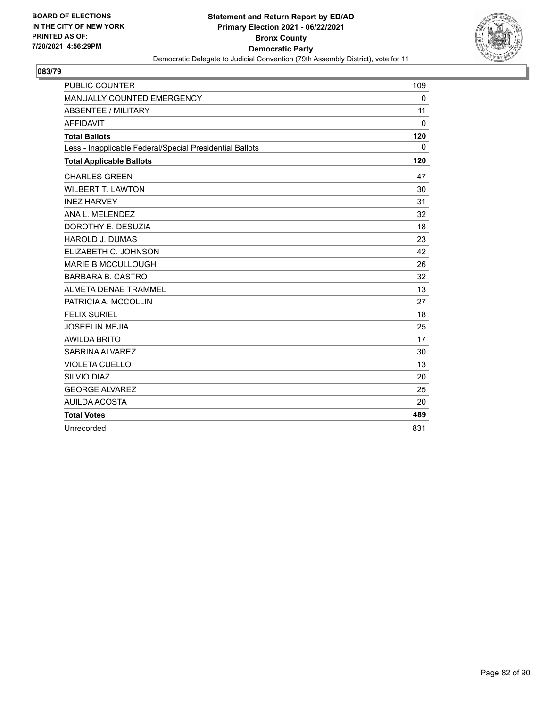

| <b>PUBLIC COUNTER</b>                                    | 109          |
|----------------------------------------------------------|--------------|
| MANUALLY COUNTED EMERGENCY                               | $\mathbf 0$  |
| <b>ABSENTEE / MILITARY</b>                               | 11           |
| <b>AFFIDAVIT</b>                                         | $\mathbf{0}$ |
| <b>Total Ballots</b>                                     | 120          |
| Less - Inapplicable Federal/Special Presidential Ballots | $\mathbf{0}$ |
| <b>Total Applicable Ballots</b>                          | 120          |
| <b>CHARLES GREEN</b>                                     | 47           |
| <b>WILBERT T. LAWTON</b>                                 | 30           |
| <b>INEZ HARVEY</b>                                       | 31           |
| ANA L. MELENDEZ                                          | 32           |
| DOROTHY E. DESUZIA                                       | 18           |
| <b>HAROLD J. DUMAS</b>                                   | 23           |
| ELIZABETH C. JOHNSON                                     | 42           |
| <b>MARIE B MCCULLOUGH</b>                                | 26           |
| <b>BARBARA B. CASTRO</b>                                 | 32           |
| ALMETA DENAE TRAMMEL                                     | 13           |
| PATRICIA A. MCCOLLIN                                     | 27           |
| <b>FELIX SURIEL</b>                                      | 18           |
| <b>JOSEELIN MEJIA</b>                                    | 25           |
| <b>AWILDA BRITO</b>                                      | 17           |
| SABRINA ALVAREZ                                          | 30           |
| <b>VIOLETA CUELLO</b>                                    | 13           |
| <b>SILVIO DIAZ</b>                                       | 20           |
| <b>GEORGE ALVAREZ</b>                                    | 25           |
| AUILDA ACOSTA                                            | 20           |
| <b>Total Votes</b>                                       | 489          |
| Unrecorded                                               | 831          |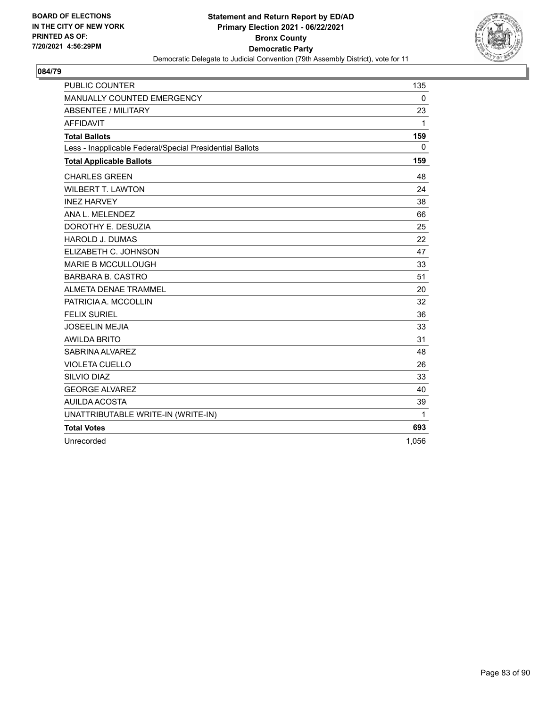

| <b>PUBLIC COUNTER</b>                                    | 135          |
|----------------------------------------------------------|--------------|
| MANUALLY COUNTED EMERGENCY                               | $\mathbf 0$  |
| <b>ABSENTEE / MILITARY</b>                               | 23           |
| <b>AFFIDAVIT</b>                                         | $\mathbf{1}$ |
| <b>Total Ballots</b>                                     | 159          |
| Less - Inapplicable Federal/Special Presidential Ballots | $\Omega$     |
| <b>Total Applicable Ballots</b>                          | 159          |
| <b>CHARLES GREEN</b>                                     | 48           |
| <b>WILBERT T. LAWTON</b>                                 | 24           |
| <b>INEZ HARVEY</b>                                       | 38           |
| ANA L. MELENDEZ                                          | 66           |
| DOROTHY E. DESUZIA                                       | 25           |
| <b>HAROLD J. DUMAS</b>                                   | 22           |
| ELIZABETH C. JOHNSON                                     | 47           |
| <b>MARIE B MCCULLOUGH</b>                                | 33           |
| <b>BARBARA B. CASTRO</b>                                 | 51           |
| ALMETA DENAE TRAMMEL                                     | 20           |
| PATRICIA A. MCCOLLIN                                     | 32           |
| <b>FELIX SURIEL</b>                                      | 36           |
| <b>JOSEELIN MEJIA</b>                                    | 33           |
| <b>AWILDA BRITO</b>                                      | 31           |
| SABRINA ALVAREZ                                          | 48           |
| <b>VIOLETA CUELLO</b>                                    | 26           |
| <b>SILVIO DIAZ</b>                                       | 33           |
| <b>GEORGE ALVAREZ</b>                                    | 40           |
| <b>AUILDA ACOSTA</b>                                     | 39           |
| UNATTRIBUTABLE WRITE-IN (WRITE-IN)                       | 1            |
| <b>Total Votes</b>                                       | 693          |
| Unrecorded                                               | 1,056        |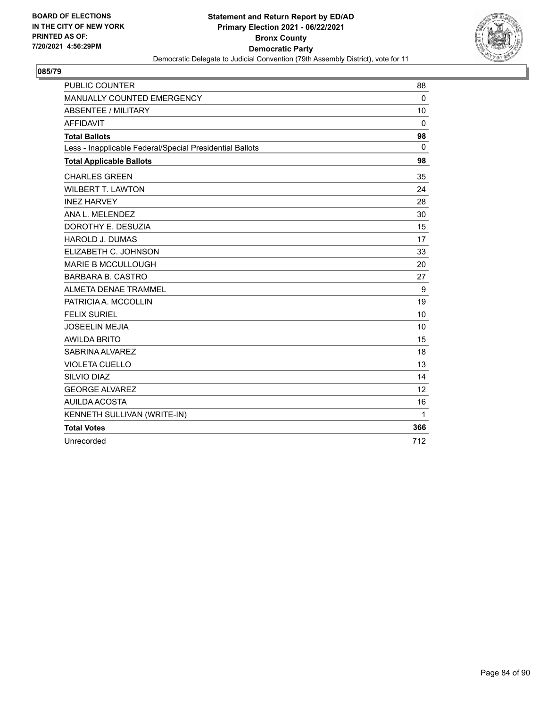

| <b>PUBLIC COUNTER</b>                                    | 88       |
|----------------------------------------------------------|----------|
| MANUALLY COUNTED EMERGENCY                               | $\Omega$ |
| <b>ABSENTEE / MILITARY</b>                               | 10       |
| <b>AFFIDAVIT</b>                                         | $\Omega$ |
| <b>Total Ballots</b>                                     | 98       |
| Less - Inapplicable Federal/Special Presidential Ballots | $\Omega$ |
| <b>Total Applicable Ballots</b>                          | 98       |
| <b>CHARLES GREEN</b>                                     | 35       |
| <b>WILBERT T. LAWTON</b>                                 | 24       |
| <b>INEZ HARVEY</b>                                       | 28       |
| ANA L. MELENDEZ                                          | 30       |
| DOROTHY E. DESUZIA                                       | 15       |
| <b>HAROLD J. DUMAS</b>                                   | 17       |
| ELIZABETH C. JOHNSON                                     | 33       |
| <b>MARIE B MCCULLOUGH</b>                                | 20       |
| <b>BARBARA B. CASTRO</b>                                 | 27       |
| ALMETA DENAE TRAMMEL                                     | 9        |
| PATRICIA A. MCCOLLIN                                     | 19       |
| <b>FELIX SURIEL</b>                                      | 10       |
| <b>JOSEELIN MEJIA</b>                                    | 10       |
| <b>AWILDA BRITO</b>                                      | 15       |
| SABRINA ALVAREZ                                          | 18       |
| <b>VIOLETA CUELLO</b>                                    | 13       |
| SILVIO DIAZ                                              | 14       |
| <b>GEORGE ALVAREZ</b>                                    | 12       |
| AUILDA ACOSTA                                            | 16       |
| KENNETH SULLIVAN (WRITE-IN)                              | 1        |
| <b>Total Votes</b>                                       | 366      |
| Unrecorded                                               | 712      |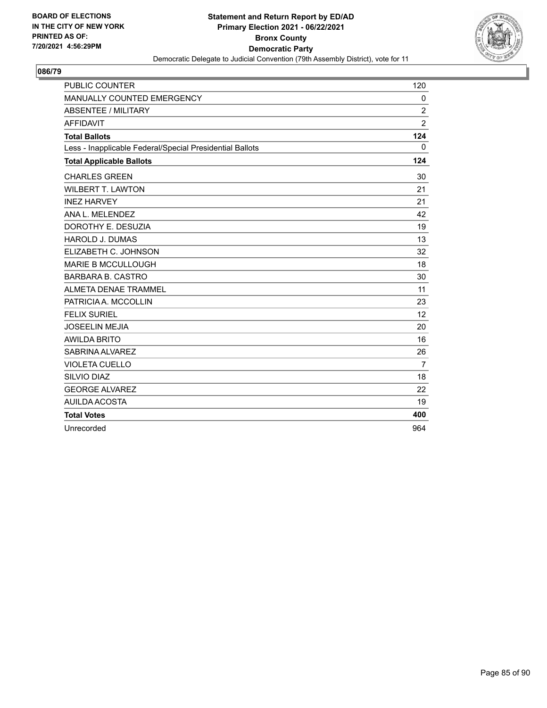

| <b>PUBLIC COUNTER</b>                                    | 120            |
|----------------------------------------------------------|----------------|
| MANUALLY COUNTED EMERGENCY                               | 0              |
| <b>ABSENTEE / MILITARY</b>                               | $\overline{c}$ |
| <b>AFFIDAVIT</b>                                         | $\overline{2}$ |
| <b>Total Ballots</b>                                     | 124            |
| Less - Inapplicable Federal/Special Presidential Ballots | $\mathbf{0}$   |
| <b>Total Applicable Ballots</b>                          | 124            |
| <b>CHARLES GREEN</b>                                     | 30             |
| <b>WILBERT T. LAWTON</b>                                 | 21             |
| <b>INEZ HARVEY</b>                                       | 21             |
| ANA L. MELENDEZ                                          | 42             |
| DOROTHY E. DESUZIA                                       | 19             |
| <b>HAROLD J. DUMAS</b>                                   | 13             |
| ELIZABETH C. JOHNSON                                     | 32             |
| <b>MARIE B MCCULLOUGH</b>                                | 18             |
| <b>BARBARA B. CASTRO</b>                                 | 30             |
| ALMETA DENAE TRAMMEL                                     | 11             |
| PATRICIA A. MCCOLLIN                                     | 23             |
| <b>FELIX SURIEL</b>                                      | 12             |
| <b>JOSEELIN MEJIA</b>                                    | 20             |
| <b>AWILDA BRITO</b>                                      | 16             |
| SABRINA ALVAREZ                                          | 26             |
| <b>VIOLETA CUELLO</b>                                    | $\overline{7}$ |
| <b>SILVIO DIAZ</b>                                       | 18             |
| <b>GEORGE ALVAREZ</b>                                    | 22             |
| AUILDA ACOSTA                                            | 19             |
| <b>Total Votes</b>                                       | 400            |
| Unrecorded                                               | 964            |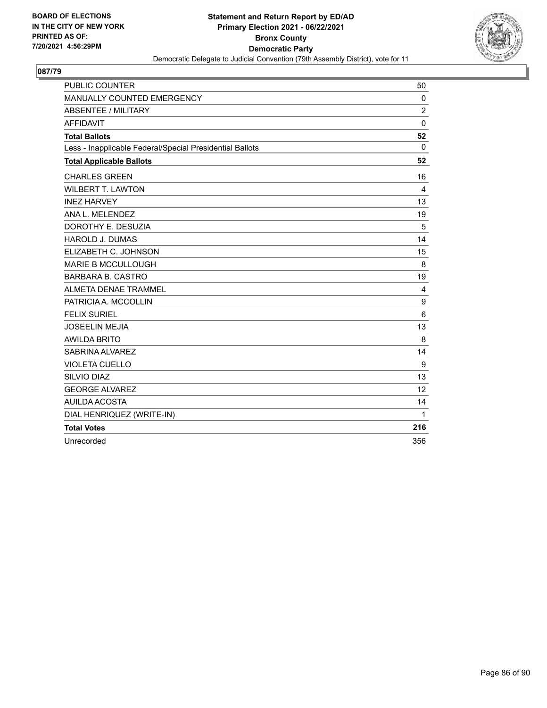

| <b>PUBLIC COUNTER</b>                                    | 50             |
|----------------------------------------------------------|----------------|
| MANUALLY COUNTED EMERGENCY                               | $\Omega$       |
| <b>ABSENTEE / MILITARY</b>                               | $\overline{2}$ |
| <b>AFFIDAVIT</b>                                         | $\Omega$       |
| <b>Total Ballots</b>                                     | 52             |
| Less - Inapplicable Federal/Special Presidential Ballots | $\Omega$       |
| <b>Total Applicable Ballots</b>                          | 52             |
| <b>CHARLES GREEN</b>                                     | 16             |
| <b>WILBERT T. LAWTON</b>                                 | 4              |
| <b>INEZ HARVEY</b>                                       | 13             |
| ANA L. MELENDEZ                                          | 19             |
| DOROTHY E. DESUZIA                                       | 5              |
| <b>HAROLD J. DUMAS</b>                                   | 14             |
| ELIZABETH C. JOHNSON                                     | 15             |
| <b>MARIE B MCCULLOUGH</b>                                | 8              |
| <b>BARBARA B. CASTRO</b>                                 | 19             |
| <b>ALMETA DENAE TRAMMEL</b>                              | 4              |
| PATRICIA A. MCCOLLIN                                     | 9              |
| <b>FELIX SURIEL</b>                                      | 6              |
| <b>JOSEELIN MEJIA</b>                                    | 13             |
| <b>AWILDA BRITO</b>                                      | 8              |
| SABRINA ALVAREZ                                          | 14             |
| <b>VIOLETA CUELLO</b>                                    | 9              |
| SILVIO DIAZ                                              | 13             |
| <b>GEORGE ALVAREZ</b>                                    | 12             |
| AUILDA ACOSTA                                            | 14             |
| DIAL HENRIQUEZ (WRITE-IN)                                | 1              |
| <b>Total Votes</b>                                       | 216            |
| Unrecorded                                               | 356            |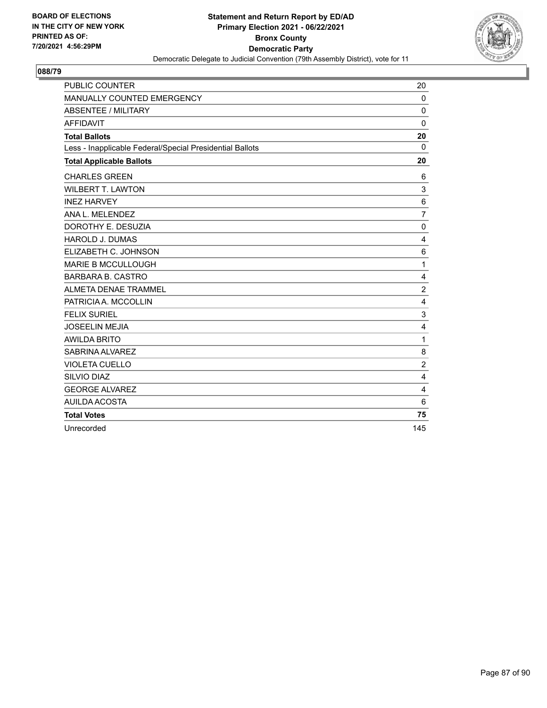

| <b>PUBLIC COUNTER</b>                                    | 20             |
|----------------------------------------------------------|----------------|
| MANUALLY COUNTED EMERGENCY                               | $\mathbf 0$    |
| <b>ABSENTEE / MILITARY</b>                               | $\mathbf 0$    |
| <b>AFFIDAVIT</b>                                         | $\mathbf 0$    |
| <b>Total Ballots</b>                                     | 20             |
| Less - Inapplicable Federal/Special Presidential Ballots | 0              |
| <b>Total Applicable Ballots</b>                          | 20             |
| <b>CHARLES GREEN</b>                                     | 6              |
| <b>WILBERT T. LAWTON</b>                                 | 3              |
| <b>INEZ HARVEY</b>                                       | 6              |
| ANA L. MELENDEZ                                          | $\overline{7}$ |
| DOROTHY E. DESUZIA                                       | 0              |
| <b>HAROLD J. DUMAS</b>                                   | 4              |
| ELIZABETH C. JOHNSON                                     | 6              |
| <b>MARIE B MCCULLOUGH</b>                                | $\mathbf{1}$   |
| <b>BARBARA B. CASTRO</b>                                 | 4              |
| <b>ALMETA DENAE TRAMMEL</b>                              | $\overline{2}$ |
| PATRICIA A. MCCOLLIN                                     | 4              |
| <b>FELIX SURIEL</b>                                      | 3              |
| <b>JOSEELIN MEJIA</b>                                    | 4              |
| <b>AWILDA BRITO</b>                                      | $\mathbf{1}$   |
| SABRINA ALVAREZ                                          | 8              |
| <b>VIOLETA CUELLO</b>                                    | $\overline{c}$ |
| SILVIO DIAZ                                              | 4              |
| <b>GEORGE ALVAREZ</b>                                    | 4              |
| AUILDA ACOSTA                                            | 6              |
| <b>Total Votes</b>                                       | 75             |
| Unrecorded                                               | 145            |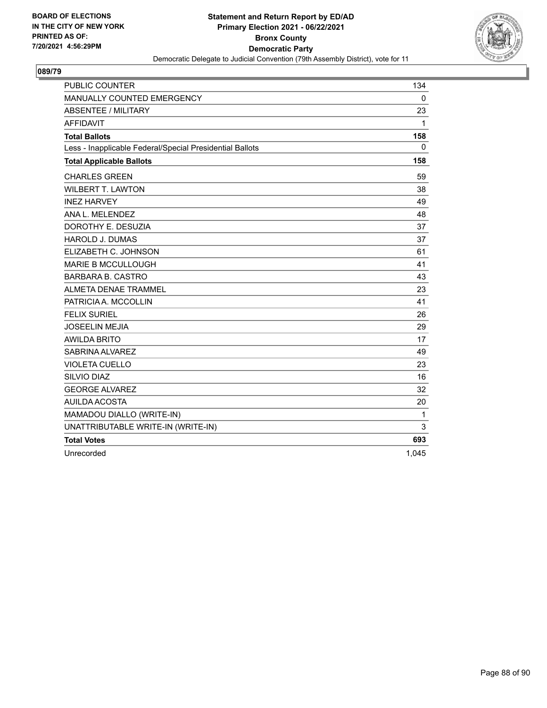

| <b>PUBLIC COUNTER</b>                                    | 134          |
|----------------------------------------------------------|--------------|
| MANUALLY COUNTED EMERGENCY                               | $\mathbf 0$  |
| <b>ABSENTEE / MILITARY</b>                               | 23           |
| <b>AFFIDAVIT</b>                                         | $\mathbf{1}$ |
| <b>Total Ballots</b>                                     | 158          |
| Less - Inapplicable Federal/Special Presidential Ballots | 0            |
| <b>Total Applicable Ballots</b>                          | 158          |
| <b>CHARLES GREEN</b>                                     | 59           |
| <b>WILBERT T. LAWTON</b>                                 | 38           |
| <b>INEZ HARVEY</b>                                       | 49           |
| ANA L. MELENDEZ                                          | 48           |
| DOROTHY E. DESUZIA                                       | 37           |
| <b>HAROLD J. DUMAS</b>                                   | 37           |
| ELIZABETH C. JOHNSON                                     | 61           |
| <b>MARIE B MCCULLOUGH</b>                                | 41           |
| <b>BARBARA B. CASTRO</b>                                 | 43           |
| ALMETA DENAE TRAMMEL                                     | 23           |
| PATRICIA A. MCCOLLIN                                     | 41           |
| <b>FELIX SURIEL</b>                                      | 26           |
| <b>JOSEELIN MEJIA</b>                                    | 29           |
| <b>AWILDA BRITO</b>                                      | 17           |
| SABRINA ALVAREZ                                          | 49           |
| <b>VIOLETA CUELLO</b>                                    | 23           |
| SILVIO DIAZ                                              | 16           |
| <b>GEORGE ALVAREZ</b>                                    | 32           |
| AUILDA ACOSTA                                            | 20           |
| MAMADOU DIALLO (WRITE-IN)                                | 1            |
| UNATTRIBUTABLE WRITE-IN (WRITE-IN)                       | 3            |
| <b>Total Votes</b>                                       | 693          |
| Unrecorded                                               | 1,045        |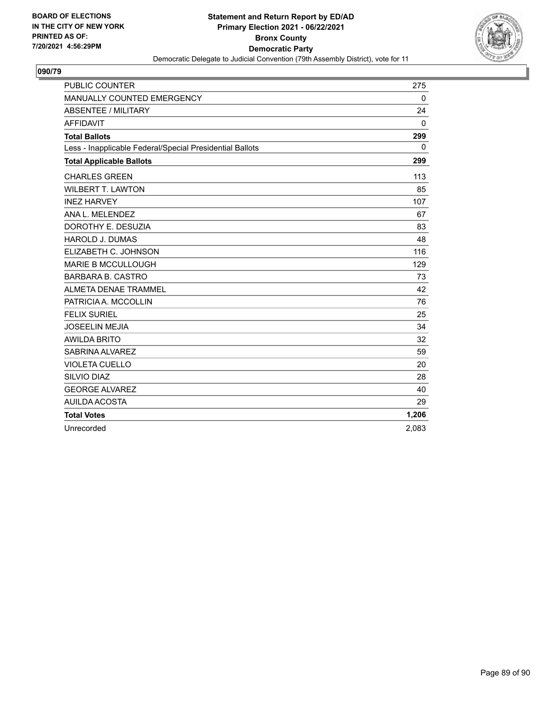

| <b>PUBLIC COUNTER</b>                                    | 275         |
|----------------------------------------------------------|-------------|
| MANUALLY COUNTED EMERGENCY                               | $\mathbf 0$ |
| <b>ABSENTEE / MILITARY</b>                               | 24          |
| <b>AFFIDAVIT</b>                                         | $\Omega$    |
| <b>Total Ballots</b>                                     | 299         |
| Less - Inapplicable Federal/Special Presidential Ballots | $\Omega$    |
| <b>Total Applicable Ballots</b>                          | 299         |
| <b>CHARLES GREEN</b>                                     | 113         |
| <b>WILBERT T. LAWTON</b>                                 | 85          |
| <b>INEZ HARVEY</b>                                       | 107         |
| ANA L. MELENDEZ                                          | 67          |
| DOROTHY E. DESUZIA                                       | 83          |
| <b>HAROLD J. DUMAS</b>                                   | 48          |
| ELIZABETH C. JOHNSON                                     | 116         |
| <b>MARIE B MCCULLOUGH</b>                                | 129         |
| <b>BARBARA B. CASTRO</b>                                 | 73          |
| <b>ALMETA DENAE TRAMMEL</b>                              | 42          |
| PATRICIA A. MCCOLLIN                                     | 76          |
| <b>FELIX SURIEL</b>                                      | 25          |
| <b>JOSEELIN MEJIA</b>                                    | 34          |
| <b>AWILDA BRITO</b>                                      | 32          |
| SABRINA ALVAREZ                                          | 59          |
| <b>VIOLETA CUELLO</b>                                    | 20          |
| SILVIO DIAZ                                              | 28          |
| <b>GEORGE ALVAREZ</b>                                    | 40          |
| <b>AUILDA ACOSTA</b>                                     | 29          |
| <b>Total Votes</b>                                       | 1,206       |
| Unrecorded                                               | 2,083       |